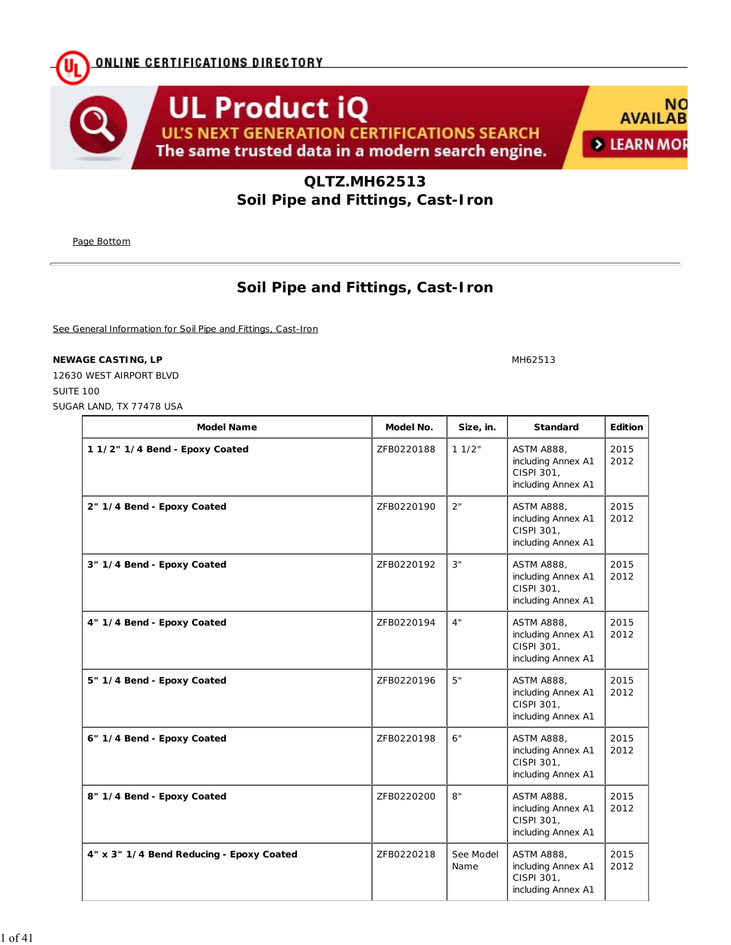**ONLINE CERTIFICATIONS DIRECTORY** 





**QLTZ.MH62513 Soil Pipe and Fittings, Cast-Iron**

Page Bottom

## **Soil Pipe and Fittings, Cast-Iron**

See General Information for Soil Pipe and Fittings, Cast-Iron

## **NEWAGE CASTING, LP** MH62513

12630 WEST AIRPORT BLVD SUITE 100 SUGAR LAND, TX 77478 USA

| <b>Model Name</b>                        | Model No.  | Size, in.         | <b>Standard</b>                                                             | Edition      |
|------------------------------------------|------------|-------------------|-----------------------------------------------------------------------------|--------------|
| 1 1/2" 1/4 Bend - Epoxy Coated           | ZFB0220188 | 11/2"             | <b>ASTM A888,</b><br>including Annex A1<br>CISPI 301,<br>including Annex A1 | 2015<br>2012 |
| 2" 1/4 Bend - Epoxy Coated               | ZFB0220190 | 2"                | <b>ASTM A888,</b><br>including Annex A1<br>CISPI 301,<br>including Annex A1 | 2015<br>2012 |
| 3" 1/4 Bend - Epoxy Coated               | ZFB0220192 | 3"                | <b>ASTM A888,</b><br>including Annex A1<br>CISPI 301,<br>including Annex A1 | 2015<br>2012 |
| 4" 1/4 Bend - Epoxy Coated               | ZFB0220194 | 4"                | <b>ASTM A888,</b><br>including Annex A1<br>CISPI 301,<br>including Annex A1 | 2015<br>2012 |
| 5" 1/4 Bend - Epoxy Coated               | ZFB0220196 | 5"                | <b>ASTM A888,</b><br>including Annex A1<br>CISPI 301,<br>including Annex A1 | 2015<br>2012 |
| 6" 1/4 Bend - Epoxy Coated               | ZFB0220198 | 6"                | <b>ASTM A888.</b><br>including Annex A1<br>CISPI 301,<br>including Annex A1 | 2015<br>2012 |
| 8" 1/4 Bend - Epoxy Coated               | ZFB0220200 | 8"                | <b>ASTM A888,</b><br>including Annex A1<br>CISPI 301,<br>including Annex A1 | 2015<br>2012 |
| 4" x 3" 1/4 Bend Reducing - Epoxy Coated | ZFB0220218 | See Model<br>Name | <b>ASTM A888,</b><br>including Annex A1<br>CISPI 301,<br>including Annex A1 | 2015<br>2012 |

1 of 41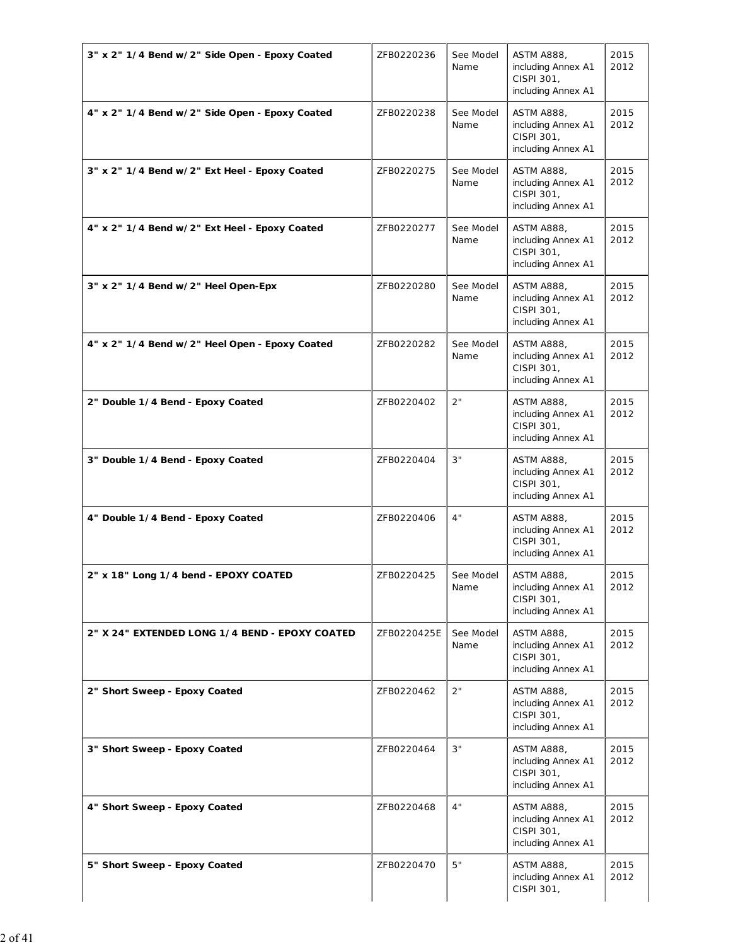| 3" x 2" 1/4 Bend w/2" Side Open - Epoxy Coated | ZFB0220236  | See Model<br>Name | <b>ASTM A888,</b><br>including Annex A1<br>CISPI 301,<br>including Annex A1 | 2015<br>2012 |
|------------------------------------------------|-------------|-------------------|-----------------------------------------------------------------------------|--------------|
| 4" x 2" 1/4 Bend w/2" Side Open - Epoxy Coated | ZFB0220238  | See Model<br>Name | <b>ASTM A888,</b><br>including Annex A1<br>CISPI 301,<br>including Annex A1 | 2015<br>2012 |
| 3" x 2" 1/4 Bend w/2" Ext Heel - Epoxy Coated  | ZFB0220275  | See Model<br>Name | <b>ASTM A888,</b><br>including Annex A1<br>CISPI 301,<br>including Annex A1 | 2015<br>2012 |
| 4" x 2" 1/4 Bend w/2" Ext Heel - Epoxy Coated  | ZFB0220277  | See Model<br>Name | <b>ASTM A888,</b><br>including Annex A1<br>CISPI 301,<br>including Annex A1 | 2015<br>2012 |
| 3" x 2" 1/4 Bend w/2" Heel Open-Epx            | ZFB0220280  | See Model<br>Name | <b>ASTM A888,</b><br>including Annex A1<br>CISPI 301,<br>including Annex A1 | 2015<br>2012 |
| 4" x 2" 1/4 Bend w/2" Heel Open - Epoxy Coated | ZFB0220282  | See Model<br>Name | <b>ASTM A888,</b><br>including Annex A1<br>CISPI 301,<br>including Annex A1 | 2015<br>2012 |
| 2" Double 1/4 Bend - Epoxy Coated              | ZFB0220402  | 2"                | <b>ASTM A888,</b><br>including Annex A1<br>CISPI 301,<br>including Annex A1 | 2015<br>2012 |
| 3" Double 1/4 Bend - Epoxy Coated              | ZFB0220404  | 3"                | <b>ASTM A888,</b><br>including Annex A1<br>CISPI 301,<br>including Annex A1 | 2015<br>2012 |
| 4" Double 1/4 Bend - Epoxy Coated              | ZFB0220406  | 4"                | <b>ASTM A888,</b><br>including Annex A1<br>CISPI 301,<br>including Annex A1 | 2015<br>2012 |
| 2" x 18" Long 1/4 bend - EPOXY COATED          | ZFB0220425  | See Model<br>Name | <b>ASTM A888,</b><br>including Annex A1<br>CISPI 301,<br>including Annex A1 | 2015<br>2012 |
| 2" X 24" EXTENDED LONG 1/4 BEND - EPOXY COATED | ZFB0220425E | See Model<br>Name | <b>ASTM A888,</b><br>including Annex A1<br>CISPI 301,<br>including Annex A1 | 2015<br>2012 |
| 2" Short Sweep - Epoxy Coated                  | ZFB0220462  | 2"                | <b>ASTM A888,</b><br>including Annex A1<br>CISPI 301,<br>including Annex A1 | 2015<br>2012 |
| 3" Short Sweep - Epoxy Coated                  | ZFB0220464  | 3"                | <b>ASTM A888,</b><br>including Annex A1<br>CISPI 301,<br>including Annex A1 | 2015<br>2012 |
| 4" Short Sweep - Epoxy Coated                  | ZFB0220468  | 4"                | <b>ASTM A888,</b><br>including Annex A1<br>CISPI 301,<br>including Annex A1 | 2015<br>2012 |
| 5" Short Sweep - Epoxy Coated                  | ZFB0220470  | 5"                | <b>ASTM A888,</b><br>including Annex A1<br>CISPI 301,                       | 2015<br>2012 |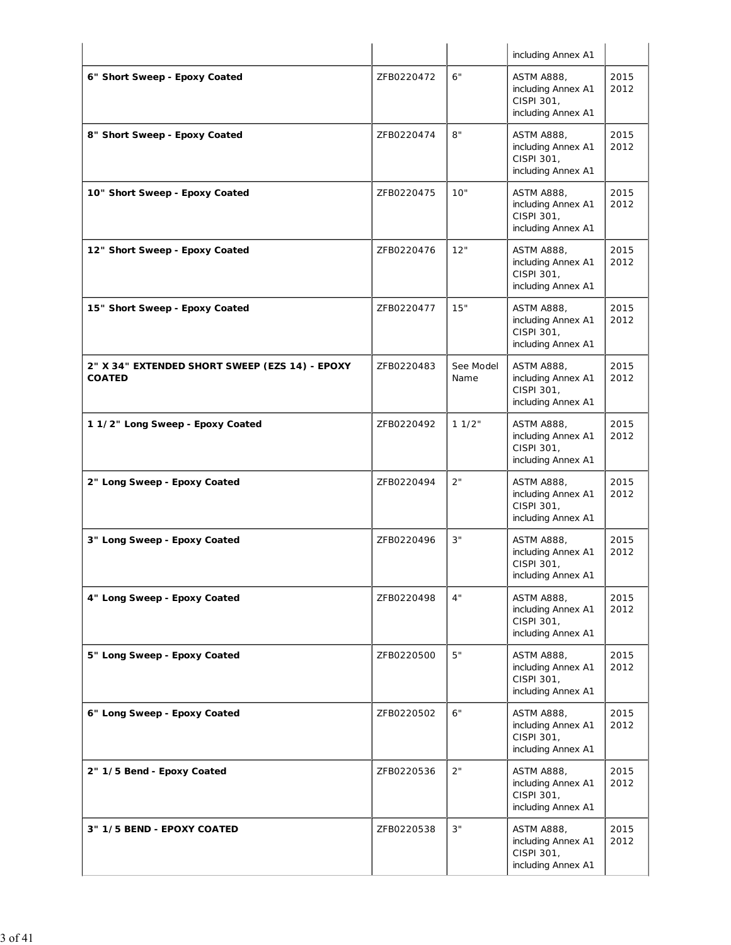|                                                                 |            |                   | including Annex A1                                                          |              |
|-----------------------------------------------------------------|------------|-------------------|-----------------------------------------------------------------------------|--------------|
| 6" Short Sweep - Epoxy Coated                                   | ZFB0220472 | 6"                | <b>ASTM A888,</b><br>including Annex A1<br>CISPI 301,<br>including Annex A1 | 2015<br>2012 |
| 8" Short Sweep - Epoxy Coated                                   | ZFB0220474 | 8"                | <b>ASTM A888,</b><br>including Annex A1<br>CISPI 301,<br>including Annex A1 | 2015<br>2012 |
| 10" Short Sweep - Epoxy Coated                                  | ZFB0220475 | 10"               | <b>ASTM A888,</b><br>including Annex A1<br>CISPI 301,<br>including Annex A1 | 2015<br>2012 |
| 12" Short Sweep - Epoxy Coated                                  | ZFB0220476 | 12"               | <b>ASTM A888,</b><br>including Annex A1<br>CISPI 301,<br>including Annex A1 | 2015<br>2012 |
| 15" Short Sweep - Epoxy Coated                                  | ZFB0220477 | 15"               | <b>ASTM A888,</b><br>including Annex A1<br>CISPI 301,<br>including Annex A1 | 2015<br>2012 |
| 2" X 34" EXTENDED SHORT SWEEP (EZS 14) - EPOXY<br><b>COATED</b> | ZFB0220483 | See Model<br>Name | <b>ASTM A888,</b><br>including Annex A1<br>CISPI 301,<br>including Annex A1 | 2015<br>2012 |
| 1 1/2" Long Sweep - Epoxy Coated                                | ZFB0220492 | 11/2"             | <b>ASTM A888,</b><br>including Annex A1<br>CISPI 301,<br>including Annex A1 | 2015<br>2012 |
| 2" Long Sweep - Epoxy Coated                                    | ZFB0220494 | 2"                | <b>ASTM A888,</b><br>including Annex A1<br>CISPI 301,<br>including Annex A1 | 2015<br>2012 |
| 3" Long Sweep - Epoxy Coated                                    | ZFB0220496 | 3"                | <b>ASTM A888,</b><br>including Annex A1<br>CISPI 301,<br>including Annex A1 | 2015<br>2012 |
| 4" Long Sweep - Epoxy Coated                                    | ZFB0220498 | 4"                | <b>ASTM A888,</b><br>including Annex A1<br>CISPI 301,<br>including Annex A1 | 2015<br>2012 |
| 5" Long Sweep - Epoxy Coated                                    | ZFB0220500 | 5"                | <b>ASTM A888,</b><br>including Annex A1<br>CISPI 301,<br>including Annex A1 | 2015<br>2012 |
| 6" Long Sweep - Epoxy Coated                                    | ZFB0220502 | 6"                | <b>ASTM A888,</b><br>including Annex A1<br>CISPI 301,<br>including Annex A1 | 2015<br>2012 |
| 2" 1/5 Bend - Epoxy Coated                                      | ZFB0220536 | 2"                | <b>ASTM A888,</b><br>including Annex A1<br>CISPI 301,<br>including Annex A1 | 2015<br>2012 |
| 3" 1/5 BEND - EPOXY COATED                                      | ZFB0220538 | 3"                | <b>ASTM A888,</b><br>including Annex A1<br>CISPI 301,<br>including Annex A1 | 2015<br>2012 |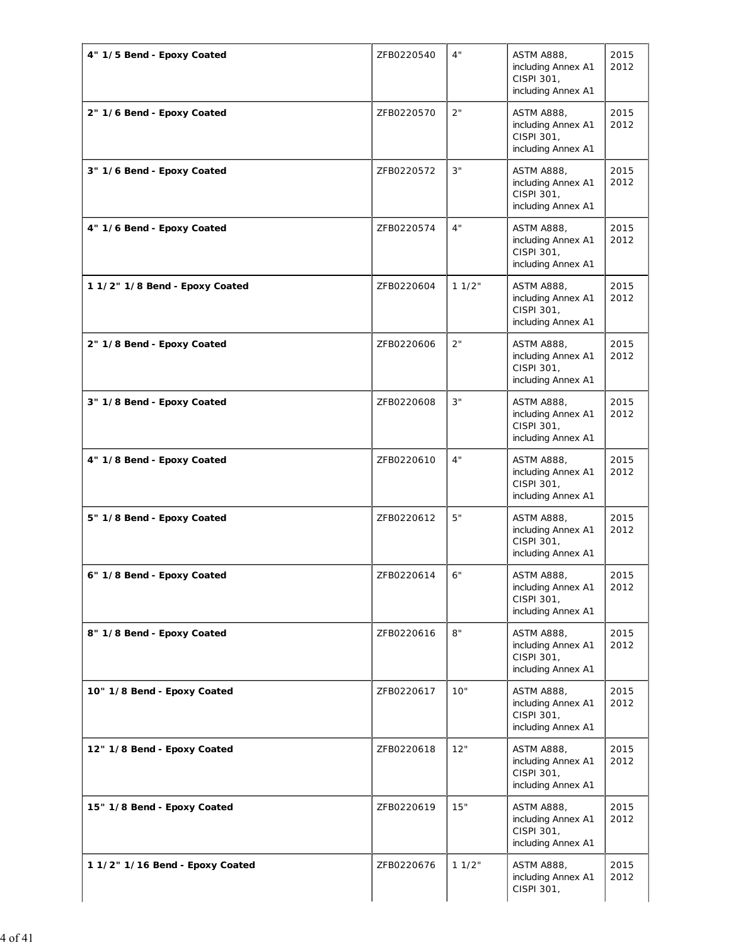| 4" 1/5 Bend - Epoxy Coated      | ZFB0220540 | 4"    | ASTM A888,<br>including Annex A1<br>CISPI 301,<br>including Annex A1        | 2015<br>2012 |
|---------------------------------|------------|-------|-----------------------------------------------------------------------------|--------------|
| 2" 1/6 Bend - Epoxy Coated      | ZFB0220570 | 2"    | <b>ASTM A888,</b><br>including Annex A1<br>CISPI 301,<br>including Annex A1 | 2015<br>2012 |
| 3" 1/6 Bend - Epoxy Coated      | ZFB0220572 | 3"    | <b>ASTM A888,</b><br>including Annex A1<br>CISPI 301,<br>including Annex A1 | 2015<br>2012 |
| 4" 1/6 Bend - Epoxy Coated      | ZFB0220574 | 4"    | <b>ASTM A888,</b><br>including Annex A1<br>CISPI 301,<br>including Annex A1 | 2015<br>2012 |
| 1 1/2" 1/8 Bend - Epoxy Coated  | ZFB0220604 | 11/2" | <b>ASTM A888,</b><br>including Annex A1<br>CISPI 301,<br>including Annex A1 | 2015<br>2012 |
| 2" 1/8 Bend - Epoxy Coated      | ZFB0220606 | 2"    | <b>ASTM A888,</b><br>including Annex A1<br>CISPI 301,<br>including Annex A1 | 2015<br>2012 |
| 3" 1/8 Bend - Epoxy Coated      | ZFB0220608 | 3"    | <b>ASTM A888,</b><br>including Annex A1<br>CISPI 301,<br>including Annex A1 | 2015<br>2012 |
| 4" 1/8 Bend - Epoxy Coated      | ZFB0220610 | 4"    | <b>ASTM A888,</b><br>including Annex A1<br>CISPI 301,<br>including Annex A1 | 2015<br>2012 |
| 5" 1/8 Bend - Epoxy Coated      | ZFB0220612 | 5"    | <b>ASTM A888,</b><br>including Annex A1<br>CISPI 301,<br>including Annex A1 | 2015<br>2012 |
| 6" 1/8 Bend - Epoxy Coated      | ZFB0220614 | 6"    | <b>ASTM A888,</b><br>including Annex A1<br>CISPI 301,<br>including Annex A1 | 2015<br>2012 |
| 8" 1/8 Bend - Epoxy Coated      | ZFB0220616 | 8"    | <b>ASTM A888,</b><br>including Annex A1<br>CISPI 301,<br>including Annex A1 | 2015<br>2012 |
| 10" 1/8 Bend - Epoxy Coated     | ZFB0220617 | 10"   | <b>ASTM A888,</b><br>including Annex A1<br>CISPI 301,<br>including Annex A1 | 2015<br>2012 |
| 12" 1/8 Bend - Epoxy Coated     | ZFB0220618 | 12"   | <b>ASTM A888,</b><br>including Annex A1<br>CISPI 301,<br>including Annex A1 | 2015<br>2012 |
| 15" 1/8 Bend - Epoxy Coated     | ZFB0220619 | 15"   | <b>ASTM A888,</b><br>including Annex A1<br>CISPI 301,<br>including Annex A1 | 2015<br>2012 |
| 1 1/2" 1/16 Bend - Epoxy Coated | ZFB0220676 | 11/2" | <b>ASTM A888,</b><br>including Annex A1<br>CISPI 301,                       | 2015<br>2012 |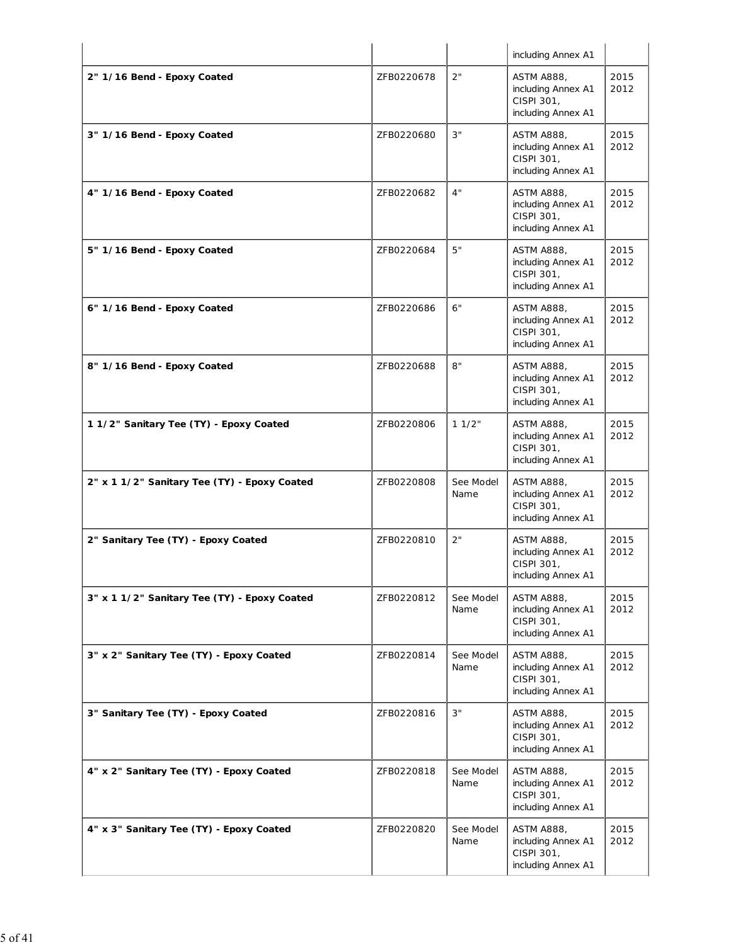|                                              |            |                   | including Annex A1                                                          |              |
|----------------------------------------------|------------|-------------------|-----------------------------------------------------------------------------|--------------|
| 2" 1/16 Bend - Epoxy Coated                  | ZFB0220678 | 2"                | <b>ASTM A888,</b><br>including Annex A1<br>CISPI 301,<br>including Annex A1 | 2015<br>2012 |
| 3" 1/16 Bend - Epoxy Coated                  | ZFB0220680 | 3"                | <b>ASTM A888,</b><br>including Annex A1<br>CISPI 301,<br>including Annex A1 | 2015<br>2012 |
| 4" 1/16 Bend - Epoxy Coated                  | ZFB0220682 | 4"                | <b>ASTM A888,</b><br>including Annex A1<br>CISPI 301,<br>including Annex A1 | 2015<br>2012 |
| 5" 1/16 Bend - Epoxy Coated                  | ZFB0220684 | 5"                | <b>ASTM A888,</b><br>including Annex A1<br>CISPI 301,<br>including Annex A1 | 2015<br>2012 |
| 6" 1/16 Bend - Epoxy Coated                  | ZFB0220686 | 6"                | <b>ASTM A888,</b><br>including Annex A1<br>CISPI 301,<br>including Annex A1 | 2015<br>2012 |
| 8" 1/16 Bend - Epoxy Coated                  | ZFB0220688 | 8"                | <b>ASTM A888,</b><br>including Annex A1<br>CISPI 301,<br>including Annex A1 | 2015<br>2012 |
| 11/2" Sanitary Tee (TY) - Epoxy Coated       | ZFB0220806 | 11/2"             | <b>ASTM A888,</b><br>including Annex A1<br>CISPI 301,<br>including Annex A1 | 2015<br>2012 |
| 2" x 1 1/2" Sanitary Tee (TY) - Epoxy Coated | ZFB0220808 | See Model<br>Name | <b>ASTM A888,</b><br>including Annex A1<br>CISPI 301,<br>including Annex A1 | 2015<br>2012 |
| 2" Sanitary Tee (TY) - Epoxy Coated          | ZFB0220810 | 2"                | <b>ASTM A888,</b><br>including Annex A1<br>CISPI 301,<br>including Annex A1 | 2015<br>2012 |
| 3" x 1 1/2" Sanitary Tee (TY) - Epoxy Coated | ZFB0220812 | See Model<br>Name | <b>ASTM A888,</b><br>including Annex A1<br>CISPI 301,<br>including Annex A1 | 2015<br>2012 |
| 3" x 2" Sanitary Tee (TY) - Epoxy Coated     | ZFB0220814 | See Model<br>Name | <b>ASTM A888.</b><br>including Annex A1<br>CISPI 301,<br>including Annex A1 | 2015<br>2012 |
| 3" Sanitary Tee (TY) - Epoxy Coated          | ZFB0220816 | 3"                | <b>ASTM A888,</b><br>including Annex A1<br>CISPI 301,<br>including Annex A1 | 2015<br>2012 |
| 4" x 2" Sanitary Tee (TY) - Epoxy Coated     | ZFB0220818 | See Model<br>Name | <b>ASTM A888,</b><br>including Annex A1<br>CISPI 301,<br>including Annex A1 | 2015<br>2012 |
| 4" x 3" Sanitary Tee (TY) - Epoxy Coated     | ZFB0220820 | See Model<br>Name | <b>ASTM A888,</b><br>including Annex A1<br>CISPI 301,<br>including Annex A1 | 2015<br>2012 |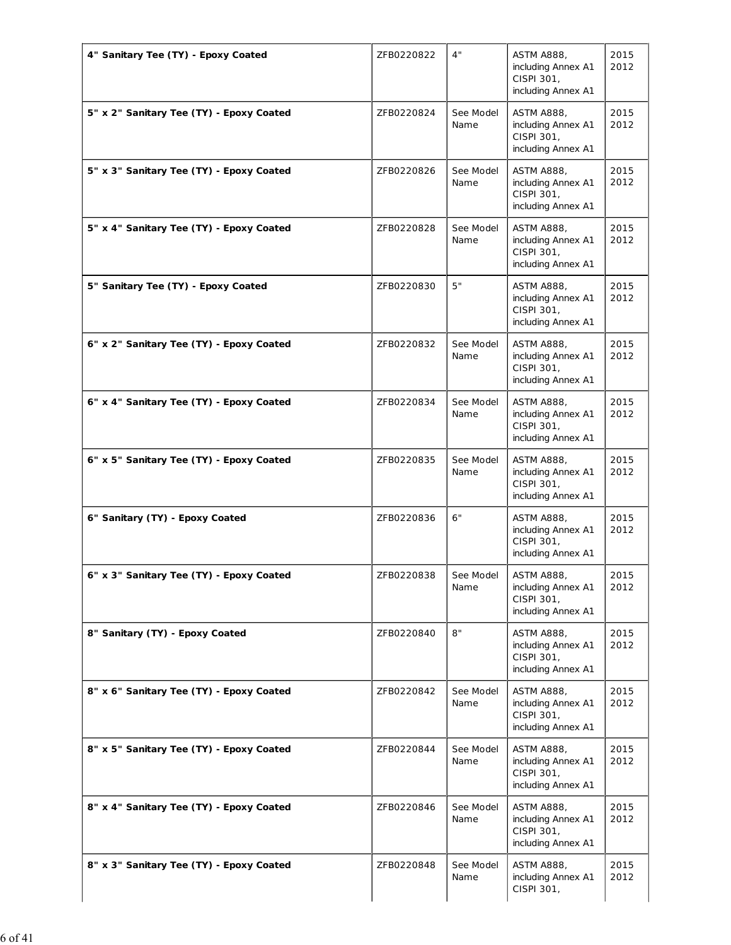| 4" Sanitary Tee (TY) - Epoxy Coated      | ZFB0220822 | 4"                | <b>ASTM A888,</b><br>including Annex A1<br>CISPI 301,<br>including Annex A1 | 2015<br>2012 |
|------------------------------------------|------------|-------------------|-----------------------------------------------------------------------------|--------------|
| 5" x 2" Sanitary Tee (TY) - Epoxy Coated | ZFB0220824 | See Model<br>Name | <b>ASTM A888,</b><br>including Annex A1<br>CISPI 301,<br>including Annex A1 | 2015<br>2012 |
| 5" x 3" Sanitary Tee (TY) - Epoxy Coated | ZFB0220826 | See Model<br>Name | <b>ASTM A888,</b><br>including Annex A1<br>CISPI 301,<br>including Annex A1 | 2015<br>2012 |
| 5" x 4" Sanitary Tee (TY) - Epoxy Coated | ZFB0220828 | See Model<br>Name | <b>ASTM A888,</b><br>including Annex A1<br>CISPI 301,<br>including Annex A1 | 2015<br>2012 |
| 5" Sanitary Tee (TY) - Epoxy Coated      | ZFB0220830 | 5"                | <b>ASTM A888,</b><br>including Annex A1<br>CISPI 301,<br>including Annex A1 | 2015<br>2012 |
| 6" x 2" Sanitary Tee (TY) - Epoxy Coated | ZFB0220832 | See Model<br>Name | <b>ASTM A888,</b><br>including Annex A1<br>CISPI 301,<br>including Annex A1 | 2015<br>2012 |
| 6" x 4" Sanitary Tee (TY) - Epoxy Coated | ZFB0220834 | See Model<br>Name | <b>ASTM A888,</b><br>including Annex A1<br>CISPI 301,<br>including Annex A1 | 2015<br>2012 |
| 6" x 5" Sanitary Tee (TY) - Epoxy Coated | ZFB0220835 | See Model<br>Name | <b>ASTM A888,</b><br>including Annex A1<br>CISPI 301,<br>including Annex A1 | 2015<br>2012 |
| 6" Sanitary (TY) - Epoxy Coated          | ZFB0220836 | 6"                | <b>ASTM A888,</b><br>including Annex A1<br>CISPI 301,<br>including Annex A1 | 2015<br>2012 |
| 6" x 3" Sanitary Tee (TY) - Epoxy Coated | ZFB0220838 | See Model<br>Name | <b>ASTM A888,</b><br>including Annex A1<br>CISPI 301,<br>including Annex A1 | 2015<br>2012 |
| 8" Sanitary (TY) - Epoxy Coated          | ZFB0220840 | 8"                | <b>ASTM A888,</b><br>including Annex A1<br>CISPI 301,<br>including Annex A1 | 2015<br>2012 |
| 8" x 6" Sanitary Tee (TY) - Epoxy Coated | ZFB0220842 | See Model<br>Name | <b>ASTM A888,</b><br>including Annex A1<br>CISPI 301,<br>including Annex A1 | 2015<br>2012 |
| 8" x 5" Sanitary Tee (TY) - Epoxy Coated | ZFB0220844 | See Model<br>Name | <b>ASTM A888,</b><br>including Annex A1<br>CISPI 301,<br>including Annex A1 | 2015<br>2012 |
| 8" x 4" Sanitary Tee (TY) - Epoxy Coated | ZFB0220846 | See Model<br>Name | <b>ASTM A888,</b><br>including Annex A1<br>CISPI 301,<br>including Annex A1 | 2015<br>2012 |
| 8" x 3" Sanitary Tee (TY) - Epoxy Coated | ZFB0220848 | See Model<br>Name | <b>ASTM A888,</b><br>including Annex A1<br>CISPI 301,                       | 2015<br>2012 |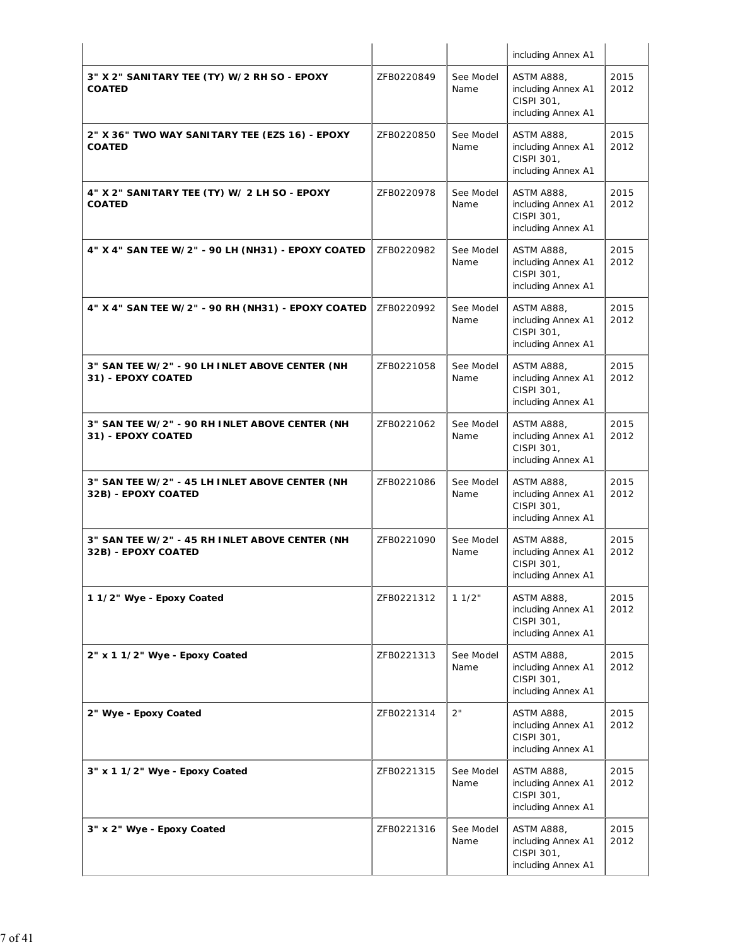|                                                                       |            |                   | including Annex A1                                                          |              |
|-----------------------------------------------------------------------|------------|-------------------|-----------------------------------------------------------------------------|--------------|
| 3" X 2" SANITARY TEE (TY) W/2 RH SO - EPOXY<br><b>COATED</b>          | ZFB0220849 | See Model<br>Name | <b>ASTM A888,</b><br>including Annex A1<br>CISPI 301,<br>including Annex A1 | 2015<br>2012 |
| 2" X 36" TWO WAY SANITARY TEE (EZS 16) - EPOXY<br><b>COATED</b>       | ZFB0220850 | See Model<br>Name | <b>ASTM A888,</b><br>including Annex A1<br>CISPI 301,<br>including Annex A1 | 2015<br>2012 |
| 4" X 2" SANITARY TEE (TY) W/ 2 LH SO - EPOXY<br><b>COATED</b>         | ZFB0220978 | See Model<br>Name | <b>ASTM A888,</b><br>including Annex A1<br>CISPI 301,<br>including Annex A1 | 2015<br>2012 |
| 4" X 4" SAN TEE W/2" - 90 LH (NH31) - EPOXY COATED                    | ZFB0220982 | See Model<br>Name | <b>ASTM A888,</b><br>including Annex A1<br>CISPI 301,<br>including Annex A1 | 2015<br>2012 |
| 4" X 4" SAN TEE W/2" - 90 RH (NH31) - EPOXY COATED                    | ZFB0220992 | See Model<br>Name | <b>ASTM A888,</b><br>including Annex A1<br>CISPI 301,<br>including Annex A1 | 2015<br>2012 |
| 3" SAN TEE W/2" - 90 LH INLET ABOVE CENTER (NH<br>31) - EPOXY COATED  | ZFB0221058 | See Model<br>Name | <b>ASTM A888,</b><br>including Annex A1<br>CISPI 301,<br>including Annex A1 | 2015<br>2012 |
| 3" SAN TEE W/2" - 90 RH INLET ABOVE CENTER (NH<br>31) - EPOXY COATED  | ZFB0221062 | See Model<br>Name | <b>ASTM A888,</b><br>including Annex A1<br>CISPI 301,<br>including Annex A1 | 2015<br>2012 |
| 3" SAN TEE W/2" - 45 LH INLET ABOVE CENTER (NH<br>32B) - EPOXY COATED | ZFB0221086 | See Model<br>Name | <b>ASTM A888,</b><br>including Annex A1<br>CISPI 301,<br>including Annex A1 | 2015<br>2012 |
| 3" SAN TEE W/2" - 45 RH INLET ABOVE CENTER (NH<br>32B) - EPOXY COATED | ZFB0221090 | See Model<br>Name | ASTM A888,<br>including Annex A1<br>CISPI 301,<br>including Annex A1        | 2015<br>2012 |
| 11/2" Wye - Epoxy Coated                                              | ZFB0221312 | 11/2"             | ASTM A888,<br>including Annex A1<br>CISPI 301,<br>including Annex A1        | 2015<br>2012 |
| 2" x 1 1/2" Wye - Epoxy Coated                                        | ZFB0221313 | See Model<br>Name | <b>ASTM A888.</b><br>including Annex A1<br>CISPI 301,<br>including Annex A1 | 2015<br>2012 |
| 2" Wye - Epoxy Coated                                                 | ZFB0221314 | 2"                | <b>ASTM A888,</b><br>including Annex A1<br>CISPI 301,<br>including Annex A1 | 2015<br>2012 |
| 3" x 1 1/2" Wye - Epoxy Coated                                        | ZFB0221315 | See Model<br>Name | <b>ASTM A888,</b><br>including Annex A1<br>CISPI 301,<br>including Annex A1 | 2015<br>2012 |
| 3" x 2" Wye - Epoxy Coated                                            | ZFB0221316 | See Model<br>Name | <b>ASTM A888,</b><br>including Annex A1<br>CISPI 301,<br>including Annex A1 | 2015<br>2012 |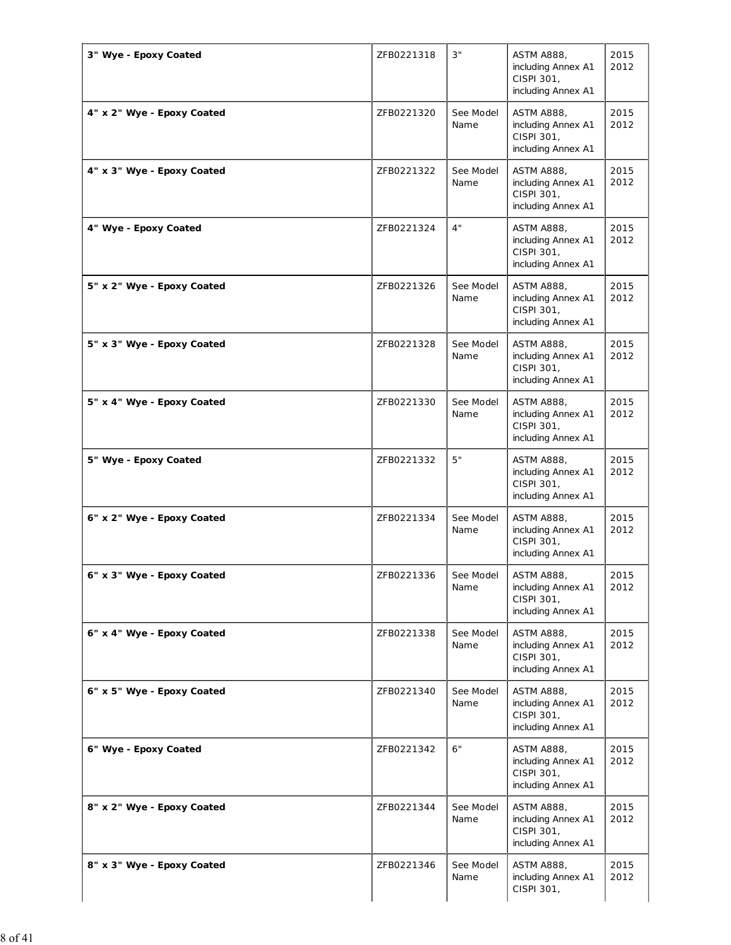| 3" Wye - Epoxy Coated      | ZFB0221318 | 3"                | <b>ASTM A888,</b><br>including Annex A1<br>CISPI 301,<br>including Annex A1 | 2015<br>2012 |
|----------------------------|------------|-------------------|-----------------------------------------------------------------------------|--------------|
| 4" x 2" Wye - Epoxy Coated | ZFB0221320 | See Model<br>Name | <b>ASTM A888,</b><br>including Annex A1<br>CISPI 301,<br>including Annex A1 | 2015<br>2012 |
| 4" x 3" Wye - Epoxy Coated | ZFB0221322 | See Model<br>Name | <b>ASTM A888,</b><br>including Annex A1<br>CISPI 301,<br>including Annex A1 | 2015<br>2012 |
| 4" Wye - Epoxy Coated      | ZFB0221324 | 4"                | <b>ASTM A888,</b><br>including Annex A1<br>CISPI 301,<br>including Annex A1 | 2015<br>2012 |
| 5" x 2" Wye - Epoxy Coated | ZFB0221326 | See Model<br>Name | <b>ASTM A888,</b><br>including Annex A1<br>CISPI 301,<br>including Annex A1 | 2015<br>2012 |
| 5" x 3" Wye - Epoxy Coated | ZFB0221328 | See Model<br>Name | <b>ASTM A888,</b><br>including Annex A1<br>CISPI 301,<br>including Annex A1 | 2015<br>2012 |
| 5" x 4" Wye - Epoxy Coated | ZFB0221330 | See Model<br>Name | <b>ASTM A888,</b><br>including Annex A1<br>CISPI 301,<br>including Annex A1 | 2015<br>2012 |
| 5" Wye - Epoxy Coated      | ZFB0221332 | 5"                | <b>ASTM A888,</b><br>including Annex A1<br>CISPI 301,<br>including Annex A1 | 2015<br>2012 |
| 6" x 2" Wye - Epoxy Coated | ZFB0221334 | See Model<br>Name | <b>ASTM A888,</b><br>including Annex A1<br>CISPI 301,<br>including Annex A1 | 2015<br>2012 |
| 6" x 3" Wye - Epoxy Coated | ZFB0221336 | See Model<br>Name | <b>ASTM A888,</b><br>including Annex A1<br>CISPI 301,<br>including Annex A1 | 2015<br>2012 |
| 6" x 4" Wye - Epoxy Coated | ZFB0221338 | See Model<br>Name | <b>ASTM A888,</b><br>including Annex A1<br>CISPI 301,<br>including Annex A1 | 2015<br>2012 |
| 6" x 5" Wye - Epoxy Coated | ZFB0221340 | See Model<br>Name | <b>ASTM A888,</b><br>including Annex A1<br>CISPI 301,<br>including Annex A1 | 2015<br>2012 |
| 6" Wye - Epoxy Coated      | ZFB0221342 | 6"                | <b>ASTM A888,</b><br>including Annex A1<br>CISPI 301,<br>including Annex A1 | 2015<br>2012 |
| 8" x 2" Wye - Epoxy Coated | ZFB0221344 | See Model<br>Name | <b>ASTM A888,</b><br>including Annex A1<br>CISPI 301,<br>including Annex A1 | 2015<br>2012 |
| 8" x 3" Wye - Epoxy Coated | ZFB0221346 | See Model<br>Name | <b>ASTM A888,</b><br>including Annex A1<br>CISPI 301,                       | 2015<br>2012 |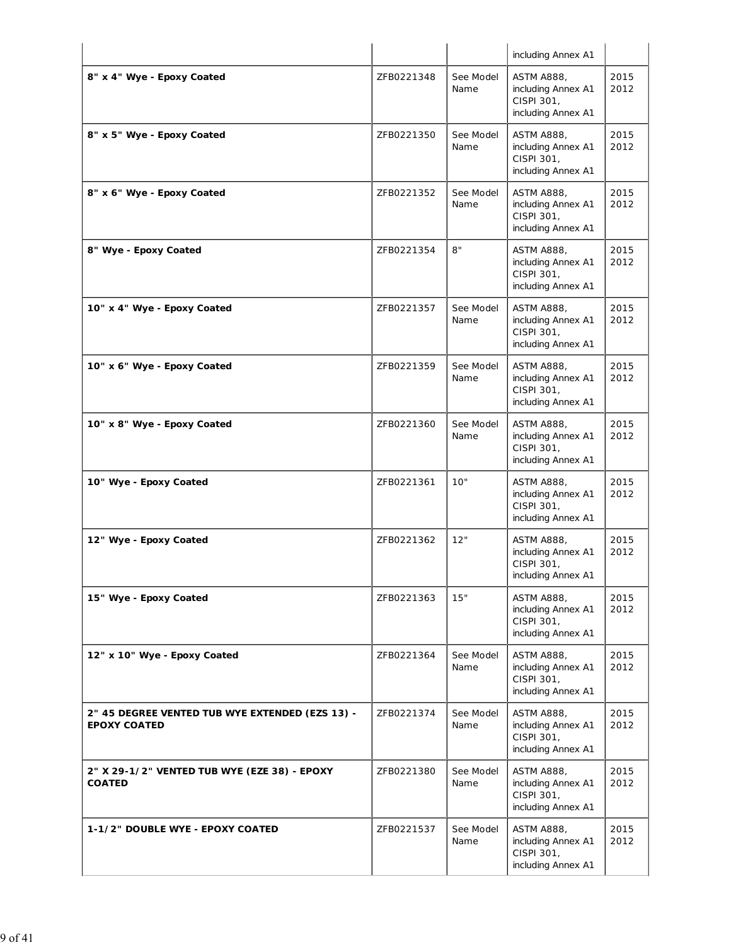|                                                                        |            |                   | including Annex A1                                                          |              |
|------------------------------------------------------------------------|------------|-------------------|-----------------------------------------------------------------------------|--------------|
| 8" x 4" Wye - Epoxy Coated                                             | ZFB0221348 | See Model<br>Name | <b>ASTM A888,</b><br>including Annex A1<br>CISPI 301,<br>including Annex A1 | 2015<br>2012 |
| 8" x 5" Wye - Epoxy Coated                                             | ZFB0221350 | See Model<br>Name | <b>ASTM A888,</b><br>including Annex A1<br>CISPI 301,<br>including Annex A1 | 2015<br>2012 |
| 8" x 6" Wye - Epoxy Coated                                             | ZFB0221352 | See Model<br>Name | <b>ASTM A888,</b><br>including Annex A1<br>CISPI 301,<br>including Annex A1 | 2015<br>2012 |
| 8" Wye - Epoxy Coated                                                  | ZFB0221354 | 8"                | <b>ASTM A888,</b><br>including Annex A1<br>CISPI 301,<br>including Annex A1 | 2015<br>2012 |
| 10" x 4" Wye - Epoxy Coated                                            | ZFB0221357 | See Model<br>Name | <b>ASTM A888,</b><br>including Annex A1<br>CISPI 301,<br>including Annex A1 | 2015<br>2012 |
| 10" x 6" Wye - Epoxy Coated                                            | ZFB0221359 | See Model<br>Name | <b>ASTM A888,</b><br>including Annex A1<br>CISPI 301,<br>including Annex A1 | 2015<br>2012 |
| 10" x 8" Wye - Epoxy Coated                                            | ZFB0221360 | See Model<br>Name | <b>ASTM A888,</b><br>including Annex A1<br>CISPI 301,<br>including Annex A1 | 2015<br>2012 |
| 10" Wye - Epoxy Coated                                                 | ZFB0221361 | 10"               | <b>ASTM A888,</b><br>including Annex A1<br>CISPI 301,<br>including Annex A1 | 2015<br>2012 |
| 12" Wye - Epoxy Coated                                                 | ZFB0221362 | 12"               | ASTM A888,<br>including Annex A1<br>CISPI 301,<br>including Annex A1        | 2015<br>2012 |
| 15" Wye - Epoxy Coated                                                 | ZFB0221363 | 15"               | <b>ASTM A888,</b><br>including Annex A1<br>CISPI 301,<br>including Annex A1 | 2015<br>2012 |
| 12" x 10" Wye - Epoxy Coated                                           | ZFB0221364 | See Model<br>Name | <b>ASTM A888,</b><br>including Annex A1<br>CISPI 301,<br>including Annex A1 | 2015<br>2012 |
| 2" 45 DEGREE VENTED TUB WYE EXTENDED (EZS 13) -<br><b>EPOXY COATED</b> | ZFB0221374 | See Model<br>Name | <b>ASTM A888,</b><br>including Annex A1<br>CISPI 301,<br>including Annex A1 | 2015<br>2012 |
| 2" X 29-1/2" VENTED TUB WYE (EZE 38) - EPOXY<br><b>COATED</b>          | ZFB0221380 | See Model<br>Name | <b>ASTM A888,</b><br>including Annex A1<br>CISPI 301,<br>including Annex A1 | 2015<br>2012 |
| 1-1/2" DOUBLE WYE - EPOXY COATED                                       | ZFB0221537 | See Model<br>Name | <b>ASTM A888,</b><br>including Annex A1<br>CISPI 301,<br>including Annex A1 | 2015<br>2012 |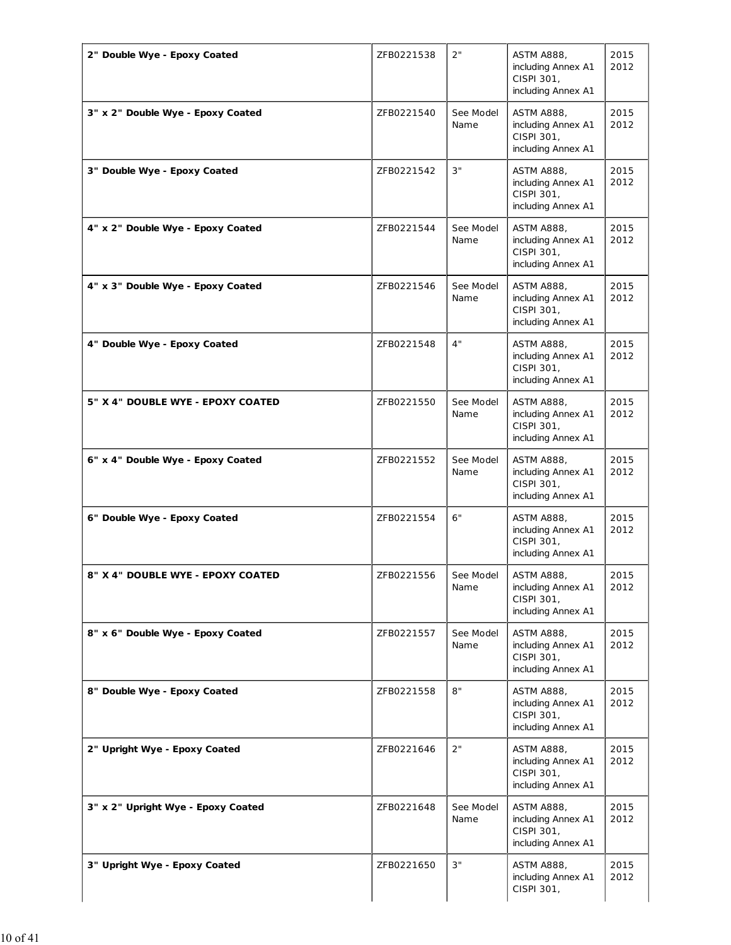| 2" Double Wye - Epoxy Coated       | ZFB0221538 | 2"                | <b>ASTM A888,</b><br>including Annex A1<br>CISPI 301,<br>including Annex A1 | 2015<br>2012 |
|------------------------------------|------------|-------------------|-----------------------------------------------------------------------------|--------------|
| 3" x 2" Double Wye - Epoxy Coated  | ZFB0221540 | See Model<br>Name | <b>ASTM A888,</b><br>including Annex A1<br>CISPI 301,<br>including Annex A1 | 2015<br>2012 |
| 3" Double Wye - Epoxy Coated       | ZFB0221542 | 3"                | <b>ASTM A888.</b><br>including Annex A1<br>CISPI 301,<br>including Annex A1 | 2015<br>2012 |
| 4" x 2" Double Wye - Epoxy Coated  | ZFB0221544 | See Model<br>Name | <b>ASTM A888,</b><br>including Annex A1<br>CISPI 301,<br>including Annex A1 | 2015<br>2012 |
| 4" x 3" Double Wye - Epoxy Coated  | ZFB0221546 | See Model<br>Name | <b>ASTM A888,</b><br>including Annex A1<br>CISPI 301,<br>including Annex A1 | 2015<br>2012 |
| 4" Double Wye - Epoxy Coated       | ZFB0221548 | 4"                | <b>ASTM A888,</b><br>including Annex A1<br>CISPI 301,<br>including Annex A1 | 2015<br>2012 |
| 5" X 4" DOUBLE WYE - EPOXY COATED  | ZFB0221550 | See Model<br>Name | <b>ASTM A888,</b><br>including Annex A1<br>CISPI 301,<br>including Annex A1 | 2015<br>2012 |
| 6" x 4" Double Wye - Epoxy Coated  | ZFB0221552 | See Model<br>Name | <b>ASTM A888,</b><br>including Annex A1<br>CISPI 301,<br>including Annex A1 | 2015<br>2012 |
| 6" Double Wye - Epoxy Coated       | ZFB0221554 | 6"                | <b>ASTM A888,</b><br>including Annex A1<br>CISPI 301,<br>including Annex A1 | 2015<br>2012 |
| 8" X 4" DOUBLE WYE - EPOXY COATED  | ZFB0221556 | See Model<br>Name | <b>ASTM A888,</b><br>including Annex A1<br>CISPI 301,<br>including Annex A1 | 2015<br>2012 |
| 8" x 6" Double Wye - Epoxy Coated  | ZFB0221557 | See Model<br>Name | <b>ASTM A888,</b><br>including Annex A1<br>CISPI 301,<br>including Annex A1 | 2015<br>2012 |
| 8" Double Wye - Epoxy Coated       | ZFB0221558 | 8"                | <b>ASTM A888,</b><br>including Annex A1<br>CISPI 301,<br>including Annex A1 | 2015<br>2012 |
| 2" Upright Wye - Epoxy Coated      | ZFB0221646 | 2"                | <b>ASTM A888,</b><br>including Annex A1<br>CISPI 301,<br>including Annex A1 | 2015<br>2012 |
| 3" x 2" Upright Wye - Epoxy Coated | ZFB0221648 | See Model<br>Name | <b>ASTM A888,</b><br>including Annex A1<br>CISPI 301,<br>including Annex A1 | 2015<br>2012 |
| 3" Upright Wye - Epoxy Coated      | ZFB0221650 | 3"                | <b>ASTM A888,</b><br>including Annex A1<br>CISPI 301,                       | 2015<br>2012 |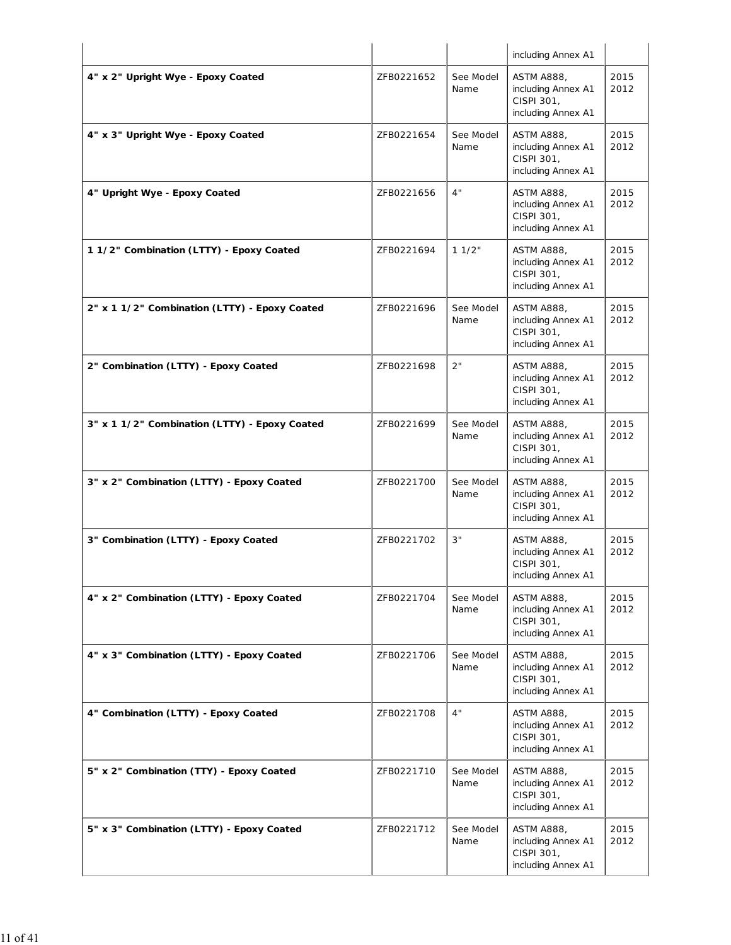|                                               |            |                   | including Annex A1                                                          |              |
|-----------------------------------------------|------------|-------------------|-----------------------------------------------------------------------------|--------------|
| 4" x 2" Upright Wye - Epoxy Coated            | ZFB0221652 | See Model<br>Name | <b>ASTM A888,</b><br>including Annex A1<br>CISPI 301,<br>including Annex A1 | 2015<br>2012 |
| 4" x 3" Upright Wye - Epoxy Coated            | ZFB0221654 | See Model<br>Name | <b>ASTM A888,</b><br>including Annex A1<br>CISPI 301,<br>including Annex A1 | 2015<br>2012 |
| 4" Upright Wye - Epoxy Coated                 | ZFB0221656 | 4"                | <b>ASTM A888,</b><br>including Annex A1<br>CISPI 301,<br>including Annex A1 | 2015<br>2012 |
| 11/2" Combination (LTTY) - Epoxy Coated       | ZFB0221694 | 11/2"             | <b>ASTM A888,</b><br>including Annex A1<br>CISPI 301,<br>including Annex A1 | 2015<br>2012 |
| 2" x 1 1/2" Combination (LTTY) - Epoxy Coated | ZFB0221696 | See Model<br>Name | <b>ASTM A888,</b><br>including Annex A1<br>CISPI 301,<br>including Annex A1 | 2015<br>2012 |
| 2" Combination (LTTY) - Epoxy Coated          | ZFB0221698 | 2"                | <b>ASTM A888,</b><br>including Annex A1<br>CISPI 301,<br>including Annex A1 | 2015<br>2012 |
| 3" x 1 1/2" Combination (LTTY) - Epoxy Coated | ZFB0221699 | See Model<br>Name | <b>ASTM A888,</b><br>including Annex A1<br>CISPI 301,<br>including Annex A1 | 2015<br>2012 |
| 3" x 2" Combination (LTTY) - Epoxy Coated     | ZFB0221700 | See Model<br>Name | <b>ASTM A888,</b><br>including Annex A1<br>CISPI 301,<br>including Annex A1 | 2015<br>2012 |
| 3" Combination (LTTY) - Epoxy Coated          | ZFB0221702 | 3"                | ASTM A888,<br>including Annex A1<br>CISPI 301,<br>including Annex A1        | 2015<br>2012 |
| 4" x 2" Combination (LTTY) - Epoxy Coated     | ZFB0221704 | See Model<br>Name | <b>ASTM A888,</b><br>including Annex A1<br>CISPI 301,<br>including Annex A1 | 2015<br>2012 |
| 4" x 3" Combination (LTTY) - Epoxy Coated     | ZFB0221706 | See Model<br>Name | <b>ASTM A888,</b><br>including Annex A1<br>CISPI 301,<br>including Annex A1 | 2015<br>2012 |
| 4" Combination (LTTY) - Epoxy Coated          | ZFB0221708 | 4"                | <b>ASTM A888,</b><br>including Annex A1<br>CISPI 301,<br>including Annex A1 | 2015<br>2012 |
| 5" x 2" Combination (TTY) - Epoxy Coated      | ZFB0221710 | See Model<br>Name | <b>ASTM A888,</b><br>including Annex A1<br>CISPI 301,<br>including Annex A1 | 2015<br>2012 |
| 5" x 3" Combination (LTTY) - Epoxy Coated     | ZFB0221712 | See Model<br>Name | <b>ASTM A888,</b><br>including Annex A1<br>CISPI 301,<br>including Annex A1 | 2015<br>2012 |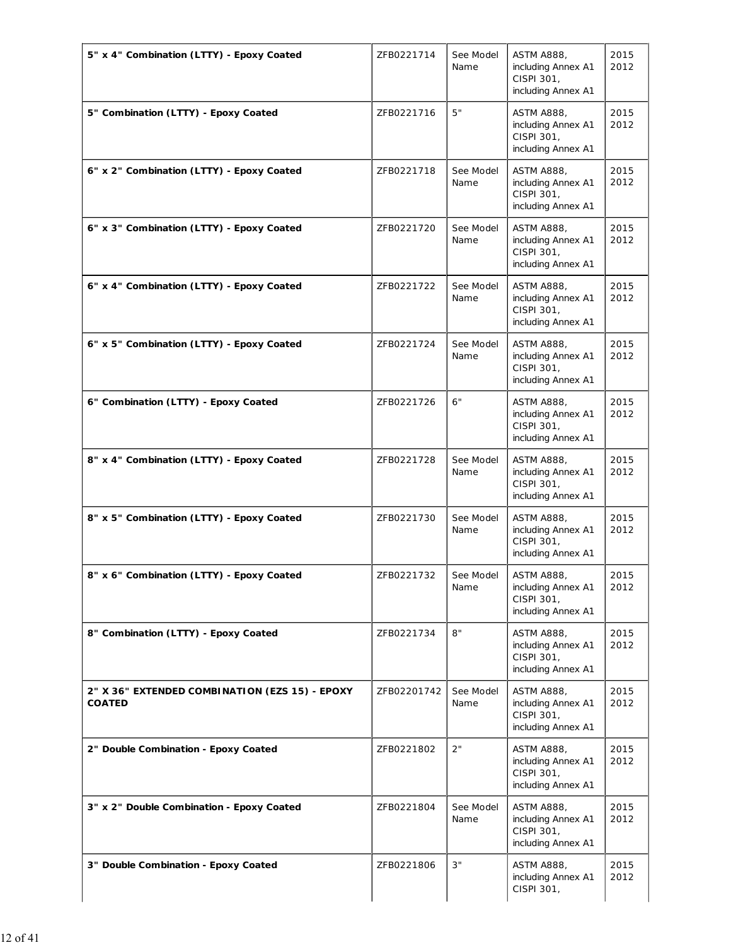| 5" x 4" Combination (LTTY) - Epoxy Coated                       | ZFB0221714  | See Model<br>Name | <b>ASTM A888,</b><br>including Annex A1<br>CISPI 301,<br>including Annex A1 | 2015<br>2012 |
|-----------------------------------------------------------------|-------------|-------------------|-----------------------------------------------------------------------------|--------------|
| 5" Combination (LTTY) - Epoxy Coated                            | ZFB0221716  | 5"                | <b>ASTM A888,</b><br>including Annex A1<br>CISPI 301,<br>including Annex A1 | 2015<br>2012 |
| 6" x 2" Combination (LTTY) - Epoxy Coated                       | ZFB0221718  | See Model<br>Name | <b>ASTM A888.</b><br>including Annex A1<br>CISPI 301,<br>including Annex A1 | 2015<br>2012 |
| 6" x 3" Combination (LTTY) - Epoxy Coated                       | ZFB0221720  | See Model<br>Name | <b>ASTM A888,</b><br>including Annex A1<br>CISPI 301,<br>including Annex A1 | 2015<br>2012 |
| 6" x 4" Combination (LTTY) - Epoxy Coated                       | ZFB0221722  | See Model<br>Name | <b>ASTM A888,</b><br>including Annex A1<br>CISPI 301,<br>including Annex A1 | 2015<br>2012 |
| 6" x 5" Combination (LTTY) - Epoxy Coated                       | ZFB0221724  | See Model<br>Name | <b>ASTM A888,</b><br>including Annex A1<br>CISPI 301,<br>including Annex A1 | 2015<br>2012 |
| 6" Combination (LTTY) - Epoxy Coated                            | ZFB0221726  | 6"                | <b>ASTM A888,</b><br>including Annex A1<br>CISPI 301,<br>including Annex A1 | 2015<br>2012 |
| 8" x 4" Combination (LTTY) - Epoxy Coated                       | ZFB0221728  | See Model<br>Name | <b>ASTM A888,</b><br>including Annex A1<br>CISPI 301,<br>including Annex A1 | 2015<br>2012 |
| 8" x 5" Combination (LTTY) - Epoxy Coated                       | ZFB0221730  | See Model<br>Name | <b>ASTM A888,</b><br>including Annex A1<br>CISPI 301,<br>including Annex A1 | 2015<br>2012 |
| 8" x 6" Combination (LTTY) - Epoxy Coated                       | ZFB0221732  | See Model<br>Name | <b>ASTM A888,</b><br>including Annex A1<br>CISPI 301,<br>including Annex A1 | 2015<br>2012 |
| 8" Combination (LTTY) - Epoxy Coated                            | ZFB0221734  | 8"                | <b>ASTM A888,</b><br>including Annex A1<br>CISPI 301,<br>including Annex A1 | 2015<br>2012 |
| 2" X 36" EXTENDED COMBINATION (EZS 15) - EPOXY<br><b>COATED</b> | ZFB02201742 | See Model<br>Name | <b>ASTM A888,</b><br>including Annex A1<br>CISPI 301,<br>including Annex A1 | 2015<br>2012 |
| 2" Double Combination - Epoxy Coated                            | ZFB0221802  | 2"                | <b>ASTM A888,</b><br>including Annex A1<br>CISPI 301,<br>including Annex A1 | 2015<br>2012 |
| 3" x 2" Double Combination - Epoxy Coated                       | ZFB0221804  | See Model<br>Name | <b>ASTM A888,</b><br>including Annex A1<br>CISPI 301,<br>including Annex A1 | 2015<br>2012 |
| 3" Double Combination - Epoxy Coated                            | ZFB0221806  | 3"                | <b>ASTM A888,</b><br>including Annex A1<br>CISPI 301,                       | 2015<br>2012 |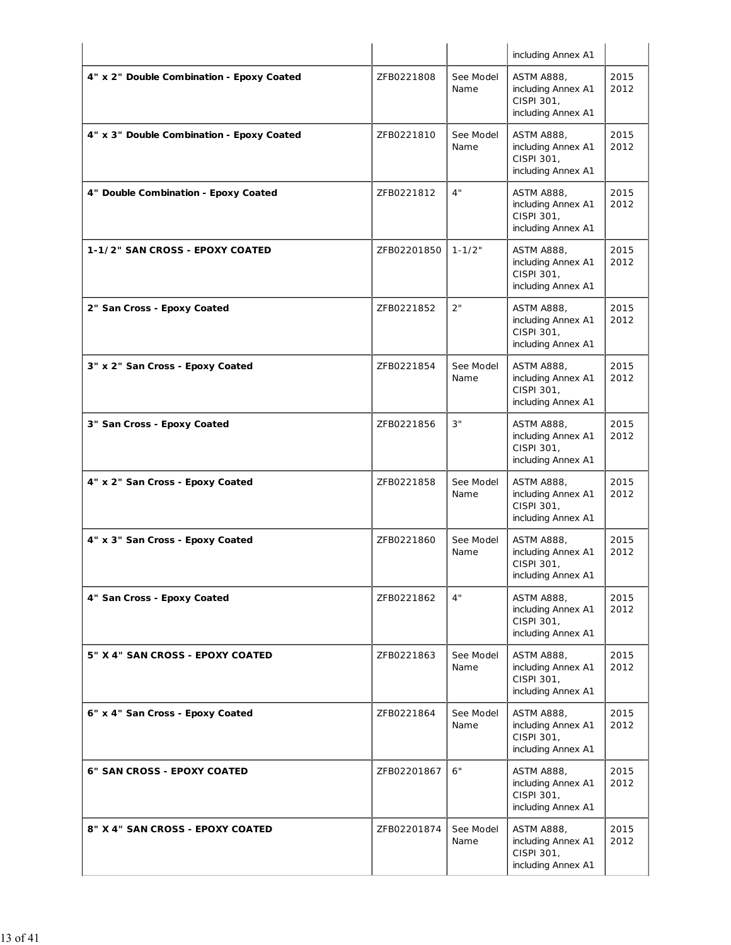|                                           |             |                   | including Annex A1                                                          |              |
|-------------------------------------------|-------------|-------------------|-----------------------------------------------------------------------------|--------------|
| 4" x 2" Double Combination - Epoxy Coated | ZFB0221808  | See Model<br>Name | <b>ASTM A888,</b><br>including Annex A1<br>CISPI 301,<br>including Annex A1 | 2015<br>2012 |
| 4" x 3" Double Combination - Epoxy Coated | ZFB0221810  | See Model<br>Name | <b>ASTM A888,</b><br>including Annex A1<br>CISPI 301,<br>including Annex A1 | 2015<br>2012 |
| 4" Double Combination - Epoxy Coated      | ZFB0221812  | 4"                | <b>ASTM A888,</b><br>including Annex A1<br>CISPI 301,<br>including Annex A1 | 2015<br>2012 |
| 1-1/2" SAN CROSS - EPOXY COATED           | ZFB02201850 | $1 - 1/2"$        | <b>ASTM A888,</b><br>including Annex A1<br>CISPI 301,<br>including Annex A1 | 2015<br>2012 |
| 2" San Cross - Epoxy Coated               | ZFB0221852  | 2"                | <b>ASTM A888,</b><br>including Annex A1<br>CISPI 301,<br>including Annex A1 | 2015<br>2012 |
| 3" x 2" San Cross - Epoxy Coated          | ZFB0221854  | See Model<br>Name | <b>ASTM A888,</b><br>including Annex A1<br>CISPI 301,<br>including Annex A1 | 2015<br>2012 |
| 3" San Cross - Epoxy Coated               | ZFB0221856  | 3"                | <b>ASTM A888,</b><br>including Annex A1<br>CISPI 301,<br>including Annex A1 | 2015<br>2012 |
| 4" x 2" San Cross - Epoxy Coated          | ZFB0221858  | See Model<br>Name | <b>ASTM A888,</b><br>including Annex A1<br>CISPI 301,<br>including Annex A1 | 2015<br>2012 |
| 4" x 3" San Cross - Epoxy Coated          | ZFB0221860  | See Model<br>Name | <b>ASTM A888,</b><br>including Annex A1<br>CISPI 301,<br>including Annex A1 | 2015<br>2012 |
| 4" San Cross - Epoxy Coated               | ZFB0221862  | 4"                | ASTM A888,<br>including Annex A1<br>CISPI 301,<br>including Annex A1        | 2015<br>2012 |
| 5" X 4" SAN CROSS - EPOXY COATED          | ZFB0221863  | See Model<br>Name | <b>ASTM A888,</b><br>including Annex A1<br>CISPI 301,<br>including Annex A1 | 2015<br>2012 |
| 6" x 4" San Cross - Epoxy Coated          | ZFB0221864  | See Model<br>Name | <b>ASTM A888,</b><br>including Annex A1<br>CISPI 301,<br>including Annex A1 | 2015<br>2012 |
| <b>6" SAN CROSS - EPOXY COATED</b>        | ZFB02201867 | 6"                | <b>ASTM A888,</b><br>including Annex A1<br>CISPI 301,<br>including Annex A1 | 2015<br>2012 |
| 8" X 4" SAN CROSS - EPOXY COATED          | ZFB02201874 | See Model<br>Name | <b>ASTM A888,</b><br>including Annex A1<br>CISPI 301,<br>including Annex A1 | 2015<br>2012 |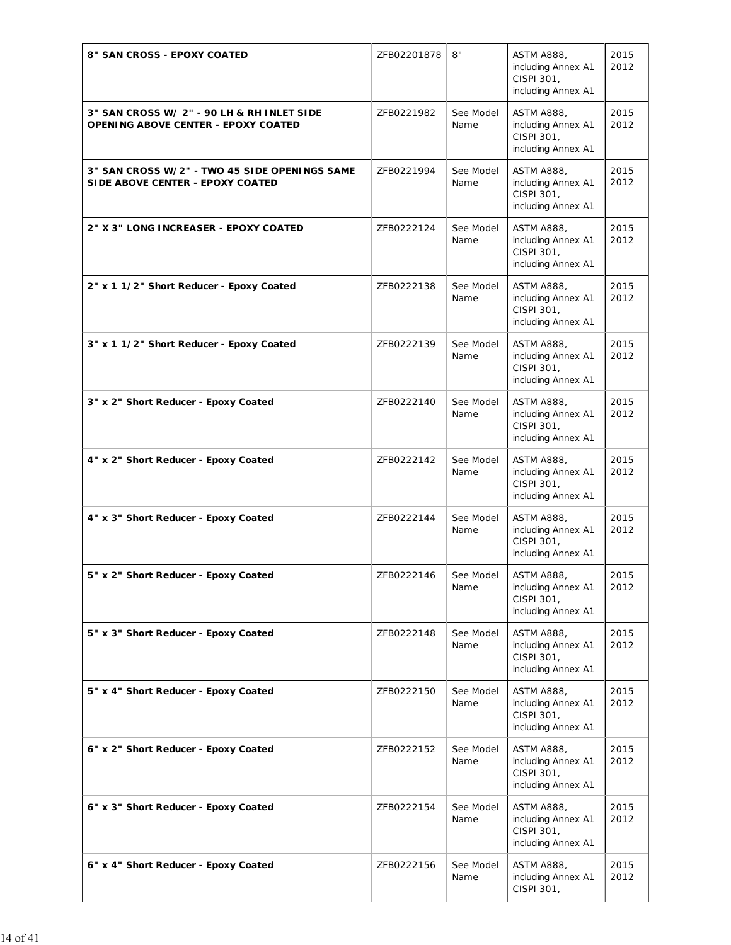| 8" SAN CROSS - EPOXY COATED                                                              | ZFB02201878 | 8"                | <b>ASTM A888,</b><br>including Annex A1<br>CISPI 301,<br>including Annex A1 | 2015<br>2012 |
|------------------------------------------------------------------------------------------|-------------|-------------------|-----------------------------------------------------------------------------|--------------|
| 3" SAN CROSS W/ 2" - 90 LH & RH INLET SIDE<br><b>OPENING ABOVE CENTER - EPOXY COATED</b> | ZFB0221982  | See Model<br>Name | <b>ASTM A888,</b><br>including Annex A1<br>CISPI 301,<br>including Annex A1 | 2015<br>2012 |
| 3" SAN CROSS W/2" - TWO 45 SIDE OPENINGS SAME<br>SIDE ABOVE CENTER - EPOXY COATED        | ZFB0221994  | See Model<br>Name | <b>ASTM A888,</b><br>including Annex A1<br>CISPI 301,<br>including Annex A1 | 2015<br>2012 |
| 2" X 3" LONG INCREASER - EPOXY COATED                                                    | ZFB0222124  | See Model<br>Name | <b>ASTM A888,</b><br>including Annex A1<br>CISPI 301,<br>including Annex A1 | 2015<br>2012 |
| 2" x 1 1/2" Short Reducer - Epoxy Coated                                                 | ZFB0222138  | See Model<br>Name | <b>ASTM A888,</b><br>including Annex A1<br>CISPI 301,<br>including Annex A1 | 2015<br>2012 |
| 3" x 1 1/2" Short Reducer - Epoxy Coated                                                 | ZFB0222139  | See Model<br>Name | <b>ASTM A888,</b><br>including Annex A1<br>CISPI 301,<br>including Annex A1 | 2015<br>2012 |
| 3" x 2" Short Reducer - Epoxy Coated                                                     | ZFB0222140  | See Model<br>Name | <b>ASTM A888,</b><br>including Annex A1<br>CISPI 301,<br>including Annex A1 | 2015<br>2012 |
| 4" x 2" Short Reducer - Epoxy Coated                                                     | ZFB0222142  | See Model<br>Name | <b>ASTM A888,</b><br>including Annex A1<br>CISPI 301,<br>including Annex A1 | 2015<br>2012 |
| 4" x 3" Short Reducer - Epoxy Coated                                                     | ZFB0222144  | See Model<br>Name | <b>ASTM A888,</b><br>including Annex A1<br>CISPI 301,<br>including Annex A1 | 2015<br>2012 |
| 5" x 2" Short Reducer - Epoxy Coated                                                     | ZFB0222146  | See Model<br>Name | <b>ASTM A888,</b><br>including Annex A1<br>CISPI 301,<br>including Annex A1 | 2015<br>2012 |
| 5" x 3" Short Reducer - Epoxy Coated                                                     | ZFB0222148  | See Model<br>Name | <b>ASTM A888,</b><br>including Annex A1<br>CISPI 301,<br>including Annex A1 | 2015<br>2012 |
| 5" x 4" Short Reducer - Epoxy Coated                                                     | ZFB0222150  | See Model<br>Name | <b>ASTM A888,</b><br>including Annex A1<br>CISPI 301,<br>including Annex A1 | 2015<br>2012 |
| 6" x 2" Short Reducer - Epoxy Coated                                                     | ZFB0222152  | See Model<br>Name | <b>ASTM A888,</b><br>including Annex A1<br>CISPI 301,<br>including Annex A1 | 2015<br>2012 |
| 6" x 3" Short Reducer - Epoxy Coated                                                     | ZFB0222154  | See Model<br>Name | <b>ASTM A888,</b><br>including Annex A1<br>CISPI 301,<br>including Annex A1 | 2015<br>2012 |
| 6" x 4" Short Reducer - Epoxy Coated                                                     | ZFB0222156  | See Model<br>Name | <b>ASTM A888,</b><br>including Annex A1<br>CISPI 301,                       | 2015<br>2012 |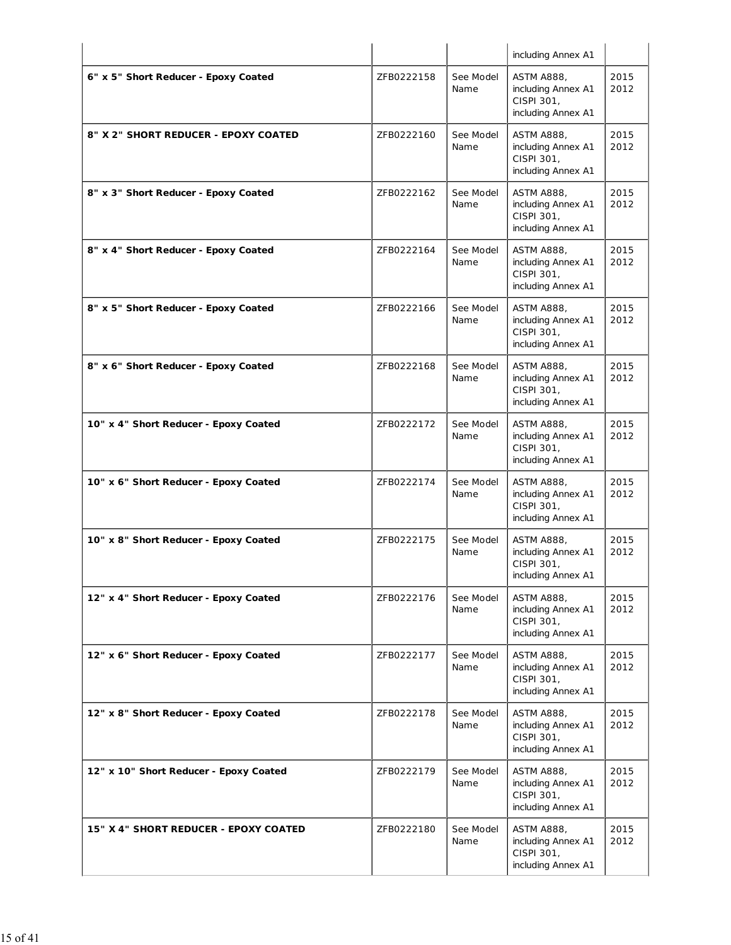|                                        |            |                   | including Annex A1                                                          |              |
|----------------------------------------|------------|-------------------|-----------------------------------------------------------------------------|--------------|
| 6" x 5" Short Reducer - Epoxy Coated   | ZFB0222158 | See Model<br>Name | <b>ASTM A888,</b><br>including Annex A1<br>CISPI 301,<br>including Annex A1 | 2015<br>2012 |
| 8" X 2" SHORT REDUCER - EPOXY COATED   | ZFB0222160 | See Model<br>Name | <b>ASTM A888,</b><br>including Annex A1<br>CISPI 301,<br>including Annex A1 | 2015<br>2012 |
| 8" x 3" Short Reducer - Epoxy Coated   | ZFB0222162 | See Model<br>Name | <b>ASTM A888,</b><br>including Annex A1<br>CISPI 301,<br>including Annex A1 | 2015<br>2012 |
| 8" x 4" Short Reducer - Epoxy Coated   | ZFB0222164 | See Model<br>Name | <b>ASTM A888,</b><br>including Annex A1<br>CISPI 301,<br>including Annex A1 | 2015<br>2012 |
| 8" x 5" Short Reducer - Epoxy Coated   | ZFB0222166 | See Model<br>Name | <b>ASTM A888,</b><br>including Annex A1<br>CISPI 301,<br>including Annex A1 | 2015<br>2012 |
| 8" x 6" Short Reducer - Epoxy Coated   | ZFB0222168 | See Model<br>Name | <b>ASTM A888,</b><br>including Annex A1<br>CISPI 301,<br>including Annex A1 | 2015<br>2012 |
| 10" x 4" Short Reducer - Epoxy Coated  | ZFB0222172 | See Model<br>Name | <b>ASTM A888,</b><br>including Annex A1<br>CISPI 301,<br>including Annex A1 | 2015<br>2012 |
| 10" x 6" Short Reducer - Epoxy Coated  | ZFB0222174 | See Model<br>Name | <b>ASTM A888,</b><br>including Annex A1<br>CISPI 301,<br>including Annex A1 | 2015<br>2012 |
| 10" x 8" Short Reducer - Epoxy Coated  | ZFB0222175 | See Model<br>Name | <b>ASTM A888,</b><br>including Annex A1<br>CISPI 301,<br>including Annex A1 | 2015<br>2012 |
| 12" x 4" Short Reducer - Epoxy Coated  | ZFB0222176 | See Model<br>Name | <b>ASTM A888,</b><br>including Annex A1<br>CISPI 301,<br>including Annex A1 | 2015<br>2012 |
| 12" x 6" Short Reducer - Epoxy Coated  | ZFB0222177 | See Model<br>Name | <b>ASTM A888,</b><br>including Annex A1<br>CISPI 301,<br>including Annex A1 | 2015<br>2012 |
| 12" x 8" Short Reducer - Epoxy Coated  | ZFB0222178 | See Model<br>Name | <b>ASTM A888,</b><br>including Annex A1<br>CISPI 301,<br>including Annex A1 | 2015<br>2012 |
| 12" x 10" Short Reducer - Epoxy Coated | ZFB0222179 | See Model<br>Name | <b>ASTM A888,</b><br>including Annex A1<br>CISPI 301,<br>including Annex A1 | 2015<br>2012 |
| 15" X 4" SHORT REDUCER - EPOXY COATED  | ZFB0222180 | See Model<br>Name | <b>ASTM A888,</b><br>including Annex A1<br>CISPI 301,<br>including Annex A1 | 2015<br>2012 |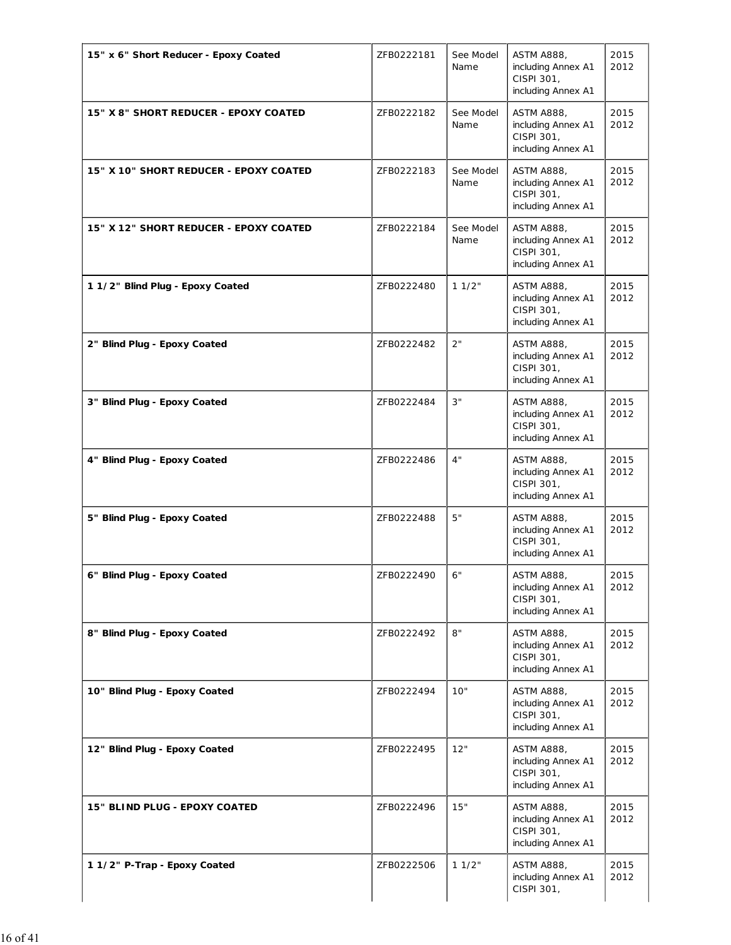| 15" x 6" Short Reducer - Epoxy Coated  | ZFB0222181 | See Model<br>Name | <b>ASTM A888,</b><br>including Annex A1<br>CISPI 301,<br>including Annex A1 | 2015<br>2012 |
|----------------------------------------|------------|-------------------|-----------------------------------------------------------------------------|--------------|
| 15" X 8" SHORT REDUCER - EPOXY COATED  | ZFB0222182 | See Model<br>Name | <b>ASTM A888,</b><br>including Annex A1<br>CISPI 301,<br>including Annex A1 | 2015<br>2012 |
| 15" X 10" SHORT REDUCER - EPOXY COATED | ZFB0222183 | See Model<br>Name | <b>ASTM A888,</b><br>including Annex A1<br>CISPI 301,<br>including Annex A1 | 2015<br>2012 |
| 15" X 12" SHORT REDUCER - EPOXY COATED | ZFB0222184 | See Model<br>Name | <b>ASTM A888,</b><br>including Annex A1<br>CISPI 301,<br>including Annex A1 | 2015<br>2012 |
| 1 1/2" Blind Plug - Epoxy Coated       | ZFB0222480 | 11/2"             | <b>ASTM A888,</b><br>including Annex A1<br>CISPI 301,<br>including Annex A1 | 2015<br>2012 |
| 2" Blind Plug - Epoxy Coated           | ZFB0222482 | 2"                | <b>ASTM A888,</b><br>including Annex A1<br>CISPI 301,<br>including Annex A1 | 2015<br>2012 |
| 3" Blind Plug - Epoxy Coated           | ZFB0222484 | 3"                | <b>ASTM A888,</b><br>including Annex A1<br>CISPI 301,<br>including Annex A1 | 2015<br>2012 |
| 4" Blind Plug - Epoxy Coated           | ZFB0222486 | 4"                | <b>ASTM A888,</b><br>including Annex A1<br>CISPI 301,<br>including Annex A1 | 2015<br>2012 |
| 5" Blind Plug - Epoxy Coated           | ZFB0222488 | 5"                | <b>ASTM A888,</b><br>including Annex A1<br>CISPI 301,<br>including Annex A1 | 2015<br>2012 |
| 6" Blind Plug - Epoxy Coated           | ZFB0222490 | 6"                | <b>ASTM A888,</b><br>including Annex A1<br>CISPI 301,<br>including Annex A1 | 2015<br>2012 |
| 8" Blind Plug - Epoxy Coated           | ZFB0222492 | 8"                | <b>ASTM A888,</b><br>including Annex A1<br>CISPI 301,<br>including Annex A1 | 2015<br>2012 |
| 10" Blind Plug - Epoxy Coated          | ZFB0222494 | 10"               | <b>ASTM A888,</b><br>including Annex A1<br>CISPI 301,<br>including Annex A1 | 2015<br>2012 |
| 12" Blind Plug - Epoxy Coated          | ZFB0222495 | 12"               | <b>ASTM A888,</b><br>including Annex A1<br>CISPI 301,<br>including Annex A1 | 2015<br>2012 |
| 15" BLIND PLUG - EPOXY COATED          | ZFB0222496 | 15"               | <b>ASTM A888,</b><br>including Annex A1<br>CISPI 301,<br>including Annex A1 | 2015<br>2012 |
| 1 1/2" P-Trap - Epoxy Coated           | ZFB0222506 | 11/2"             | <b>ASTM A888,</b><br>including Annex A1<br>CISPI 301,                       | 2015<br>2012 |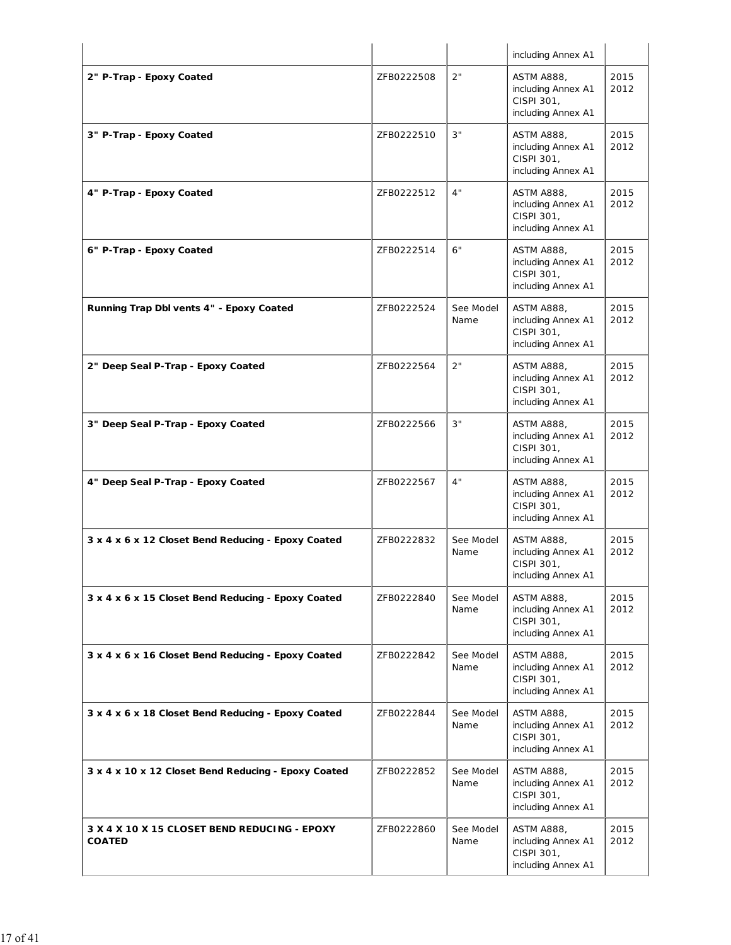|                                                               |            |                   | including Annex A1                                                          |              |
|---------------------------------------------------------------|------------|-------------------|-----------------------------------------------------------------------------|--------------|
| 2" P-Trap - Epoxy Coated                                      | ZFB0222508 | 2"                | <b>ASTM A888,</b><br>including Annex A1<br>CISPI 301,<br>including Annex A1 | 2015<br>2012 |
| 3" P-Trap - Epoxy Coated                                      | ZFB0222510 | 3"                | <b>ASTM A888,</b><br>including Annex A1<br>CISPI 301,<br>including Annex A1 | 2015<br>2012 |
| 4" P-Trap - Epoxy Coated                                      | ZFB0222512 | 4"                | <b>ASTM A888,</b><br>including Annex A1<br>CISPI 301,<br>including Annex A1 | 2015<br>2012 |
| 6" P-Trap - Epoxy Coated                                      | ZFB0222514 | 6"                | ASTM A888,<br>including Annex A1<br>CISPI 301,<br>including Annex A1        | 2015<br>2012 |
| Running Trap Dbl vents 4" - Epoxy Coated                      | ZFB0222524 | See Model<br>Name | <b>ASTM A888,</b><br>including Annex A1<br>CISPI 301,<br>including Annex A1 | 2015<br>2012 |
| 2" Deep Seal P-Trap - Epoxy Coated                            | ZFB0222564 | 2"                | ASTM A888,<br>including Annex A1<br>CISPI 301,<br>including Annex A1        | 2015<br>2012 |
| 3" Deep Seal P-Trap - Epoxy Coated                            | ZFB0222566 | 3"                | <b>ASTM A888,</b><br>including Annex A1<br>CISPI 301,<br>including Annex A1 | 2015<br>2012 |
| 4" Deep Seal P-Trap - Epoxy Coated                            | ZFB0222567 | 4"                | <b>ASTM A888,</b><br>including Annex A1<br>CISPI 301,<br>including Annex A1 | 2015<br>2012 |
| 3 x 4 x 6 x 12 Closet Bend Reducing - Epoxy Coated            | ZFB0222832 | See Model<br>Name | <b>ASTM A888,</b><br>including Annex A1<br>CISPI 301,<br>including Annex A1 | 2015<br>2012 |
| 3 x 4 x 6 x 15 Closet Bend Reducing - Epoxy Coated            | ZFB0222840 | See Model<br>Name | <b>ASTM A888,</b><br>including Annex A1<br>CISPI 301,<br>including Annex A1 | 2015<br>2012 |
| 3 x 4 x 6 x 16 Closet Bend Reducing - Epoxy Coated            | ZFB0222842 | See Model<br>Name | <b>ASTM A888,</b><br>including Annex A1<br>CISPI 301,<br>including Annex A1 | 2015<br>2012 |
| 3 x 4 x 6 x 18 Closet Bend Reducing - Epoxy Coated            | ZFB0222844 | See Model<br>Name | <b>ASTM A888,</b><br>including Annex A1<br>CISPI 301,<br>including Annex A1 | 2015<br>2012 |
| 3 x 4 x 10 x 12 Closet Bend Reducing - Epoxy Coated           | ZFB0222852 | See Model<br>Name | <b>ASTM A888,</b><br>including Annex A1<br>CISPI 301,<br>including Annex A1 | 2015<br>2012 |
| 3 X 4 X 10 X 15 CLOSET BEND REDUCING - EPOXY<br><b>COATED</b> | ZFB0222860 | See Model<br>Name | <b>ASTM A888,</b><br>including Annex A1<br>CISPI 301,<br>including Annex A1 | 2015<br>2012 |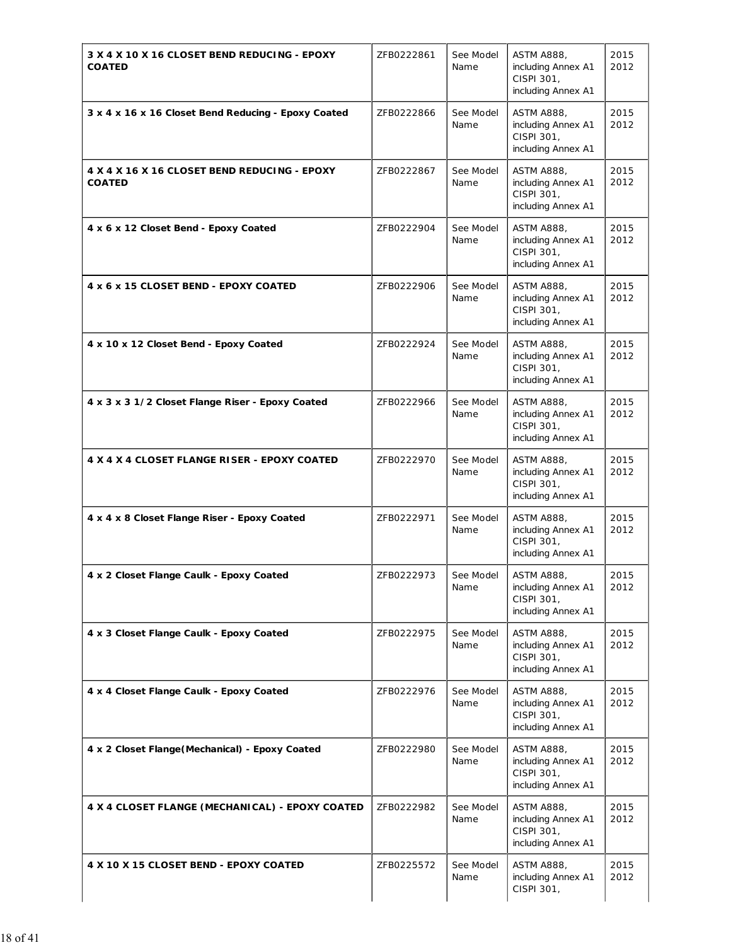| 3 X 4 X 10 X 16 CLOSET BEND REDUCING - EPOXY<br><b>COATED</b> | ZFB0222861 | See Model<br>Name | <b>ASTM A888,</b><br>including Annex A1<br>CISPI 301,<br>including Annex A1 | 2015<br>2012 |
|---------------------------------------------------------------|------------|-------------------|-----------------------------------------------------------------------------|--------------|
| 3 x 4 x 16 x 16 Closet Bend Reducing - Epoxy Coated           | ZFB0222866 | See Model<br>Name | <b>ASTM A888,</b><br>including Annex A1<br>CISPI 301,<br>including Annex A1 | 2015<br>2012 |
| 4 X 4 X 16 X 16 CLOSET BEND REDUCING - EPOXY<br><b>COATED</b> | ZFB0222867 | See Model<br>Name | <b>ASTM A888,</b><br>including Annex A1<br>CISPI 301,<br>including Annex A1 | 2015<br>2012 |
| 4 x 6 x 12 Closet Bend - Epoxy Coated                         | ZFB0222904 | See Model<br>Name | <b>ASTM A888,</b><br>including Annex A1<br>CISPI 301,<br>including Annex A1 | 2015<br>2012 |
| 4 x 6 x 15 CLOSET BEND - EPOXY COATED                         | ZFB0222906 | See Model<br>Name | <b>ASTM A888,</b><br>including Annex A1<br>CISPI 301,<br>including Annex A1 | 2015<br>2012 |
| 4 x 10 x 12 Closet Bend - Epoxy Coated                        | ZFB0222924 | See Model<br>Name | <b>ASTM A888,</b><br>including Annex A1<br>CISPI 301,<br>including Annex A1 | 2015<br>2012 |
| 4 x 3 x 3 1/2 Closet Flange Riser - Epoxy Coated              | ZFB0222966 | See Model<br>Name | <b>ASTM A888,</b><br>including Annex A1<br>CISPI 301,<br>including Annex A1 | 2015<br>2012 |
| 4 X 4 X 4 CLOSET FLANGE RISER - EPOXY COATED                  | ZFB0222970 | See Model<br>Name | <b>ASTM A888,</b><br>including Annex A1<br>CISPI 301,<br>including Annex A1 | 2015<br>2012 |
| 4 x 4 x 8 Closet Flange Riser - Epoxy Coated                  | ZFB0222971 | See Model<br>Name | <b>ASTM A888,</b><br>including Annex A1<br>CISPI 301,<br>including Annex A1 | 2015<br>2012 |
| 4 x 2 Closet Flange Caulk - Epoxy Coated                      | ZFB0222973 | See Model<br>Name | <b>ASTM A888,</b><br>including Annex A1<br>CISPI 301,<br>including Annex A1 | 2015<br>2012 |
| 4 x 3 Closet Flange Caulk - Epoxy Coated                      | ZFB0222975 | See Model<br>Name | <b>ASTM A888,</b><br>including Annex A1<br>CISPI 301,<br>including Annex A1 | 2015<br>2012 |
| 4 x 4 Closet Flange Caulk - Epoxy Coated                      | ZFB0222976 | See Model<br>Name | <b>ASTM A888,</b><br>including Annex A1<br>CISPI 301,<br>including Annex A1 | 2015<br>2012 |
| 4 x 2 Closet Flange (Mechanical) - Epoxy Coated               | ZFB0222980 | See Model<br>Name | <b>ASTM A888,</b><br>including Annex A1<br>CISPI 301,<br>including Annex A1 | 2015<br>2012 |
| 4 X 4 CLOSET FLANGE (MECHANICAL) - EPOXY COATED               | ZFB0222982 | See Model<br>Name | <b>ASTM A888,</b><br>including Annex A1<br>CISPI 301,<br>including Annex A1 | 2015<br>2012 |
| 4 X 10 X 15 CLOSET BEND - EPOXY COATED                        | ZFB0225572 | See Model<br>Name | <b>ASTM A888,</b><br>including Annex A1<br>CISPI 301,                       | 2015<br>2012 |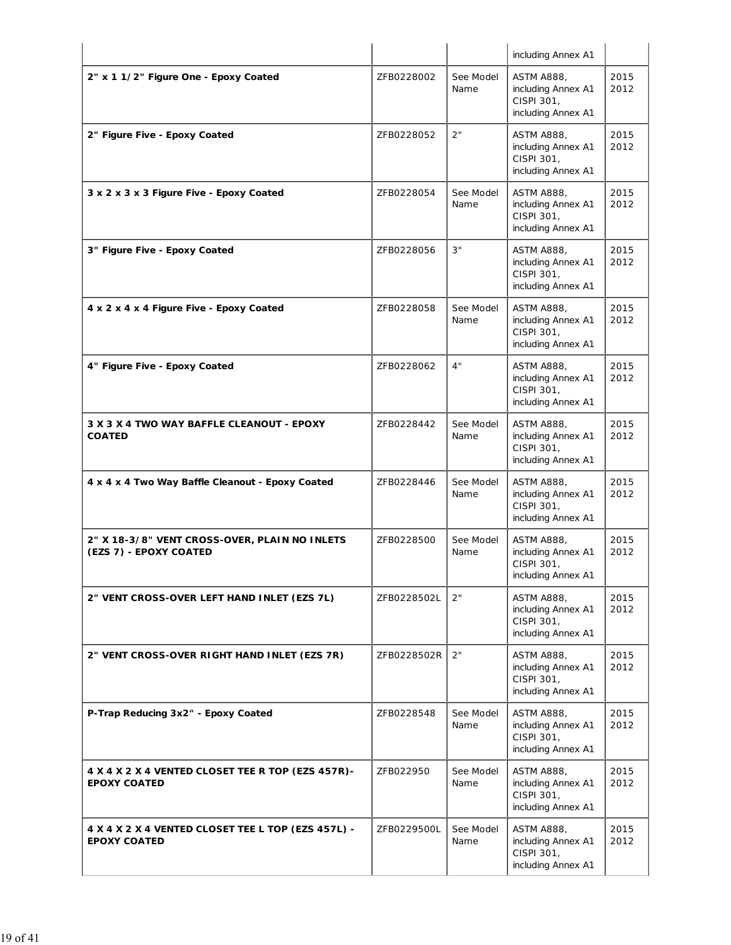|                                                                           |             |                   | including Annex A1                                                          |              |
|---------------------------------------------------------------------------|-------------|-------------------|-----------------------------------------------------------------------------|--------------|
| 2" x 1 1/2" Figure One - Epoxy Coated                                     | ZFB0228002  | See Model<br>Name | <b>ASTM A888,</b><br>including Annex A1<br>CISPI 301,<br>including Annex A1 | 2015<br>2012 |
| 2" Figure Five - Epoxy Coated                                             | ZFB0228052  | 2"                | <b>ASTM A888,</b><br>including Annex A1<br>CISPI 301,<br>including Annex A1 | 2015<br>2012 |
| 3 x 2 x 3 x 3 Figure Five - Epoxy Coated                                  | ZFB0228054  | See Model<br>Name | <b>ASTM A888,</b><br>including Annex A1<br>CISPI 301,<br>including Annex A1 | 2015<br>2012 |
| 3" Figure Five - Epoxy Coated                                             | ZFB0228056  | 3"                | <b>ASTM A888,</b><br>including Annex A1<br>CISPI 301,<br>including Annex A1 | 2015<br>2012 |
| 4 x 2 x 4 x 4 Figure Five - Epoxy Coated                                  | ZFB0228058  | See Model<br>Name | <b>ASTM A888,</b><br>including Annex A1<br>CISPI 301,<br>including Annex A1 | 2015<br>2012 |
| 4" Figure Five - Epoxy Coated                                             | ZFB0228062  | 4"                | <b>ASTM A888,</b><br>including Annex A1<br>CISPI 301,<br>including Annex A1 | 2015<br>2012 |
| 3 X 3 X 4 TWO WAY BAFFLE CLEANOUT - EPOXY<br><b>COATED</b>                | ZFB0228442  | See Model<br>Name | <b>ASTM A888,</b><br>including Annex A1<br>CISPI 301,<br>including Annex A1 | 2015<br>2012 |
| 4 x 4 x 4 Two Way Baffle Cleanout - Epoxy Coated                          | ZFB0228446  | See Model<br>Name | <b>ASTM A888,</b><br>including Annex A1<br>CISPI 301,<br>including Annex A1 | 2015<br>2012 |
| 2" X 18-3/8" VENT CROSS-OVER, PLAIN NO INLETS<br>(EZS 7) - EPOXY COATED   | ZFB0228500  | See Model<br>Name | ASTM A888,<br>including Annex A1<br>CISPI 301,<br>including Annex A1        | 2015<br>2012 |
| 2" VENT CROSS-OVER LEFT HAND INLET (EZS 7L)                               | ZFB0228502L | 2"                | ASTM A888,<br>including Annex A1<br>CISPI 301,<br>including Annex A1        | 2015<br>2012 |
| 2" VENT CROSS-OVER RIGHT HAND INLET (EZS 7R)                              | ZFB0228502R | 2"                | <b>ASTM A888,</b><br>including Annex A1<br>CISPI 301,<br>including Annex A1 | 2015<br>2012 |
| P-Trap Reducing 3x2" - Epoxy Coated                                       | ZFB0228548  | See Model<br>Name | <b>ASTM A888,</b><br>including Annex A1<br>CISPI 301,<br>including Annex A1 | 2015<br>2012 |
| 4 X 4 X 2 X 4 VENTED CLOSET TEE R TOP (EZS 457R)-<br><b>EPOXY COATED</b>  | ZFB022950   | See Model<br>Name | <b>ASTM A888,</b><br>including Annex A1<br>CISPI 301,<br>including Annex A1 | 2015<br>2012 |
| 4 X 4 X 2 X 4 VENTED CLOSET TEE L TOP (EZS 457L) -<br><b>EPOXY COATED</b> | ZFB0229500L | See Model<br>Name | <b>ASTM A888,</b><br>including Annex A1<br>CISPI 301,<br>including Annex A1 | 2015<br>2012 |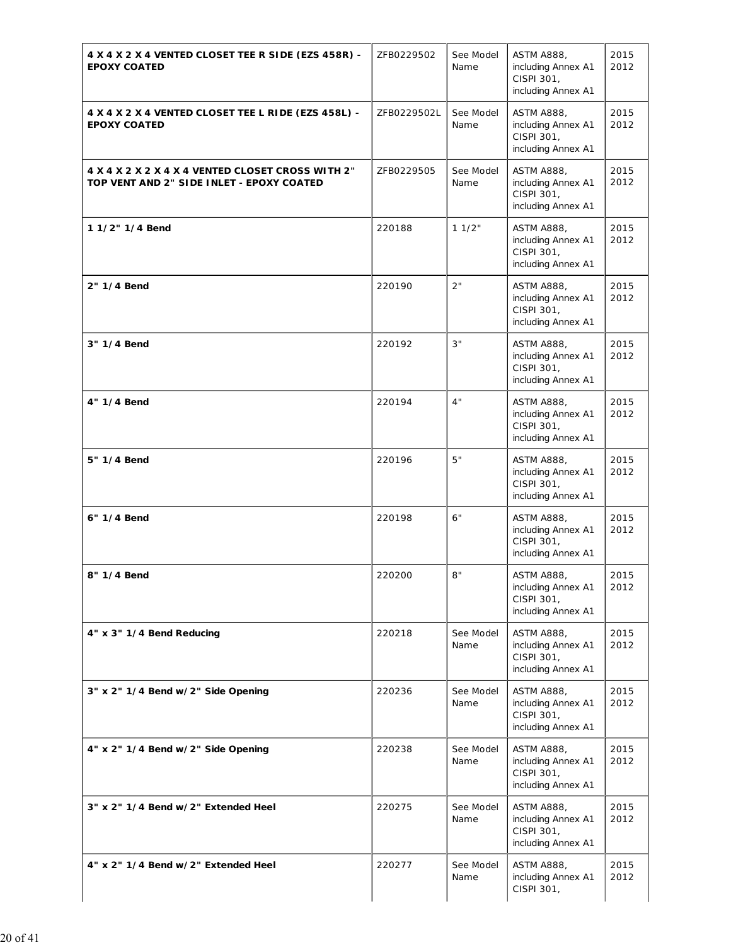| 4 X 4 X 2 X 4 VENTED CLOSET TEE R SIDE (EZS 458R) -<br><b>EPOXY COATED</b>                     | ZFB0229502  | See Model<br>Name | <b>ASTM A888,</b><br>including Annex A1<br>CISPI 301,<br>including Annex A1 | 2015<br>2012 |
|------------------------------------------------------------------------------------------------|-------------|-------------------|-----------------------------------------------------------------------------|--------------|
| 4 X 4 X 2 X 4 VENTED CLOSET TEE L RIDE (EZS 458L) -<br><b>EPOXY COATED</b>                     | ZFB0229502L | See Model<br>Name | <b>ASTM A888,</b><br>including Annex A1<br>CISPI 301,<br>including Annex A1 | 2015<br>2012 |
| 4 X 4 X 2 X 2 X 4 X 4 VENTED CLOSET CROSS WITH 2"<br>TOP VENT AND 2" SIDE INLET - EPOXY COATED | ZFB0229505  | See Model<br>Name | <b>ASTM A888,</b><br>including Annex A1<br>CISPI 301,<br>including Annex A1 | 2015<br>2012 |
| 1 1/2" 1/4 Bend                                                                                | 220188      | 11/2"             | <b>ASTM A888,</b><br>including Annex A1<br>CISPI 301,<br>including Annex A1 | 2015<br>2012 |
| 2" 1/4 Bend                                                                                    | 220190      | 2"                | <b>ASTM A888,</b><br>including Annex A1<br>CISPI 301,<br>including Annex A1 | 2015<br>2012 |
| 3" 1/4 Bend                                                                                    | 220192      | 3"                | <b>ASTM A888,</b><br>including Annex A1<br>CISPI 301,<br>including Annex A1 | 2015<br>2012 |
| 4" 1/4 Bend                                                                                    | 220194      | 4"                | <b>ASTM A888,</b><br>including Annex A1<br>CISPI 301,<br>including Annex A1 | 2015<br>2012 |
| 5" 1/4 Bend                                                                                    | 220196      | 5"                | <b>ASTM A888,</b><br>including Annex A1<br>CISPI 301,<br>including Annex A1 | 2015<br>2012 |
| 6" 1/4 Bend                                                                                    | 220198      | 6"                | <b>ASTM A888,</b><br>including Annex A1<br>CISPI 301,<br>including Annex A1 | 2015<br>2012 |
| 8" 1/4 Bend                                                                                    | 220200      | 8"                | <b>ASTM A888,</b><br>including Annex A1<br>CISPI 301,<br>including Annex A1 | 2015<br>2012 |
| 4" x 3" 1/4 Bend Reducing                                                                      | 220218      | See Model<br>Name | <b>ASTM A888,</b><br>including Annex A1<br>CISPI 301,<br>including Annex A1 | 2015<br>2012 |
| 3" x 2" 1/4 Bend w/2" Side Opening                                                             | 220236      | See Model<br>Name | <b>ASTM A888,</b><br>including Annex A1<br>CISPI 301,<br>including Annex A1 | 2015<br>2012 |
| 4" x 2" 1/4 Bend w/2" Side Opening                                                             | 220238      | See Model<br>Name | <b>ASTM A888,</b><br>including Annex A1<br>CISPI 301,<br>including Annex A1 | 2015<br>2012 |
| 3" x 2" 1/4 Bend w/2" Extended Heel                                                            | 220275      | See Model<br>Name | <b>ASTM A888,</b><br>including Annex A1<br>CISPI 301,<br>including Annex A1 | 2015<br>2012 |
| 4" x 2" 1/4 Bend w/2" Extended Heel                                                            | 220277      | See Model<br>Name | <b>ASTM A888,</b><br>including Annex A1<br>CISPI 301,                       | 2015<br>2012 |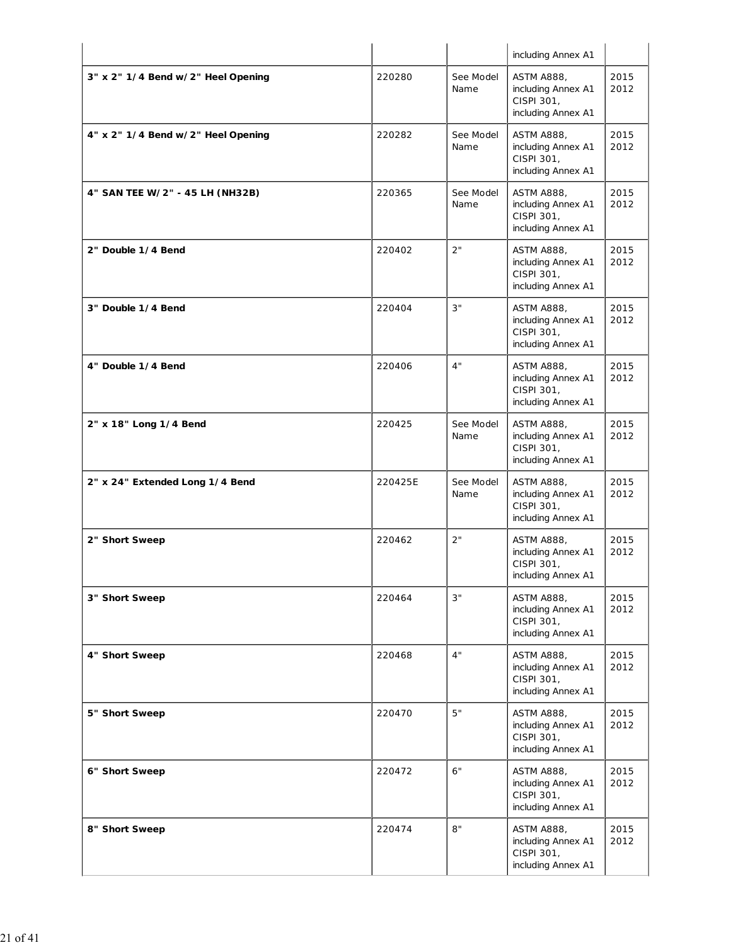|                                    |         |                   | including Annex A1                                                          |              |
|------------------------------------|---------|-------------------|-----------------------------------------------------------------------------|--------------|
| 3" x 2" 1/4 Bend w/2" Heel Opening | 220280  | See Model<br>Name | <b>ASTM A888,</b><br>including Annex A1<br>CISPI 301,<br>including Annex A1 | 2015<br>2012 |
| 4" x 2" 1/4 Bend w/2" Heel Opening | 220282  | See Model<br>Name | <b>ASTM A888,</b><br>including Annex A1<br>CISPI 301,<br>including Annex A1 | 2015<br>2012 |
| 4" SAN TEE W/2" - 45 LH (NH32B)    | 220365  | See Model<br>Name | ASTM A888,<br>including Annex A1<br>CISPI 301,<br>including Annex A1        | 2015<br>2012 |
| 2" Double 1/4 Bend                 | 220402  | 2"                | ASTM A888,<br>including Annex A1<br>CISPI 301,<br>including Annex A1        | 2015<br>2012 |
| 3" Double 1/4 Bend                 | 220404  | 3"                | <b>ASTM A888,</b><br>including Annex A1<br>CISPI 301,<br>including Annex A1 | 2015<br>2012 |
| 4" Double 1/4 Bend                 | 220406  | 4"                | <b>ASTM A888,</b><br>including Annex A1<br>CISPI 301,<br>including Annex A1 | 2015<br>2012 |
| 2" x 18" Long 1/4 Bend             | 220425  | See Model<br>Name | <b>ASTM A888,</b><br>including Annex A1<br>CISPI 301,<br>including Annex A1 | 2015<br>2012 |
| 2" x 24" Extended Long 1/4 Bend    | 220425E | See Model<br>Name | <b>ASTM A888,</b><br>including Annex A1<br>CISPI 301,<br>including Annex A1 | 2015<br>2012 |
| 2" Short Sweep                     | 220462  | 2"                | ASTM A888,<br>including Annex A1<br>CISPI 301,<br>including Annex A1        | 2015<br>2012 |
| 3" Short Sweep                     | 220464  | 3"                | ASTM A888,<br>including Annex A1<br>CISPI 301,<br>including Annex A1        | 2015<br>2012 |
| 4" Short Sweep                     | 220468  | 4"                | <b>ASTM A888,</b><br>including Annex A1<br>CISPI 301,<br>including Annex A1 | 2015<br>2012 |
| 5" Short Sweep                     | 220470  | 5"                | <b>ASTM A888,</b><br>including Annex A1<br>CISPI 301,<br>including Annex A1 | 2015<br>2012 |
| 6" Short Sweep                     | 220472  | 6"                | <b>ASTM A888,</b><br>including Annex A1<br>CISPI 301,<br>including Annex A1 | 2015<br>2012 |
| 8" Short Sweep                     | 220474  | 8"                | <b>ASTM A888,</b><br>including Annex A1<br>CISPI 301,<br>including Annex A1 | 2015<br>2012 |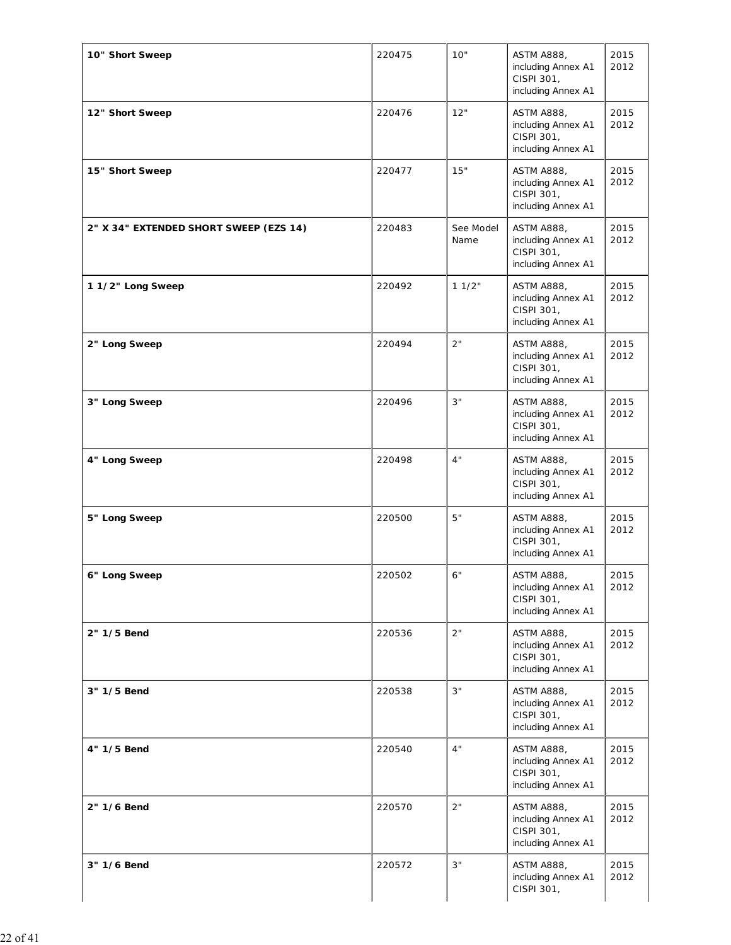| 10" Short Sweep                        | 220475 | 10"               | <b>ASTM A888,</b><br>including Annex A1<br>CISPI 301,<br>including Annex A1 | 2015<br>2012 |
|----------------------------------------|--------|-------------------|-----------------------------------------------------------------------------|--------------|
| 12" Short Sweep                        | 220476 | 12"               | <b>ASTM A888,</b><br>including Annex A1<br>CISPI 301,<br>including Annex A1 | 2015<br>2012 |
| 15" Short Sweep                        | 220477 | 15"               | <b>ASTM A888,</b><br>including Annex A1<br>CISPI 301,<br>including Annex A1 | 2015<br>2012 |
| 2" X 34" EXTENDED SHORT SWEEP (EZS 14) | 220483 | See Model<br>Name | <b>ASTM A888,</b><br>including Annex A1<br>CISPI 301,<br>including Annex A1 | 2015<br>2012 |
| 1 1/2" Long Sweep                      | 220492 | 11/2"             | <b>ASTM A888,</b><br>including Annex A1<br>CISPI 301,<br>including Annex A1 | 2015<br>2012 |
| 2" Long Sweep                          | 220494 | 2"                | <b>ASTM A888,</b><br>including Annex A1<br>CISPI 301,<br>including Annex A1 | 2015<br>2012 |
| 3" Long Sweep                          | 220496 | 3"                | <b>ASTM A888,</b><br>including Annex A1<br>CISPI 301,<br>including Annex A1 | 2015<br>2012 |
| 4" Long Sweep                          | 220498 | 4"                | <b>ASTM A888,</b><br>including Annex A1<br>CISPI 301,<br>including Annex A1 | 2015<br>2012 |
| 5" Long Sweep                          | 220500 | 5"                | <b>ASTM A888,</b><br>including Annex A1<br>CISPI 301,<br>including Annex A1 | 2015<br>2012 |
| 6" Long Sweep                          | 220502 | 6"                | <b>ASTM A888,</b><br>including Annex A1<br>CISPI 301,<br>including Annex A1 | 2015<br>2012 |
| 2" 1/5 Bend                            | 220536 | 2"                | <b>ASTM A888,</b><br>including Annex A1<br>CISPI 301,<br>including Annex A1 | 2015<br>2012 |
| 3" 1/5 Bend                            | 220538 | 3"                | <b>ASTM A888,</b><br>including Annex A1<br>CISPI 301,<br>including Annex A1 | 2015<br>2012 |
| 4" 1/5 Bend                            | 220540 | 4"                | <b>ASTM A888,</b><br>including Annex A1<br>CISPI 301,<br>including Annex A1 | 2015<br>2012 |
| 2" 1/6 Bend                            | 220570 | 2"                | <b>ASTM A888,</b><br>including Annex A1<br>CISPI 301,<br>including Annex A1 | 2015<br>2012 |
| 3" 1/6 Bend                            | 220572 | 3"                | <b>ASTM A888,</b><br>including Annex A1<br>CISPI 301,                       | 2015<br>2012 |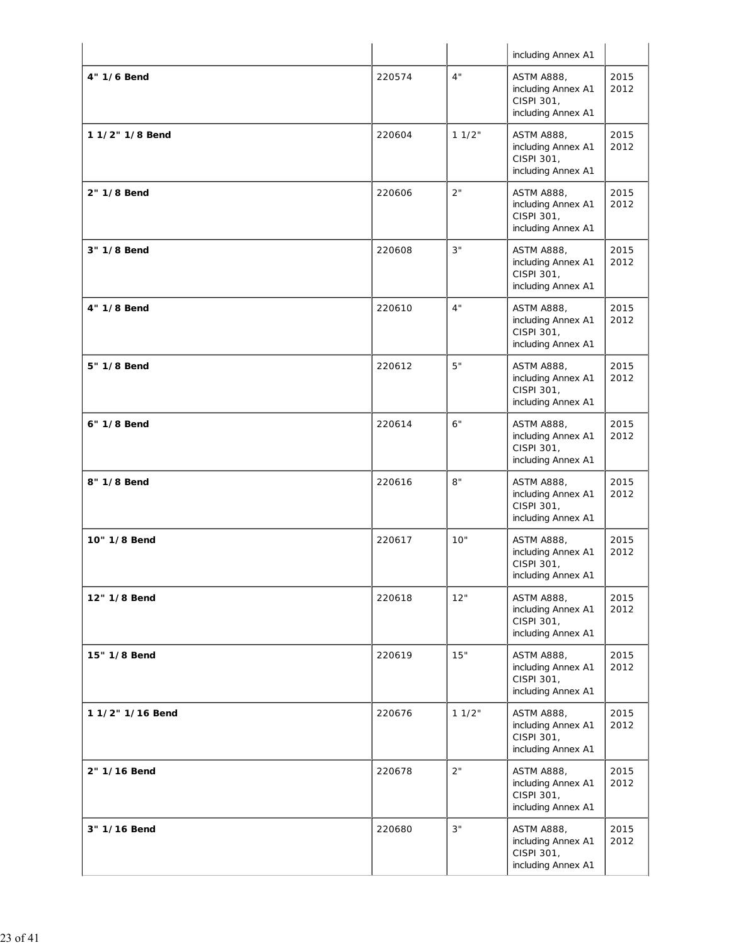|                  |        |       | including Annex A1                                                          |              |
|------------------|--------|-------|-----------------------------------------------------------------------------|--------------|
| 4" 1/6 Bend      | 220574 | 4"    | <b>ASTM A888,</b><br>including Annex A1<br>CISPI 301,<br>including Annex A1 | 2015<br>2012 |
| 1 1/2" 1/8 Bend  | 220604 | 11/2" | <b>ASTM A888,</b><br>including Annex A1<br>CISPI 301,<br>including Annex A1 | 2015<br>2012 |
| 2" 1/8 Bend      | 220606 | 2"    | <b>ASTM A888,</b><br>including Annex A1<br>CISPI 301,<br>including Annex A1 | 2015<br>2012 |
| 3" 1/8 Bend      | 220608 | 3"    | <b>ASTM A888,</b><br>including Annex A1<br>CISPI 301,<br>including Annex A1 | 2015<br>2012 |
| 4" 1/8 Bend      | 220610 | 4"    | <b>ASTM A888,</b><br>including Annex A1<br>CISPI 301,<br>including Annex A1 | 2015<br>2012 |
| 5" 1/8 Bend      | 220612 | $5"$  | <b>ASTM A888,</b><br>including Annex A1<br>CISPI 301,<br>including Annex A1 | 2015<br>2012 |
| 6" 1/8 Bend      | 220614 | 6"    | <b>ASTM A888,</b><br>including Annex A1<br>CISPI 301,<br>including Annex A1 | 2015<br>2012 |
| 8" 1/8 Bend      | 220616 | 8"    | <b>ASTM A888,</b><br>including Annex A1<br>CISPI 301,<br>including Annex A1 | 2015<br>2012 |
| 10" 1/8 Bend     | 220617 | 10"   | <b>ASTM A888,</b><br>including Annex A1<br>CISPI 301,<br>including Annex A1 | 2015<br>2012 |
| 12" 1/8 Bend     | 220618 | 12"   | <b>ASTM A888,</b><br>including Annex A1<br>CISPI 301,<br>including Annex A1 | 2015<br>2012 |
| 15" 1/8 Bend     | 220619 | 15"   | <b>ASTM A888,</b><br>including Annex A1<br>CISPI 301,<br>including Annex A1 | 2015<br>2012 |
| 1 1/2" 1/16 Bend | 220676 | 11/2" | <b>ASTM A888,</b><br>including Annex A1<br>CISPI 301,<br>including Annex A1 | 2015<br>2012 |
| 2" 1/16 Bend     | 220678 | 2"    | <b>ASTM A888,</b><br>including Annex A1<br>CISPI 301,<br>including Annex A1 | 2015<br>2012 |
| 3" 1/16 Bend     | 220680 | 3"    | <b>ASTM A888,</b><br>including Annex A1<br>CISPI 301,<br>including Annex A1 | 2015<br>2012 |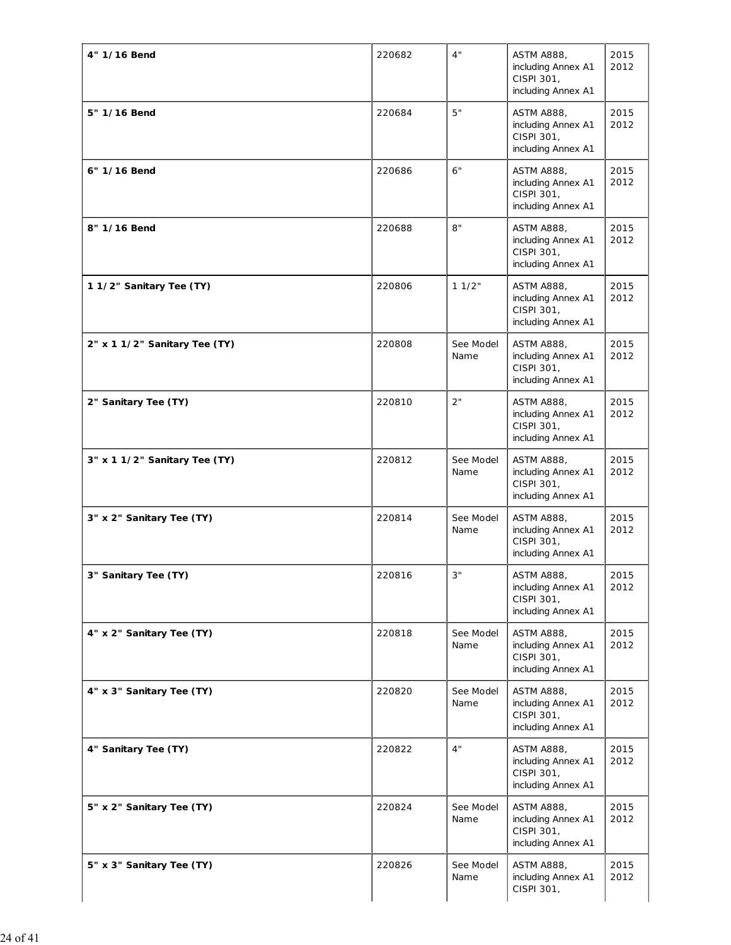| 4" 1/16 Bend                  | 220682 | 4"                | <b>ASTM A888,</b><br>including Annex A1<br>CISPI 301,<br>including Annex A1 | 2015<br>2012 |
|-------------------------------|--------|-------------------|-----------------------------------------------------------------------------|--------------|
| 5" 1/16 Bend                  | 220684 | 5"                | <b>ASTM A888,</b><br>including Annex A1<br>CISPI 301,<br>including Annex A1 | 2015<br>2012 |
| 6" 1/16 Bend                  | 220686 | 6"                | <b>ASTM A888,</b><br>including Annex A1<br>CISPI 301,<br>including Annex A1 | 2015<br>2012 |
| 8" 1/16 Bend                  | 220688 | 8"                | <b>ASTM A888,</b><br>including Annex A1<br>CISPI 301,<br>including Annex A1 | 2015<br>2012 |
| 11/2" Sanitary Tee (TY)       | 220806 | 11/2"             | <b>ASTM A888,</b><br>including Annex A1<br>CISPI 301,<br>including Annex A1 | 2015<br>2012 |
| 2" x 1 1/2" Sanitary Tee (TY) | 220808 | See Model<br>Name | <b>ASTM A888,</b><br>including Annex A1<br>CISPI 301,<br>including Annex A1 | 2015<br>2012 |
| 2" Sanitary Tee (TY)          | 220810 | 2"                | <b>ASTM A888,</b><br>including Annex A1<br>CISPI 301,<br>including Annex A1 | 2015<br>2012 |
| 3" x 1 1/2" Sanitary Tee (TY) | 220812 | See Model<br>Name | <b>ASTM A888,</b><br>including Annex A1<br>CISPI 301,<br>including Annex A1 | 2015<br>2012 |
| 3" x 2" Sanitary Tee (TY)     | 220814 | See Model<br>Name | <b>ASTM A888,</b><br>including Annex A1<br>CISPI 301,<br>including Annex A1 | 2015<br>2012 |
| 3" Sanitary Tee (TY)          | 220816 | 3"                | <b>ASTM A888,</b><br>including Annex A1<br>CISPI 301,<br>including Annex A1 | 2015<br>2012 |
| 4" x 2" Sanitary Tee (TY)     | 220818 | See Model<br>Name | <b>ASTM A888,</b><br>including Annex A1<br>CISPI 301,<br>including Annex A1 | 2015<br>2012 |
| 4" x 3" Sanitary Tee (TY)     | 220820 | See Model<br>Name | <b>ASTM A888,</b><br>including Annex A1<br>CISPI 301,<br>including Annex A1 | 2015<br>2012 |
| 4" Sanitary Tee (TY)          | 220822 | 4"                | <b>ASTM A888,</b><br>including Annex A1<br>CISPI 301,<br>including Annex A1 | 2015<br>2012 |
| 5" x 2" Sanitary Tee (TY)     | 220824 | See Model<br>Name | <b>ASTM A888,</b><br>including Annex A1<br>CISPI 301,<br>including Annex A1 | 2015<br>2012 |
| 5" x 3" Sanitary Tee (TY)     | 220826 | See Model<br>Name | <b>ASTM A888,</b><br>including Annex A1<br>CISPI 301,                       | 2015<br>2012 |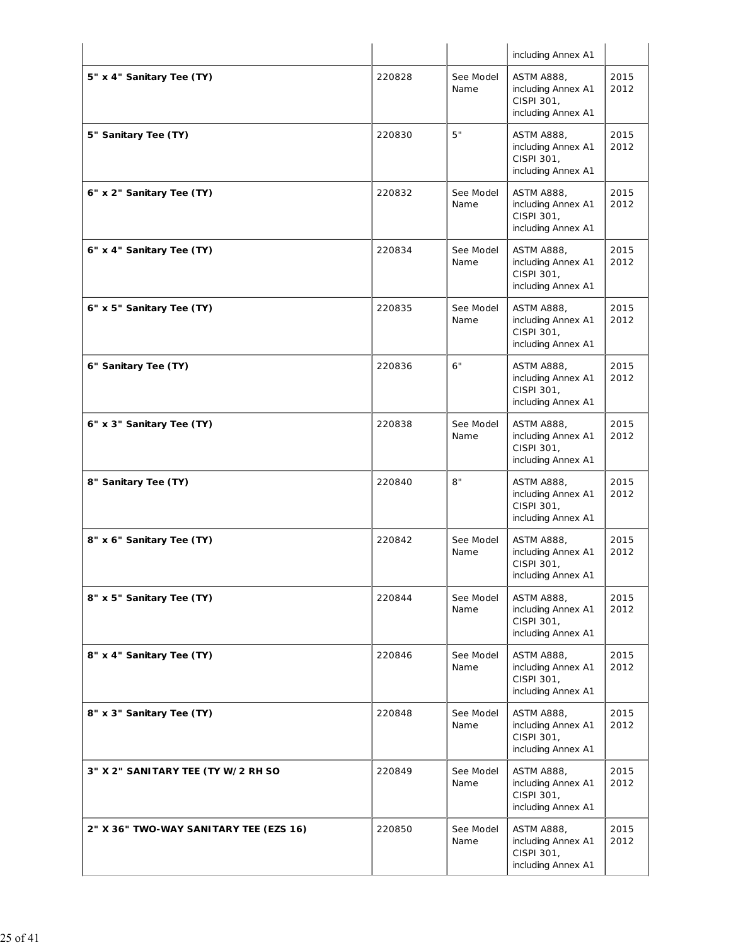|                                        |        |                   | including Annex A1                                                          |              |
|----------------------------------------|--------|-------------------|-----------------------------------------------------------------------------|--------------|
| 5" x 4" Sanitary Tee (TY)              | 220828 | See Model<br>Name | <b>ASTM A888,</b><br>including Annex A1<br>CISPI 301,<br>including Annex A1 | 2015<br>2012 |
| 5" Sanitary Tee (TY)                   | 220830 | 5"                | <b>ASTM A888,</b><br>including Annex A1<br>CISPI 301,<br>including Annex A1 | 2015<br>2012 |
| 6" x 2" Sanitary Tee (TY)              | 220832 | See Model<br>Name | <b>ASTM A888,</b><br>including Annex A1<br>CISPI 301,<br>including Annex A1 | 2015<br>2012 |
| 6" x 4" Sanitary Tee (TY)              | 220834 | See Model<br>Name | ASTM A888,<br>including Annex A1<br>CISPI 301,<br>including Annex A1        | 2015<br>2012 |
| 6" x 5" Sanitary Tee (TY)              | 220835 | See Model<br>Name | <b>ASTM A888,</b><br>including Annex A1<br>CISPI 301,<br>including Annex A1 | 2015<br>2012 |
| 6" Sanitary Tee (TY)                   | 220836 | 6"                | <b>ASTM A888,</b><br>including Annex A1<br>CISPI 301,<br>including Annex A1 | 2015<br>2012 |
| 6" x 3" Sanitary Tee (TY)              | 220838 | See Model<br>Name | <b>ASTM A888,</b><br>including Annex A1<br>CISPI 301,<br>including Annex A1 | 2015<br>2012 |
| 8" Sanitary Tee (TY)                   | 220840 | 8"                | <b>ASTM A888,</b><br>including Annex A1<br>CISPI 301,<br>including Annex A1 | 2015<br>2012 |
| 8" x 6" Sanitary Tee (TY)              | 220842 | See Model<br>Name | <b>ASTM A888,</b><br>including Annex A1<br>CISPI 301,<br>including Annex A1 | 2015<br>2012 |
| 8" x 5" Sanitary Tee (TY)              | 220844 | See Model<br>Name | ASTM A888,<br>including Annex A1<br>CISPI 301,<br>including Annex A1        | 2015<br>2012 |
| 8" x 4" Sanitary Tee (TY)              | 220846 | See Model<br>Name | <b>ASTM A888,</b><br>including Annex A1<br>CISPI 301,<br>including Annex A1 | 2015<br>2012 |
| 8" x 3" Sanitary Tee (TY)              | 220848 | See Model<br>Name | <b>ASTM A888,</b><br>including Annex A1<br>CISPI 301,<br>including Annex A1 | 2015<br>2012 |
| 3" X 2" SANITARY TEE (TY W/2 RH SO     | 220849 | See Model<br>Name | <b>ASTM A888,</b><br>including Annex A1<br>CISPI 301,<br>including Annex A1 | 2015<br>2012 |
| 2" X 36" TWO-WAY SANITARY TEE (EZS 16) | 220850 | See Model<br>Name | <b>ASTM A888,</b><br>including Annex A1<br>CISPI 301,<br>including Annex A1 | 2015<br>2012 |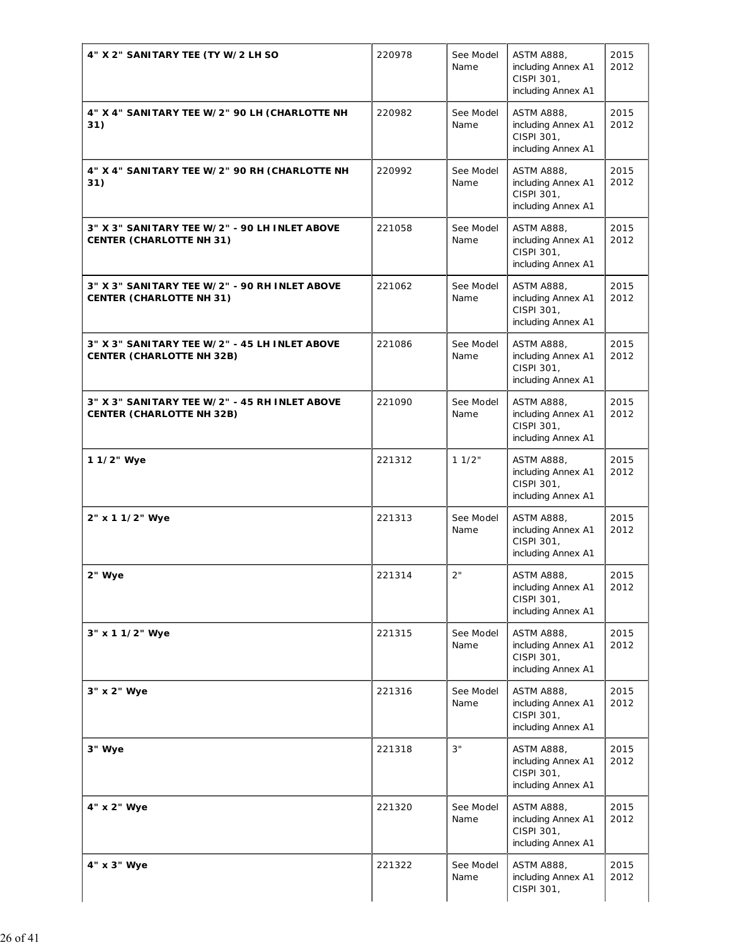| 4" X 2" SANITARY TEE (TY W/2 LH SO                                                | 220978 | See Model         | <b>ASTM A888,</b>                                                           | 2015         |
|-----------------------------------------------------------------------------------|--------|-------------------|-----------------------------------------------------------------------------|--------------|
|                                                                                   |        | Name              | including Annex A1<br>CISPI 301,<br>including Annex A1                      | 2012         |
| 4" X 4" SANITARY TEE W/2" 90 LH (CHARLOTTE NH<br>31)                              | 220982 | See Model<br>Name | <b>ASTM A888,</b><br>including Annex A1<br>CISPI 301,<br>including Annex A1 | 2015<br>2012 |
| 4" X 4" SANITARY TEE W/2" 90 RH (CHARLOTTE NH<br>31)                              | 220992 | See Model<br>Name | <b>ASTM A888,</b><br>including Annex A1<br>CISPI 301,<br>including Annex A1 | 2015<br>2012 |
| 3" X 3" SANITARY TEE W/2" - 90 LH INLET ABOVE<br><b>CENTER (CHARLOTTE NH 31)</b>  | 221058 | See Model<br>Name | <b>ASTM A888,</b><br>including Annex A1<br>CISPI 301,<br>including Annex A1 | 2015<br>2012 |
| 3" X 3" SANITARY TEE W/2" - 90 RH INLET ABOVE<br><b>CENTER (CHARLOTTE NH 31)</b>  | 221062 | See Model<br>Name | <b>ASTM A888,</b><br>including Annex A1<br>CISPI 301,<br>including Annex A1 | 2015<br>2012 |
| 3" X 3" SANITARY TEE W/2" - 45 LH INLET ABOVE<br><b>CENTER (CHARLOTTE NH 32B)</b> | 221086 | See Model<br>Name | <b>ASTM A888,</b><br>including Annex A1<br>CISPI 301,<br>including Annex A1 | 2015<br>2012 |
| 3" X 3" SANITARY TEE W/2" - 45 RH INLET ABOVE<br><b>CENTER (CHARLOTTE NH 32B)</b> | 221090 | See Model<br>Name | <b>ASTM A888,</b><br>including Annex A1<br>CISPI 301,<br>including Annex A1 | 2015<br>2012 |
| 1 1/2" Wye                                                                        | 221312 | 11/2"             | <b>ASTM A888,</b><br>including Annex A1<br>CISPI 301,<br>including Annex A1 | 2015<br>2012 |
| 2" x 1 1/2" Wye                                                                   | 221313 | See Model<br>Name | <b>ASTM A888,</b><br>including Annex A1<br>CISPI 301,<br>including Annex A1 | 2015<br>2012 |
| 2" Wye                                                                            | 221314 | 2"                | <b>ASTM A888,</b><br>including Annex A1<br>CISPI 301,<br>including Annex A1 | 2015<br>2012 |
| 3" x 1 1/2" Wye                                                                   | 221315 | See Model<br>Name | <b>ASTM A888,</b><br>including Annex A1<br>CISPI 301,<br>including Annex A1 | 2015<br>2012 |
| 3" x 2" Wye                                                                       | 221316 | See Model<br>Name | <b>ASTM A888,</b><br>including Annex A1<br>CISPI 301,<br>including Annex A1 | 2015<br>2012 |
| 3" Wye                                                                            | 221318 | 3"                | <b>ASTM A888,</b><br>including Annex A1<br>CISPI 301,<br>including Annex A1 | 2015<br>2012 |
| 4" x 2" Wye                                                                       | 221320 | See Model<br>Name | <b>ASTM A888,</b><br>including Annex A1<br>CISPI 301,<br>including Annex A1 | 2015<br>2012 |
| 4" x 3" Wye                                                                       | 221322 | See Model<br>Name | <b>ASTM A888,</b><br>including Annex A1<br>CISPI 301,                       | 2015<br>2012 |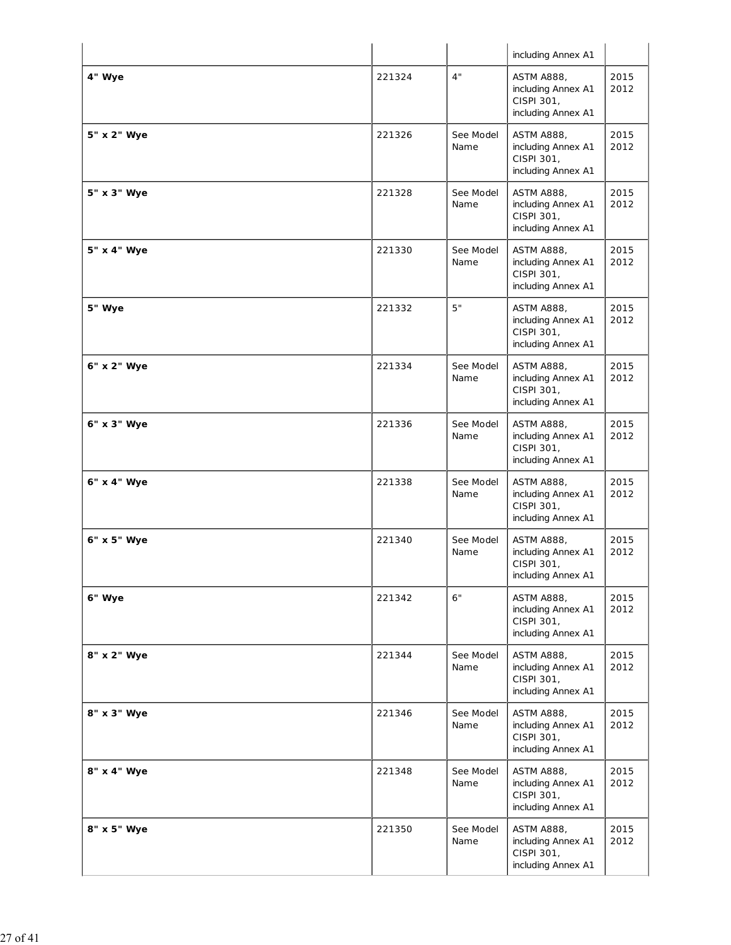|             |        |                   | including Annex A1                                                          |              |
|-------------|--------|-------------------|-----------------------------------------------------------------------------|--------------|
| 4" Wye      | 221324 | 4"                | <b>ASTM A888,</b><br>including Annex A1<br>CISPI 301,<br>including Annex A1 | 2015<br>2012 |
| 5" x 2" Wye | 221326 | See Model<br>Name | <b>ASTM A888,</b><br>including Annex A1<br>CISPI 301,<br>including Annex A1 | 2015<br>2012 |
| 5" x 3" Wye | 221328 | See Model<br>Name | <b>ASTM A888,</b><br>including Annex A1<br>CISPI 301,<br>including Annex A1 | 2015<br>2012 |
| 5" x 4" Wye | 221330 | See Model<br>Name | <b>ASTM A888,</b><br>including Annex A1<br>CISPI 301,<br>including Annex A1 | 2015<br>2012 |
| 5" Wye      | 221332 | 5"                | <b>ASTM A888,</b><br>including Annex A1<br>CISPI 301,<br>including Annex A1 | 2015<br>2012 |
| 6" x 2" Wye | 221334 | See Model<br>Name | <b>ASTM A888,</b><br>including Annex A1<br>CISPI 301,<br>including Annex A1 | 2015<br>2012 |
| 6" x 3" Wye | 221336 | See Model<br>Name | <b>ASTM A888,</b><br>including Annex A1<br>CISPI 301,<br>including Annex A1 | 2015<br>2012 |
| 6" x 4" Wye | 221338 | See Model<br>Name | <b>ASTM A888,</b><br>including Annex A1<br>CISPI 301,<br>including Annex A1 | 2015<br>2012 |
| 6" x 5" Wye | 221340 | See Model<br>Name | <b>ASTM A888,</b><br>including Annex A1<br>CISPI 301,<br>including Annex A1 | 2015<br>2012 |
| 6" Wye      | 221342 | 6"                | <b>ASTM A888,</b><br>including Annex A1<br>CISPI 301,<br>including Annex A1 | 2015<br>2012 |
| 8" x 2" Wye | 221344 | See Model<br>Name | <b>ASTM A888,</b><br>including Annex A1<br>CISPI 301,<br>including Annex A1 | 2015<br>2012 |
| 8" x 3" Wye | 221346 | See Model<br>Name | <b>ASTM A888,</b><br>including Annex A1<br>CISPI 301,<br>including Annex A1 | 2015<br>2012 |
| 8" x 4" Wye | 221348 | See Model<br>Name | <b>ASTM A888,</b><br>including Annex A1<br>CISPI 301,<br>including Annex A1 | 2015<br>2012 |
| 8" x 5" Wye | 221350 | See Model<br>Name | <b>ASTM A888,</b><br>including Annex A1<br>CISPI 301,<br>including Annex A1 | 2015<br>2012 |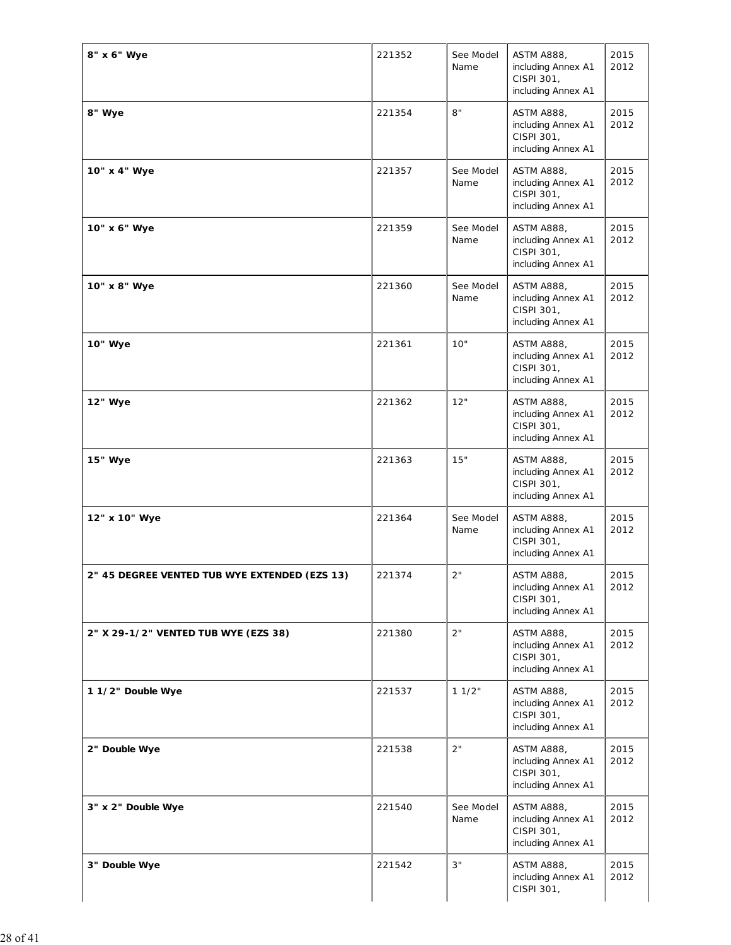| 8" x 6" Wye                                   | 221352 | See Model<br>Name | <b>ASTM A888,</b><br>including Annex A1<br>CISPI 301,<br>including Annex A1 | 2015<br>2012 |
|-----------------------------------------------|--------|-------------------|-----------------------------------------------------------------------------|--------------|
| 8" Wye                                        | 221354 | 8"                | <b>ASTM A888,</b><br>including Annex A1<br>CISPI 301,<br>including Annex A1 | 2015<br>2012 |
| 10" x 4" Wye                                  | 221357 | See Model<br>Name | <b>ASTM A888,</b><br>including Annex A1<br>CISPI 301,<br>including Annex A1 | 2015<br>2012 |
| 10" x 6" Wye                                  | 221359 | See Model<br>Name | <b>ASTM A888,</b><br>including Annex A1<br>CISPI 301,<br>including Annex A1 | 2015<br>2012 |
| 10" x 8" Wye                                  | 221360 | See Model<br>Name | <b>ASTM A888,</b><br>including Annex A1<br>CISPI 301,<br>including Annex A1 | 2015<br>2012 |
| 10" Wye                                       | 221361 | 10"               | <b>ASTM A888,</b><br>including Annex A1<br>CISPI 301,<br>including Annex A1 | 2015<br>2012 |
| 12" Wye                                       | 221362 | 12"               | <b>ASTM A888,</b><br>including Annex A1<br>CISPI 301,<br>including Annex A1 | 2015<br>2012 |
| 15" Wye                                       | 221363 | 15"               | <b>ASTM A888,</b><br>including Annex A1<br>CISPI 301,<br>including Annex A1 | 2015<br>2012 |
| 12" x 10" Wye                                 | 221364 | See Model<br>Name | <b>ASTM A888,</b><br>including Annex A1<br>CISPI 301,<br>including Annex A1 | 2015<br>2012 |
| 2" 45 DEGREE VENTED TUB WYE EXTENDED (EZS 13) | 221374 | 2"                | <b>ASTM A888,</b><br>including Annex A1<br>CISPI 301,<br>including Annex A1 | 2015<br>2012 |
| 2" X 29-1/2" VENTED TUB WYE (EZS 38)          | 221380 | 2"                | <b>ASTM A888,</b><br>including Annex A1<br>CISPI 301,<br>including Annex A1 | 2015<br>2012 |
| 1 1/2" Double Wye                             | 221537 | 11/2"             | <b>ASTM A888,</b><br>including Annex A1<br>CISPI 301,<br>including Annex A1 | 2015<br>2012 |
| 2" Double Wye                                 | 221538 | 2"                | <b>ASTM A888,</b><br>including Annex A1<br>CISPI 301,<br>including Annex A1 | 2015<br>2012 |
| 3" x 2" Double Wye                            | 221540 | See Model<br>Name | <b>ASTM A888,</b><br>including Annex A1<br>CISPI 301,<br>including Annex A1 | 2015<br>2012 |
| 3" Double Wye                                 | 221542 | 3"                | <b>ASTM A888,</b><br>including Annex A1<br>CISPI 301,                       | 2015<br>2012 |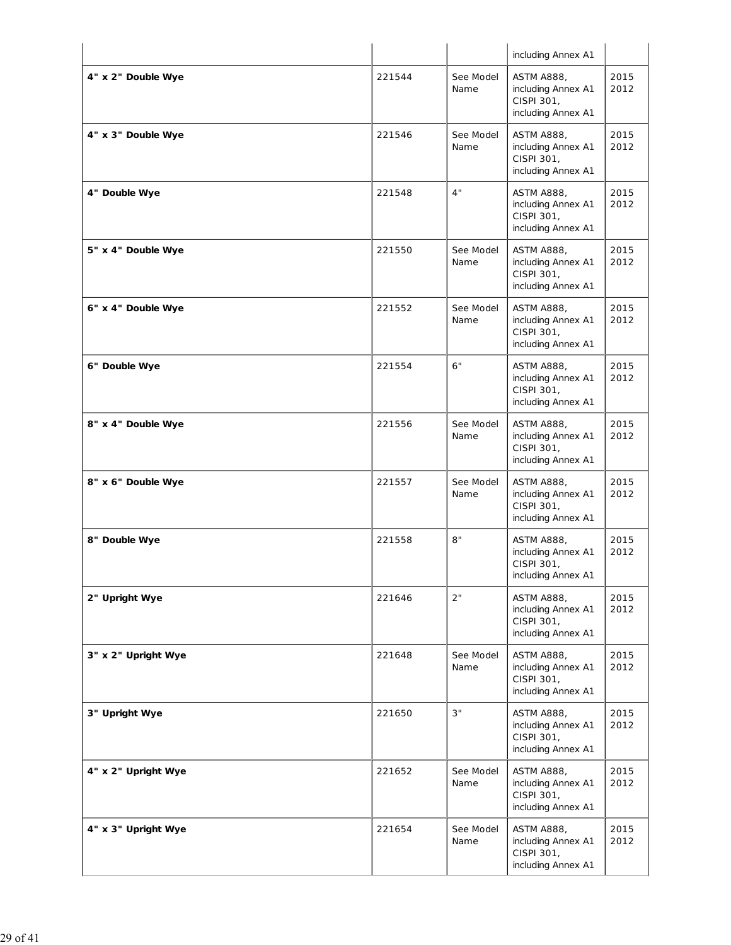|                     |        |                   | including Annex A1                                                          |              |
|---------------------|--------|-------------------|-----------------------------------------------------------------------------|--------------|
| 4" x 2" Double Wye  | 221544 | See Model<br>Name | <b>ASTM A888,</b><br>including Annex A1<br>CISPI 301,<br>including Annex A1 | 2015<br>2012 |
| 4" x 3" Double Wye  | 221546 | See Model<br>Name | <b>ASTM A888,</b><br>including Annex A1<br>CISPI 301,<br>including Annex A1 | 2015<br>2012 |
| 4" Double Wye       | 221548 | 4"                | <b>ASTM A888,</b><br>including Annex A1<br>CISPI 301,<br>including Annex A1 | 2015<br>2012 |
| 5" x 4" Double Wye  | 221550 | See Model<br>Name | <b>ASTM A888,</b><br>including Annex A1<br>CISPI 301,<br>including Annex A1 | 2015<br>2012 |
| 6" x 4" Double Wye  | 221552 | See Model<br>Name | <b>ASTM A888,</b><br>including Annex A1<br>CISPI 301,<br>including Annex A1 | 2015<br>2012 |
| 6" Double Wye       | 221554 | 6"                | <b>ASTM A888,</b><br>including Annex A1<br>CISPI 301,<br>including Annex A1 | 2015<br>2012 |
| 8" x 4" Double Wye  | 221556 | See Model<br>Name | <b>ASTM A888,</b><br>including Annex A1<br>CISPI 301,<br>including Annex A1 | 2015<br>2012 |
| 8" x 6" Double Wye  | 221557 | See Model<br>Name | <b>ASTM A888,</b><br>including Annex A1<br>CISPI 301,<br>including Annex A1 | 2015<br>2012 |
| 8" Double Wye       | 221558 | 8"                | <b>ASTM A888,</b><br>including Annex A1<br>CISPI 301,<br>including Annex A1 | 2015<br>2012 |
| 2" Upright Wye      | 221646 | 2"                | <b>ASTM A888,</b><br>including Annex A1<br>CISPI 301,<br>including Annex A1 | 2015<br>2012 |
| 3" x 2" Upright Wye | 221648 | See Model<br>Name | <b>ASTM A888,</b><br>including Annex A1<br>CISPI 301,<br>including Annex A1 | 2015<br>2012 |
| 3" Upright Wye      | 221650 | 3"                | <b>ASTM A888,</b><br>including Annex A1<br>CISPI 301,<br>including Annex A1 | 2015<br>2012 |
| 4" x 2" Upright Wye | 221652 | See Model<br>Name | <b>ASTM A888,</b><br>including Annex A1<br>CISPI 301,<br>including Annex A1 | 2015<br>2012 |
| 4" x 3" Upright Wye | 221654 | See Model<br>Name | <b>ASTM A888,</b><br>including Annex A1<br>CISPI 301,<br>including Annex A1 | 2015<br>2012 |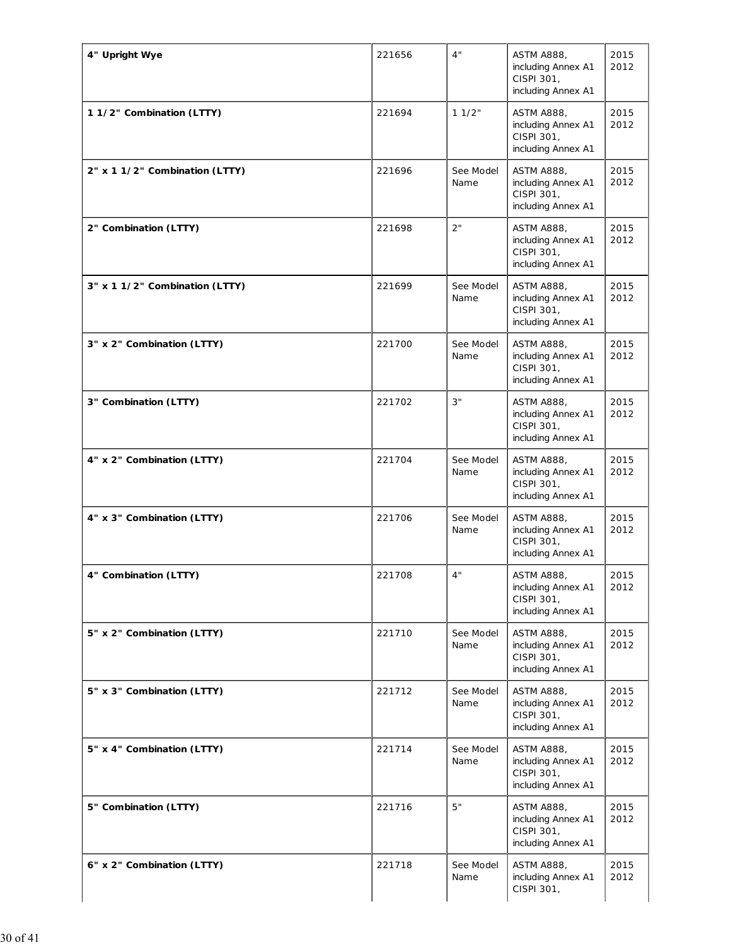| 4" Upright Wye                 | 221656 | 4"                | <b>ASTM A888,</b><br>including Annex A1<br>CISPI 301,<br>including Annex A1 | 2015<br>2012 |
|--------------------------------|--------|-------------------|-----------------------------------------------------------------------------|--------------|
| 1 1/2" Combination (LTTY)      | 221694 | 11/2"             | <b>ASTM A888,</b><br>including Annex A1<br>CISPI 301,<br>including Annex A1 | 2015<br>2012 |
| 2" x 1 1/2" Combination (LTTY) | 221696 | See Model<br>Name | <b>ASTM A888,</b><br>including Annex A1<br>CISPI 301,<br>including Annex A1 | 2015<br>2012 |
| 2" Combination (LTTY)          | 221698 | 2"                | <b>ASTM A888,</b><br>including Annex A1<br>CISPI 301,<br>including Annex A1 | 2015<br>2012 |
| 3" x 1 1/2" Combination (LTTY) | 221699 | See Model<br>Name | <b>ASTM A888,</b><br>including Annex A1<br>CISPI 301,<br>including Annex A1 | 2015<br>2012 |
| 3" x 2" Combination (LTTY)     | 221700 | See Model<br>Name | <b>ASTM A888,</b><br>including Annex A1<br>CISPI 301,<br>including Annex A1 | 2015<br>2012 |
| 3" Combination (LTTY)          | 221702 | 3"                | <b>ASTM A888,</b><br>including Annex A1<br>CISPI 301,<br>including Annex A1 | 2015<br>2012 |
| 4" x 2" Combination (LTTY)     | 221704 | See Model<br>Name | <b>ASTM A888,</b><br>including Annex A1<br>CISPI 301,<br>including Annex A1 | 2015<br>2012 |
| 4" x 3" Combination (LTTY)     | 221706 | See Model<br>Name | <b>ASTM A888,</b><br>including Annex A1<br>CISPI 301,<br>including Annex A1 | 2015<br>2012 |
| 4" Combination (LTTY)          | 221708 | 4"                | <b>ASTM A888,</b><br>including Annex A1<br>CISPI 301,<br>including Annex A1 | 2015<br>2012 |
| 5" x 2" Combination (LTTY)     | 221710 | See Model<br>Name | <b>ASTM A888,</b><br>including Annex A1<br>CISPI 301,<br>including Annex A1 | 2015<br>2012 |
| 5" x 3" Combination (LTTY)     | 221712 | See Model<br>Name | <b>ASTM A888,</b><br>including Annex A1<br>CISPI 301,<br>including Annex A1 | 2015<br>2012 |
| 5" x 4" Combination (LTTY)     | 221714 | See Model<br>Name | <b>ASTM A888,</b><br>including Annex A1<br>CISPI 301,<br>including Annex A1 | 2015<br>2012 |
| 5" Combination (LTTY)          | 221716 | 5"                | <b>ASTM A888,</b><br>including Annex A1<br>CISPI 301,<br>including Annex A1 | 2015<br>2012 |
| 6" x 2" Combination (LTTY)     | 221718 | See Model<br>Name | <b>ASTM A888,</b><br>including Annex A1<br>CISPI 301,                       | 2015<br>2012 |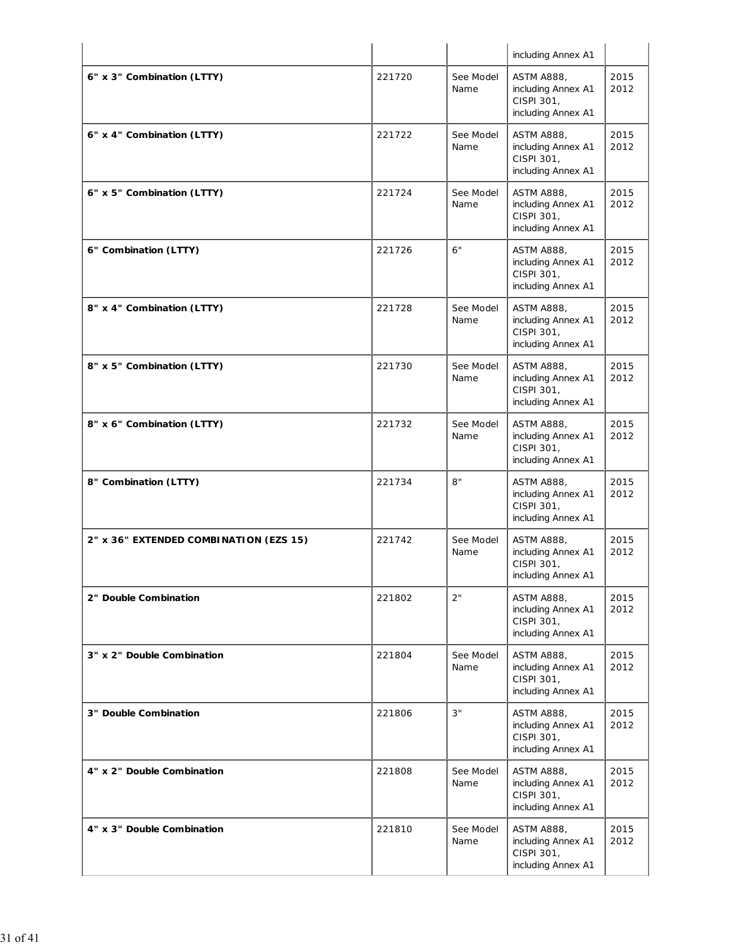|                                        |        |                   | including Annex A1                                                          |              |
|----------------------------------------|--------|-------------------|-----------------------------------------------------------------------------|--------------|
| 6" x 3" Combination (LTTY)             | 221720 | See Model<br>Name | <b>ASTM A888,</b><br>including Annex A1<br>CISPI 301,<br>including Annex A1 | 2015<br>2012 |
| 6" x 4" Combination (LTTY)             | 221722 | See Model<br>Name | <b>ASTM A888,</b><br>including Annex A1<br>CISPI 301,<br>including Annex A1 | 2015<br>2012 |
| 6" x 5" Combination (LTTY)             | 221724 | See Model<br>Name | <b>ASTM A888,</b><br>including Annex A1<br>CISPI 301,<br>including Annex A1 | 2015<br>2012 |
| 6" Combination (LTTY)                  | 221726 | 6"                | ASTM A888,<br>including Annex A1<br>CISPI 301,<br>including Annex A1        | 2015<br>2012 |
| 8" x 4" Combination (LTTY)             | 221728 | See Model<br>Name | <b>ASTM A888,</b><br>including Annex A1<br>CISPI 301,<br>including Annex A1 | 2015<br>2012 |
| 8" x 5" Combination (LTTY)             | 221730 | See Model<br>Name | <b>ASTM A888,</b><br>including Annex A1<br>CISPI 301,<br>including Annex A1 | 2015<br>2012 |
| 8" x 6" Combination (LTTY)             | 221732 | See Model<br>Name | <b>ASTM A888,</b><br>including Annex A1<br>CISPI 301,<br>including Annex A1 | 2015<br>2012 |
| 8" Combination (LTTY)                  | 221734 | 8"                | <b>ASTM A888,</b><br>including Annex A1<br>CISPI 301,<br>including Annex A1 | 2015<br>2012 |
| 2" x 36" EXTENDED COMBINATION (EZS 15) | 221742 | See Model<br>Name | <b>ASTM A888,</b><br>including Annex A1<br>CISPI 301,<br>including Annex A1 | 2015<br>2012 |
| 2" Double Combination                  | 221802 | 2"                | ASTM A888,<br>including Annex A1<br>CISPI 301,<br>including Annex A1        | 2015<br>2012 |
| 3" x 2" Double Combination             | 221804 | See Model<br>Name | <b>ASTM A888,</b><br>including Annex A1<br>CISPI 301,<br>including Annex A1 | 2015<br>2012 |
| 3" Double Combination                  | 221806 | 3"                | <b>ASTM A888,</b><br>including Annex A1<br>CISPI 301,<br>including Annex A1 | 2015<br>2012 |
| 4" x 2" Double Combination             | 221808 | See Model<br>Name | <b>ASTM A888,</b><br>including Annex A1<br>CISPI 301,<br>including Annex A1 | 2015<br>2012 |
| 4" x 3" Double Combination             | 221810 | See Model<br>Name | <b>ASTM A888,</b><br>including Annex A1<br>CISPI 301,<br>including Annex A1 | 2015<br>2012 |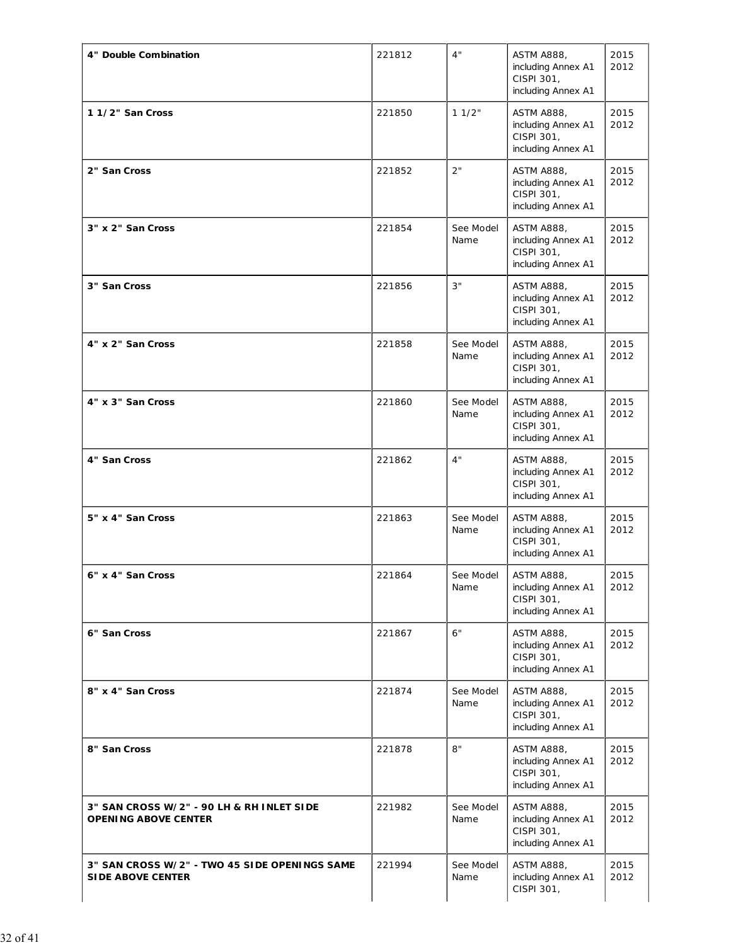| 4" Double Combination                                                     | 221812 | 4"                | <b>ASTM A888,</b><br>including Annex A1<br>CISPI 301,<br>including Annex A1 | 2015<br>2012 |
|---------------------------------------------------------------------------|--------|-------------------|-----------------------------------------------------------------------------|--------------|
| 11/2" San Cross                                                           | 221850 | 11/2"             | <b>ASTM A888,</b><br>including Annex A1<br>CISPI 301,<br>including Annex A1 | 2015<br>2012 |
| 2" San Cross                                                              | 221852 | 2"                | <b>ASTM A888,</b><br>including Annex A1<br>CISPI 301,<br>including Annex A1 | 2015<br>2012 |
| 3" x 2" San Cross                                                         | 221854 | See Model<br>Name | <b>ASTM A888,</b><br>including Annex A1<br>CISPI 301,<br>including Annex A1 | 2015<br>2012 |
| 3" San Cross                                                              | 221856 | 3"                | <b>ASTM A888,</b><br>including Annex A1<br>CISPI 301,<br>including Annex A1 | 2015<br>2012 |
| 4" x 2" San Cross                                                         | 221858 | See Model<br>Name | <b>ASTM A888,</b><br>including Annex A1<br>CISPI 301,<br>including Annex A1 | 2015<br>2012 |
| 4" x 3" San Cross                                                         | 221860 | See Model<br>Name | <b>ASTM A888,</b><br>including Annex A1<br>CISPI 301,<br>including Annex A1 | 2015<br>2012 |
| 4" San Cross                                                              | 221862 | 4"                | <b>ASTM A888,</b><br>including Annex A1<br>CISPI 301,<br>including Annex A1 | 2015<br>2012 |
| 5" x 4" San Cross                                                         | 221863 | See Model<br>Name | <b>ASTM A888,</b><br>including Annex A1<br>CISPI 301,<br>including Annex A1 | 2015<br>2012 |
| 6" x 4" San Cross                                                         | 221864 | See Model<br>Name | <b>ASTM A888,</b><br>including Annex A1<br>CISPI 301,<br>including Annex A1 | 2015<br>2012 |
| 6" San Cross                                                              | 221867 | 6"                | ASTM A888,<br>including Annex A1<br>CISPI 301,<br>including Annex A1        | 2015<br>2012 |
| 8" x 4" San Cross                                                         | 221874 | See Model<br>Name | <b>ASTM A888,</b><br>including Annex A1<br>CISPI 301,<br>including Annex A1 | 2015<br>2012 |
| 8" San Cross                                                              | 221878 | 8"                | <b>ASTM A888,</b><br>including Annex A1<br>CISPI 301,<br>including Annex A1 | 2015<br>2012 |
| 3" SAN CROSS W/2" - 90 LH & RH INLET SIDE<br><b>OPENING ABOVE CENTER</b>  | 221982 | See Model<br>Name | <b>ASTM A888,</b><br>including Annex A1<br>CISPI 301,<br>including Annex A1 | 2015<br>2012 |
| 3" SAN CROSS W/2" - TWO 45 SIDE OPENINGS SAME<br><b>SIDE ABOVE CENTER</b> | 221994 | See Model<br>Name | <b>ASTM A888,</b><br>including Annex A1<br>CISPI 301,                       | 2015<br>2012 |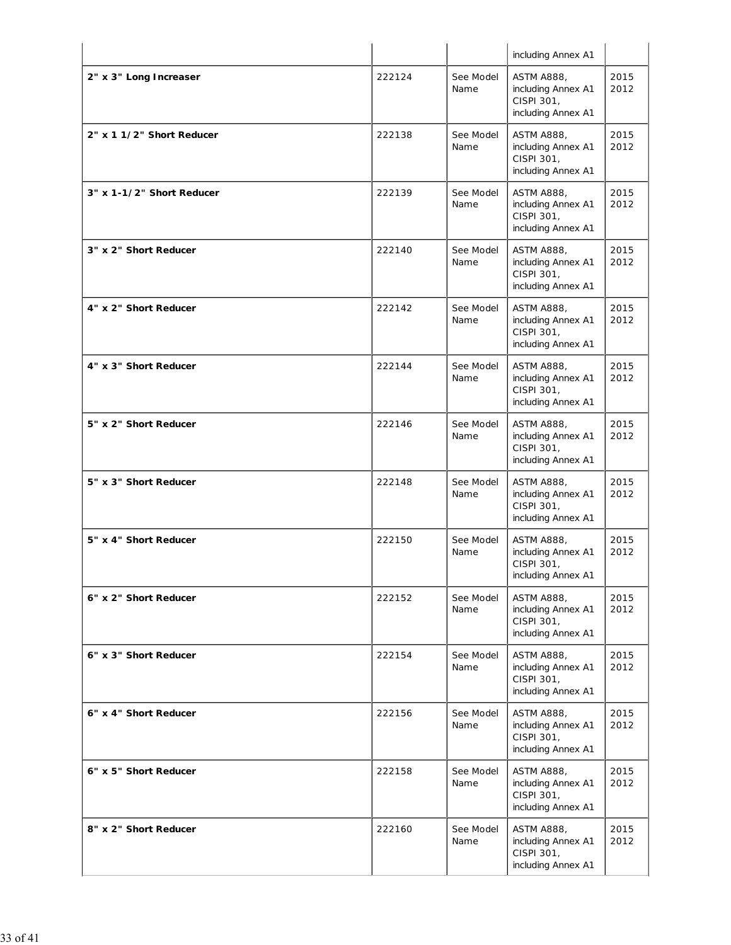|                           |        |                   | including Annex A1                                                          |              |
|---------------------------|--------|-------------------|-----------------------------------------------------------------------------|--------------|
| 2" x 3" Long Increaser    | 222124 | See Model<br>Name | <b>ASTM A888,</b><br>including Annex A1<br>CISPI 301,<br>including Annex A1 | 2015<br>2012 |
| 2" x 1 1/2" Short Reducer | 222138 | See Model<br>Name | <b>ASTM A888,</b><br>including Annex A1<br>CISPI 301,<br>including Annex A1 | 2015<br>2012 |
| 3" x 1-1/2" Short Reducer | 222139 | See Model<br>Name | <b>ASTM A888,</b><br>including Annex A1<br>CISPI 301,<br>including Annex A1 | 2015<br>2012 |
| 3" x 2" Short Reducer     | 222140 | See Model<br>Name | <b>ASTM A888,</b><br>including Annex A1<br>CISPI 301,<br>including Annex A1 | 2015<br>2012 |
| 4" x 2" Short Reducer     | 222142 | See Model<br>Name | <b>ASTM A888,</b><br>including Annex A1<br>CISPI 301,<br>including Annex A1 | 2015<br>2012 |
| 4" x 3" Short Reducer     | 222144 | See Model<br>Name | <b>ASTM A888,</b><br>including Annex A1<br>CISPI 301,<br>including Annex A1 | 2015<br>2012 |
| 5" x 2" Short Reducer     | 222146 | See Model<br>Name | <b>ASTM A888,</b><br>including Annex A1<br>CISPI 301,<br>including Annex A1 | 2015<br>2012 |
| 5" x 3" Short Reducer     | 222148 | See Model<br>Name | <b>ASTM A888,</b><br>including Annex A1<br>CISPI 301,<br>including Annex A1 | 2015<br>2012 |
| 5" x 4" Short Reducer     | 222150 | See Model<br>Name | ASTM A888,<br>including Annex A1<br>CISPI 301,<br>including Annex A1        | 2015<br>2012 |
| 6" x 2" Short Reducer     | 222152 | See Model<br>Name | <b>ASTM A888,</b><br>including Annex A1<br>CISPI 301,<br>including Annex A1 | 2015<br>2012 |
| 6" x 3" Short Reducer     | 222154 | See Model<br>Name | <b>ASTM A888,</b><br>including Annex A1<br>CISPI 301,<br>including Annex A1 | 2015<br>2012 |
| 6" x 4" Short Reducer     | 222156 | See Model<br>Name | <b>ASTM A888,</b><br>including Annex A1<br>CISPI 301,<br>including Annex A1 | 2015<br>2012 |
| 6" x 5" Short Reducer     | 222158 | See Model<br>Name | <b>ASTM A888,</b><br>including Annex A1<br>CISPI 301,<br>including Annex A1 | 2015<br>2012 |
| 8" x 2" Short Reducer     | 222160 | See Model<br>Name | <b>ASTM A888,</b><br>including Annex A1<br>CISPI 301,<br>including Annex A1 | 2015<br>2012 |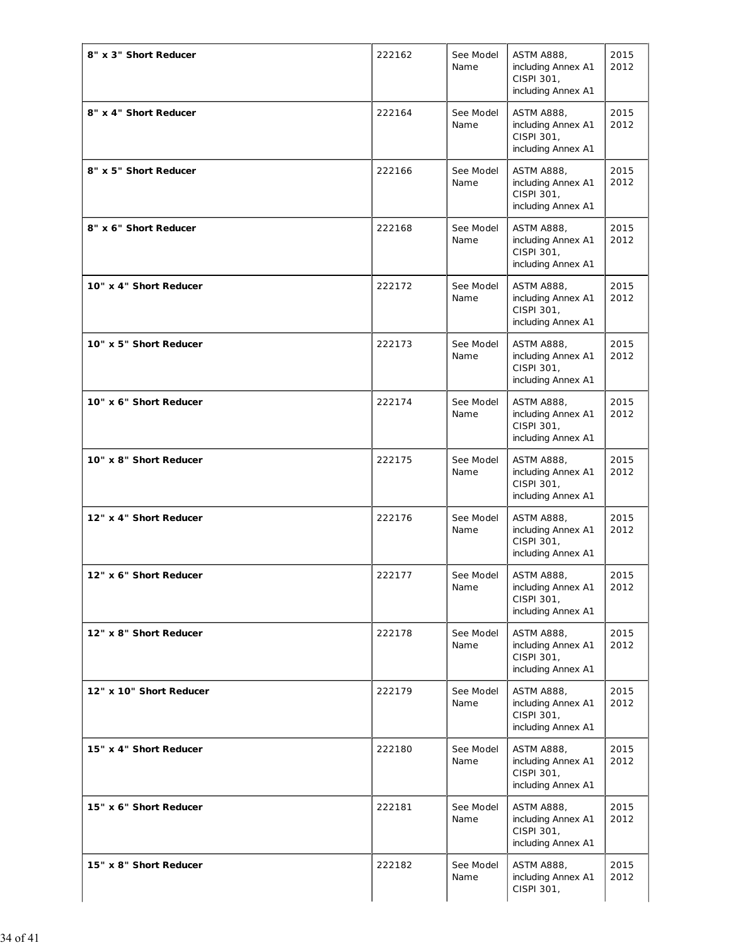| 8" x 3" Short Reducer   | 222162 | See Model<br>Name | <b>ASTM A888,</b><br>including Annex A1<br>CISPI 301,<br>including Annex A1 | 2015<br>2012 |
|-------------------------|--------|-------------------|-----------------------------------------------------------------------------|--------------|
| 8" x 4" Short Reducer   | 222164 | See Model<br>Name | <b>ASTM A888,</b><br>including Annex A1<br>CISPI 301,<br>including Annex A1 | 2015<br>2012 |
| 8" x 5" Short Reducer   | 222166 | See Model<br>Name | <b>ASTM A888,</b><br>including Annex A1<br>CISPI 301,<br>including Annex A1 | 2015<br>2012 |
| 8" x 6" Short Reducer   | 222168 | See Model<br>Name | <b>ASTM A888,</b><br>including Annex A1<br>CISPI 301,<br>including Annex A1 | 2015<br>2012 |
| 10" x 4" Short Reducer  | 222172 | See Model<br>Name | <b>ASTM A888,</b><br>including Annex A1<br>CISPI 301,<br>including Annex A1 | 2015<br>2012 |
| 10" x 5" Short Reducer  | 222173 | See Model<br>Name | ASTM A888,<br>including Annex A1<br>CISPI 301,<br>including Annex A1        | 2015<br>2012 |
| 10" x 6" Short Reducer  | 222174 | See Model<br>Name | <b>ASTM A888,</b><br>including Annex A1<br>CISPI 301,<br>including Annex A1 | 2015<br>2012 |
| 10" x 8" Short Reducer  | 222175 | See Model<br>Name | <b>ASTM A888,</b><br>including Annex A1<br>CISPI 301,<br>including Annex A1 | 2015<br>2012 |
| 12" x 4" Short Reducer  | 222176 | See Model<br>Name | <b>ASTM A888,</b><br>including Annex A1<br>CISPI 301,<br>including Annex A1 | 2015<br>2012 |
| 12" x 6" Short Reducer  | 222177 | See Model<br>Name | ASTM A888,<br>including Annex A1<br>CISPI 301,<br>including Annex A1        | 2015<br>2012 |
| 12" x 8" Short Reducer  | 222178 | See Model<br>Name | <b>ASTM A888,</b><br>including Annex A1<br>CISPI 301,<br>including Annex A1 | 2015<br>2012 |
| 12" x 10" Short Reducer | 222179 | See Model<br>Name | <b>ASTM A888,</b><br>including Annex A1<br>CISPI 301,<br>including Annex A1 | 2015<br>2012 |
| 15" x 4" Short Reducer  | 222180 | See Model<br>Name | <b>ASTM A888,</b><br>including Annex A1<br>CISPI 301,<br>including Annex A1 | 2015<br>2012 |
| 15" x 6" Short Reducer  | 222181 | See Model<br>Name | <b>ASTM A888,</b><br>including Annex A1<br>CISPI 301,<br>including Annex A1 | 2015<br>2012 |
| 15" x 8" Short Reducer  | 222182 | See Model<br>Name | <b>ASTM A888,</b><br>including Annex A1<br>CISPI 301,                       | 2015<br>2012 |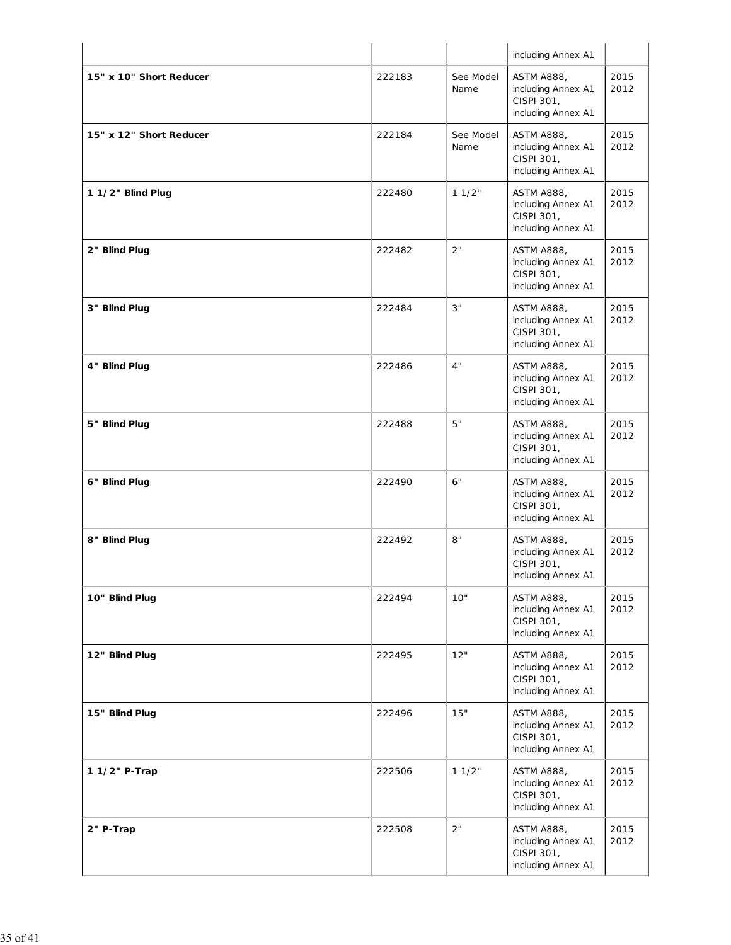|                         |        |                   | including Annex A1                                                          |              |
|-------------------------|--------|-------------------|-----------------------------------------------------------------------------|--------------|
| 15" x 10" Short Reducer | 222183 | See Model<br>Name | <b>ASTM A888,</b><br>including Annex A1<br>CISPI 301,<br>including Annex A1 | 2015<br>2012 |
| 15" x 12" Short Reducer | 222184 | See Model<br>Name | <b>ASTM A888,</b><br>including Annex A1<br>CISPI 301,<br>including Annex A1 | 2015<br>2012 |
| 1 1/2" Blind Plug       | 222480 | 11/2"             | <b>ASTM A888,</b><br>including Annex A1<br>CISPI 301,<br>including Annex A1 | 2015<br>2012 |
| 2" Blind Plug           | 222482 | 2"                | <b>ASTM A888,</b><br>including Annex A1<br>CISPI 301,<br>including Annex A1 | 2015<br>2012 |
| 3" Blind Plug           | 222484 | 3"                | <b>ASTM A888,</b><br>including Annex A1<br>CISPI 301,<br>including Annex A1 | 2015<br>2012 |
| 4" Blind Plug           | 222486 | 4"                | <b>ASTM A888,</b><br>including Annex A1<br>CISPI 301,<br>including Annex A1 | 2015<br>2012 |
| 5" Blind Plug           | 222488 | 5"                | <b>ASTM A888,</b><br>including Annex A1<br>CISPI 301,<br>including Annex A1 | 2015<br>2012 |
| 6" Blind Plug           | 222490 | 6"                | <b>ASTM A888,</b><br>including Annex A1<br>CISPI 301,<br>including Annex A1 | 2015<br>2012 |
| 8" Blind Plug           | 222492 | 8"                | ASTM A888,<br>including Annex A1<br>CISPI 301,<br>including Annex A1        | 2015<br>2012 |
| 10" Blind Plug          | 222494 | 10"               | <b>ASTM A888,</b><br>including Annex A1<br>CISPI 301,<br>including Annex A1 | 2015<br>2012 |
| 12" Blind Plug          | 222495 | 12"               | <b>ASTM A888,</b><br>including Annex A1<br>CISPI 301,<br>including Annex A1 | 2015<br>2012 |
| 15" Blind Plug          | 222496 | 15"               | <b>ASTM A888,</b><br>including Annex A1<br>CISPI 301,<br>including Annex A1 | 2015<br>2012 |
| 1 1/2" P-Trap           | 222506 | 11/2"             | <b>ASTM A888,</b><br>including Annex A1<br>CISPI 301,<br>including Annex A1 | 2015<br>2012 |
| 2" P-Trap               | 222508 | 2"                | <b>ASTM A888,</b><br>including Annex A1<br>CISPI 301,<br>including Annex A1 | 2015<br>2012 |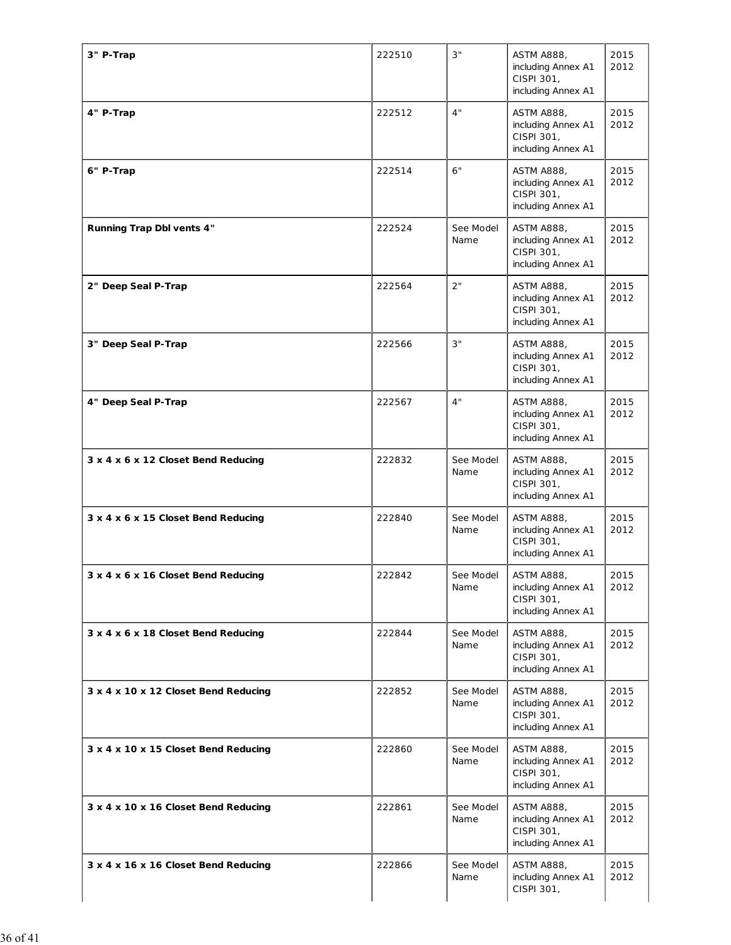| 3" P-Trap                            | 222510 | 3"                | <b>ASTM A888,</b><br>including Annex A1<br>CISPI 301,<br>including Annex A1 | 2015<br>2012 |
|--------------------------------------|--------|-------------------|-----------------------------------------------------------------------------|--------------|
| 4" P-Trap                            | 222512 | 4"                | <b>ASTM A888,</b><br>including Annex A1<br>CISPI 301,<br>including Annex A1 | 2015<br>2012 |
| 6" P-Trap                            | 222514 | 6"                | <b>ASTM A888,</b><br>including Annex A1<br>CISPI 301,<br>including Annex A1 | 2015<br>2012 |
| Running Trap Dbl vents 4"            | 222524 | See Model<br>Name | <b>ASTM A888,</b><br>including Annex A1<br>CISPI 301,<br>including Annex A1 | 2015<br>2012 |
| 2" Deep Seal P-Trap                  | 222564 | 2"                | <b>ASTM A888,</b><br>including Annex A1<br>CISPI 301,<br>including Annex A1 | 2015<br>2012 |
| 3" Deep Seal P-Trap                  | 222566 | 3"                | <b>ASTM A888,</b><br>including Annex A1<br>CISPI 301,<br>including Annex A1 | 2015<br>2012 |
| 4" Deep Seal P-Trap                  | 222567 | 4"                | <b>ASTM A888,</b><br>including Annex A1<br>CISPI 301,<br>including Annex A1 | 2015<br>2012 |
| 3 x 4 x 6 x 12 Closet Bend Reducing  | 222832 | See Model<br>Name | <b>ASTM A888,</b><br>including Annex A1<br>CISPI 301,<br>including Annex A1 | 2015<br>2012 |
| 3 x 4 x 6 x 15 Closet Bend Reducing  | 222840 | See Model<br>Name | <b>ASTM A888,</b><br>including Annex A1<br>CISPI 301,<br>including Annex A1 | 2015<br>2012 |
| 3 x 4 x 6 x 16 Closet Bend Reducing  | 222842 | See Model<br>Name | <b>ASTM A888,</b><br>including Annex A1<br>CISPI 301,<br>including Annex A1 | 2015<br>2012 |
| 3 x 4 x 6 x 18 Closet Bend Reducing  | 222844 | See Model<br>Name | <b>ASTM A888,</b><br>including Annex A1<br>CISPI 301,<br>including Annex A1 | 2015<br>2012 |
| 3 x 4 x 10 x 12 Closet Bend Reducing | 222852 | See Model<br>Name | <b>ASTM A888,</b><br>including Annex A1<br>CISPI 301,<br>including Annex A1 | 2015<br>2012 |
| 3 x 4 x 10 x 15 Closet Bend Reducing | 222860 | See Model<br>Name | <b>ASTM A888,</b><br>including Annex A1<br>CISPI 301,<br>including Annex A1 | 2015<br>2012 |
| 3 x 4 x 10 x 16 Closet Bend Reducing | 222861 | See Model<br>Name | ASTM A888,<br>including Annex A1<br>CISPI 301,<br>including Annex A1        | 2015<br>2012 |
| 3 x 4 x 16 x 16 Closet Bend Reducing | 222866 | See Model<br>Name | <b>ASTM A888,</b><br>including Annex A1<br>CISPI 301,                       | 2015<br>2012 |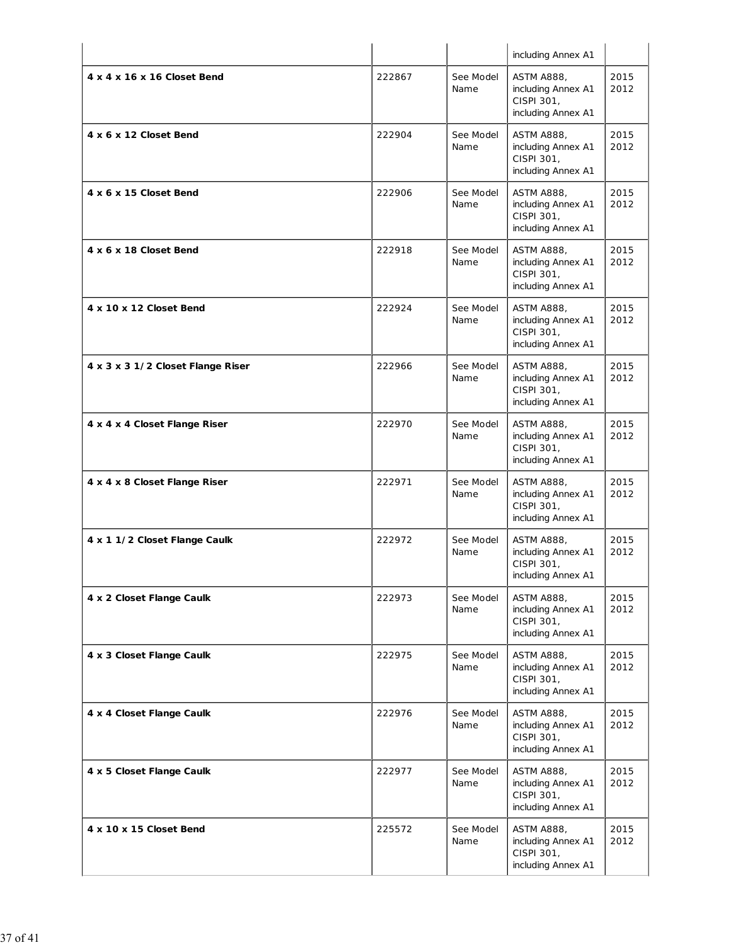|                                   |        |                   | including Annex A1                                                          |              |
|-----------------------------------|--------|-------------------|-----------------------------------------------------------------------------|--------------|
| 4 x 4 x 16 x 16 Closet Bend       | 222867 | See Model<br>Name | <b>ASTM A888,</b><br>including Annex A1<br>CISPI 301,<br>including Annex A1 | 2015<br>2012 |
| 4 x 6 x 12 Closet Bend            | 222904 | See Model<br>Name | <b>ASTM A888,</b><br>including Annex A1<br>CISPI 301,<br>including Annex A1 | 2015<br>2012 |
| 4 x 6 x 15 Closet Bend            | 222906 | See Model<br>Name | <b>ASTM A888,</b><br>including Annex A1<br>CISPI 301,<br>including Annex A1 | 2015<br>2012 |
| 4 x 6 x 18 Closet Bend            | 222918 | See Model<br>Name | <b>ASTM A888,</b><br>including Annex A1<br>CISPI 301,<br>including Annex A1 | 2015<br>2012 |
| 4 x 10 x 12 Closet Bend           | 222924 | See Model<br>Name | <b>ASTM A888,</b><br>including Annex A1<br>CISPI 301,<br>including Annex A1 | 2015<br>2012 |
| 4 x 3 x 3 1/2 Closet Flange Riser | 222966 | See Model<br>Name | <b>ASTM A888,</b><br>including Annex A1<br>CISPI 301,<br>including Annex A1 | 2015<br>2012 |
| 4 x 4 x 4 Closet Flange Riser     | 222970 | See Model<br>Name | <b>ASTM A888,</b><br>including Annex A1<br>CISPI 301,<br>including Annex A1 | 2015<br>2012 |
| 4 x 4 x 8 Closet Flange Riser     | 222971 | See Model<br>Name | <b>ASTM A888,</b><br>including Annex A1<br>CISPI 301,<br>including Annex A1 | 2015<br>2012 |
| 4 x 1 1/2 Closet Flange Caulk     | 222972 | See Model<br>Name | <b>ASTM A888,</b><br>including Annex A1<br>CISPI 301,<br>including Annex A1 | 2015<br>2012 |
| 4 x 2 Closet Flange Caulk         | 222973 | See Model<br>Name | <b>ASTM A888,</b><br>including Annex A1<br>CISPI 301,<br>including Annex A1 | 2015<br>2012 |
| 4 x 3 Closet Flange Caulk         | 222975 | See Model<br>Name | <b>ASTM A888,</b><br>including Annex A1<br>CISPI 301,<br>including Annex A1 | 2015<br>2012 |
| 4 x 4 Closet Flange Caulk         | 222976 | See Model<br>Name | <b>ASTM A888,</b><br>including Annex A1<br>CISPI 301,<br>including Annex A1 | 2015<br>2012 |
| 4 x 5 Closet Flange Caulk         | 222977 | See Model<br>Name | <b>ASTM A888,</b><br>including Annex A1<br>CISPI 301,<br>including Annex A1 | 2015<br>2012 |
| 4 x 10 x 15 Closet Bend           | 225572 | See Model<br>Name | <b>ASTM A888,</b><br>including Annex A1<br>CISPI 301,<br>including Annex A1 | 2015<br>2012 |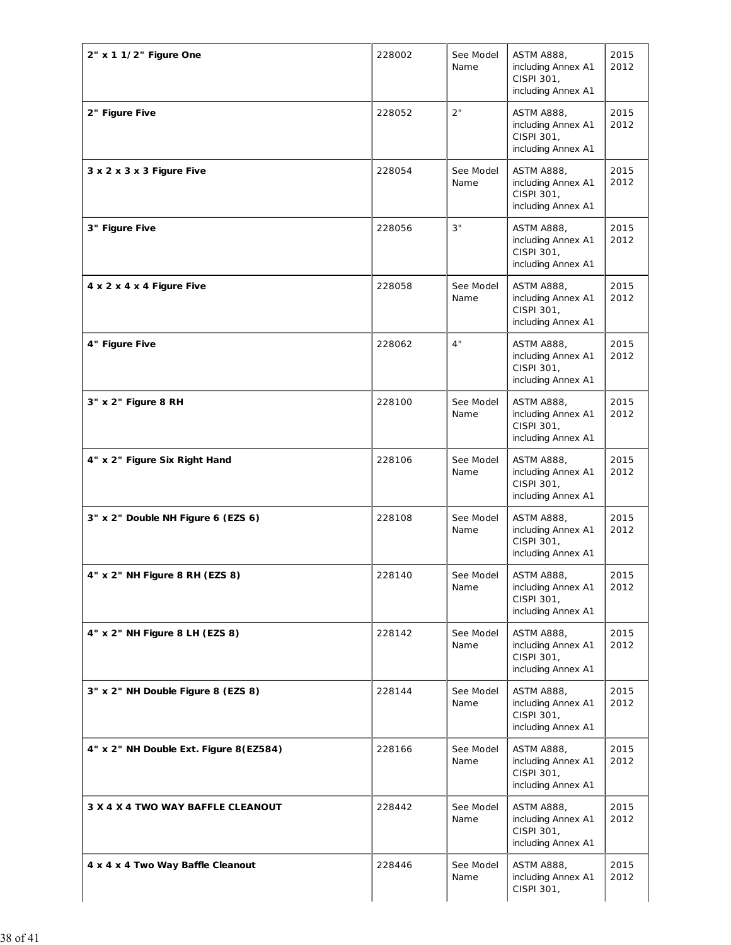| 2" x 1 1/2" Figure One                 | 228002 | See Model<br>Name | ASTM A888,<br>including Annex A1<br>CISPI 301,<br>including Annex A1        | 2015<br>2012 |
|----------------------------------------|--------|-------------------|-----------------------------------------------------------------------------|--------------|
| 2" Figure Five                         | 228052 | 2"                | <b>ASTM A888,</b><br>including Annex A1<br>CISPI 301,<br>including Annex A1 | 2015<br>2012 |
| 3 x 2 x 3 x 3 Figure Five              | 228054 | See Model<br>Name | <b>ASTM A888,</b><br>including Annex A1<br>CISPI 301,<br>including Annex A1 | 2015<br>2012 |
| 3" Figure Five                         | 228056 | 3"                | <b>ASTM A888,</b><br>including Annex A1<br>CISPI 301,<br>including Annex A1 | 2015<br>2012 |
| 4 x 2 x 4 x 4 Figure Five              | 228058 | See Model<br>Name | <b>ASTM A888,</b><br>including Annex A1<br>CISPI 301,<br>including Annex A1 | 2015<br>2012 |
| 4" Figure Five                         | 228062 | 4"                | <b>ASTM A888,</b><br>including Annex A1<br>CISPI 301,<br>including Annex A1 | 2015<br>2012 |
| 3" x 2" Figure 8 RH                    | 228100 | See Model<br>Name | <b>ASTM A888,</b><br>including Annex A1<br>CISPI 301,<br>including Annex A1 | 2015<br>2012 |
| 4" x 2" Figure Six Right Hand          | 228106 | See Model<br>Name | <b>ASTM A888,</b><br>including Annex A1<br>CISPI 301,<br>including Annex A1 | 2015<br>2012 |
| 3" x 2" Double NH Figure 6 (EZS 6)     | 228108 | See Model<br>Name | <b>ASTM A888.</b><br>including Annex A1<br>CISPI 301,<br>including Annex A1 | 2015<br>2012 |
| 4" x 2" NH Figure 8 RH (EZS 8)         | 228140 | See Model<br>Name | <b>ASTM A888,</b><br>including Annex A1<br>CISPI 301,<br>including Annex A1 | 2015<br>2012 |
| 4" x 2" NH Figure 8 LH (EZS 8)         | 228142 | See Model<br>Name | <b>ASTM A888,</b><br>including Annex A1<br>CISPI 301,<br>including Annex A1 | 2015<br>2012 |
| 3" x 2" NH Double Figure 8 (EZS 8)     | 228144 | See Model<br>Name | <b>ASTM A888,</b><br>including Annex A1<br>CISPI 301,<br>including Annex A1 | 2015<br>2012 |
| 4" x 2" NH Double Ext. Figure 8(EZ584) | 228166 | See Model<br>Name | <b>ASTM A888,</b><br>including Annex A1<br>CISPI 301,<br>including Annex A1 | 2015<br>2012 |
| 3 X 4 X 4 TWO WAY BAFFLE CLEANOUT      | 228442 | See Model<br>Name | <b>ASTM A888,</b><br>including Annex A1<br>CISPI 301,<br>including Annex A1 | 2015<br>2012 |
| 4 x 4 x 4 Two Way Baffle Cleanout      | 228446 | See Model<br>Name | <b>ASTM A888,</b><br>including Annex A1<br>CISPI 301,                       | 2015<br>2012 |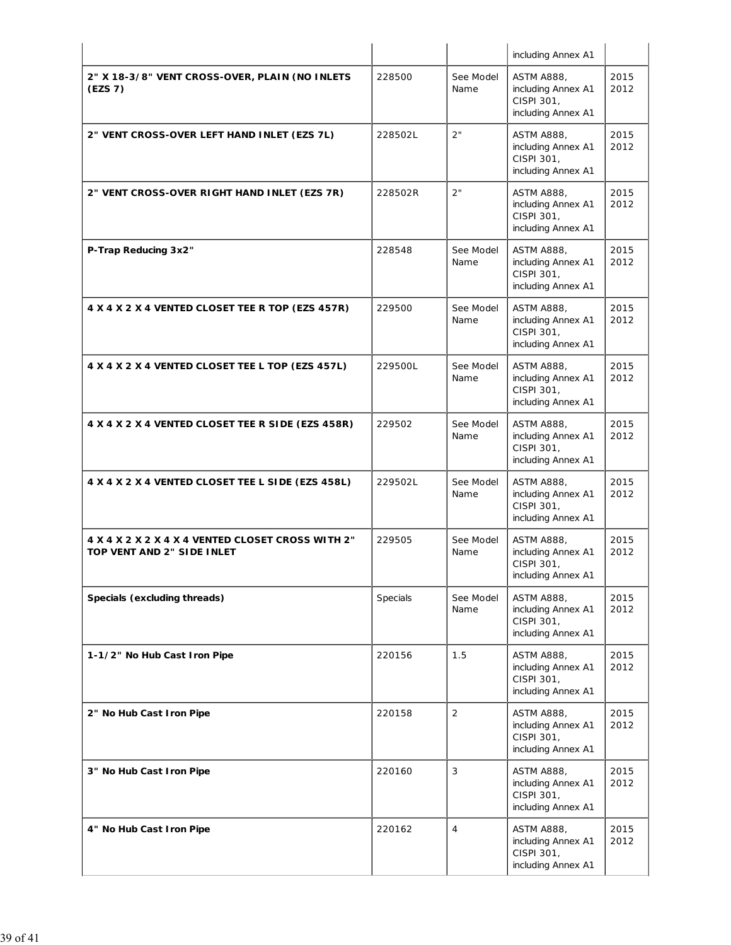|                                                                                 |          |                   | including Annex A1                                                          |              |
|---------------------------------------------------------------------------------|----------|-------------------|-----------------------------------------------------------------------------|--------------|
| 2" X 18-3/8" VENT CROSS-OVER, PLAIN (NO INLETS<br>(EZS 7)                       | 228500   | See Model<br>Name | <b>ASTM A888,</b><br>including Annex A1<br>CISPI 301,<br>including Annex A1 | 2015<br>2012 |
| 2" VENT CROSS-OVER LEFT HAND INLET (EZS 7L)                                     | 228502L  | 2"                | <b>ASTM A888,</b><br>including Annex A1<br>CISPI 301,<br>including Annex A1 | 2015<br>2012 |
| 2" VENT CROSS-OVER RIGHT HAND INLET (EZS 7R)                                    | 228502R  | 2"                | <b>ASTM A888,</b><br>including Annex A1<br>CISPI 301,<br>including Annex A1 | 2015<br>2012 |
| P-Trap Reducing 3x2"                                                            | 228548   | See Model<br>Name | <b>ASTM A888,</b><br>including Annex A1<br>CISPI 301,<br>including Annex A1 | 2015<br>2012 |
| 4 X 4 X 2 X 4 VENTED CLOSET TEE R TOP (EZS 457R)                                | 229500   | See Model<br>Name | <b>ASTM A888,</b><br>including Annex A1<br>CISPI 301,<br>including Annex A1 | 2015<br>2012 |
| 4 X 4 X 2 X 4 VENTED CLOSET TEE L TOP (EZS 457L)                                | 229500L  | See Model<br>Name | <b>ASTM A888,</b><br>including Annex A1<br>CISPI 301,<br>including Annex A1 | 2015<br>2012 |
| 4 X 4 X 2 X 4 VENTED CLOSET TEE R SIDE (EZS 458R)                               | 229502   | See Model<br>Name | <b>ASTM A888,</b><br>including Annex A1<br>CISPI 301,<br>including Annex A1 | 2015<br>2012 |
| 4 X 4 X 2 X 4 VENTED CLOSET TEE L SIDE (EZS 458L)                               | 229502L  | See Model<br>Name | <b>ASTM A888,</b><br>including Annex A1<br>CISPI 301,<br>including Annex A1 | 2015<br>2012 |
| 4 X 4 X 2 X 2 X 4 X 4 VENTED CLOSET CROSS WITH 2"<br>TOP VENT AND 2" SIDE INLET | 229505   | See Model<br>Name | <b>ASTM A888,</b><br>including Annex A1<br>CISPI 301,<br>including Annex A1 | 2015<br>2012 |
| Specials (excluding threads)                                                    | Specials | See Model<br>Name | <b>ASTM A888,</b><br>including Annex A1<br>CISPI 301,<br>including Annex A1 | 2015<br>2012 |
| 1-1/2" No Hub Cast Iron Pipe                                                    | 220156   | 1.5               | <b>ASTM A888,</b><br>including Annex A1<br>CISPI 301,<br>including Annex A1 | 2015<br>2012 |
| 2" No Hub Cast Iron Pipe                                                        | 220158   | $\overline{2}$    | <b>ASTM A888,</b><br>including Annex A1<br>CISPI 301,<br>including Annex A1 | 2015<br>2012 |
| 3" No Hub Cast Iron Pipe                                                        | 220160   | 3                 | <b>ASTM A888,</b><br>including Annex A1<br>CISPI 301,<br>including Annex A1 | 2015<br>2012 |
| 4" No Hub Cast Iron Pipe                                                        | 220162   | $\overline{4}$    | <b>ASTM A888,</b><br>including Annex A1<br>CISPI 301,<br>including Annex A1 | 2015<br>2012 |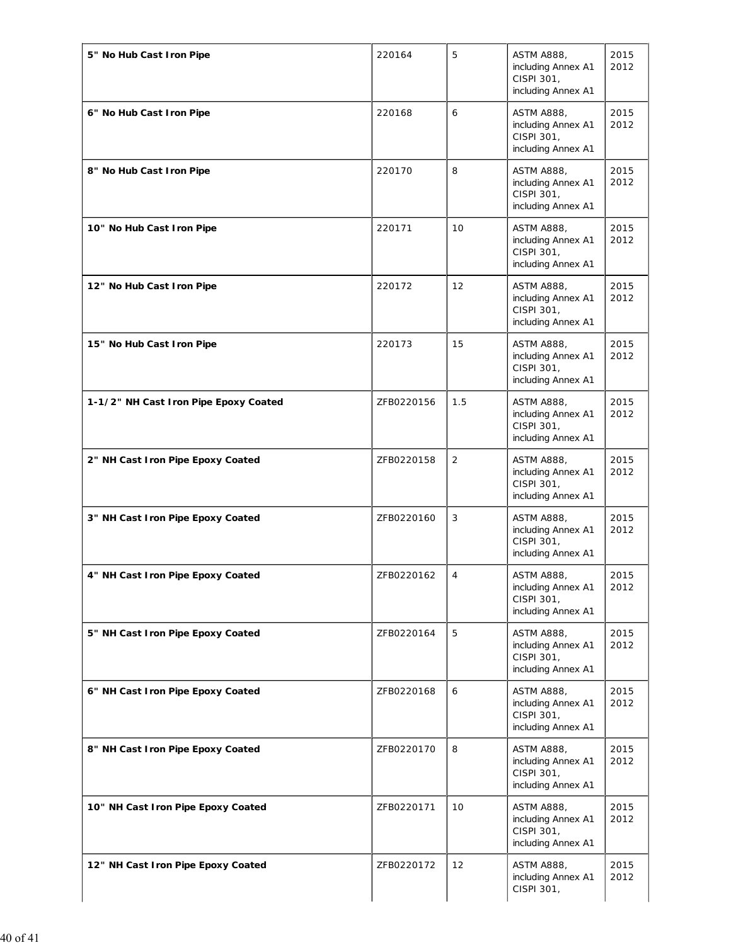| 5" No Hub Cast Iron Pipe              | 220164     | 5              | <b>ASTM A888,</b><br>including Annex A1<br>CISPI 301,<br>including Annex A1 | 2015<br>2012 |
|---------------------------------------|------------|----------------|-----------------------------------------------------------------------------|--------------|
| 6" No Hub Cast Iron Pipe              | 220168     | 6              | <b>ASTM A888,</b><br>including Annex A1<br>CISPI 301,<br>including Annex A1 | 2015<br>2012 |
| 8" No Hub Cast Iron Pipe              | 220170     | 8              | <b>ASTM A888,</b><br>including Annex A1<br>CISPI 301,<br>including Annex A1 | 2015<br>2012 |
| 10" No Hub Cast Iron Pipe             | 220171     | 10             | <b>ASTM A888,</b><br>including Annex A1<br>CISPI 301,<br>including Annex A1 | 2015<br>2012 |
| 12" No Hub Cast Iron Pipe             | 220172     | 12             | <b>ASTM A888,</b><br>including Annex A1<br>CISPI 301,<br>including Annex A1 | 2015<br>2012 |
| 15" No Hub Cast Iron Pipe             | 220173     | 15             | <b>ASTM A888,</b><br>including Annex A1<br>CISPI 301,<br>including Annex A1 | 2015<br>2012 |
| 1-1/2" NH Cast Iron Pipe Epoxy Coated | ZFB0220156 | 1.5            | <b>ASTM A888,</b><br>including Annex A1<br>CISPI 301,<br>including Annex A1 | 2015<br>2012 |
| 2" NH Cast Iron Pipe Epoxy Coated     | ZFB0220158 | $\overline{2}$ | <b>ASTM A888,</b><br>including Annex A1<br>CISPI 301,<br>including Annex A1 | 2015<br>2012 |
| 3" NH Cast Iron Pipe Epoxy Coated     | ZFB0220160 | 3              | <b>ASTM A888,</b><br>including Annex A1<br>CISPI 301,<br>including Annex A1 | 2015<br>2012 |
| 4" NH Cast Iron Pipe Epoxy Coated     | ZFB0220162 | $\overline{4}$ | <b>ASTM A888,</b><br>including Annex A1<br>CISPI 301,<br>including Annex A1 | 2015<br>2012 |
| 5" NH Cast Iron Pipe Epoxy Coated     | ZFB0220164 | 5              | <b>ASTM A888,</b><br>including Annex A1<br>CISPI 301,<br>including Annex A1 | 2015<br>2012 |
| 6" NH Cast Iron Pipe Epoxy Coated     | ZFB0220168 | 6              | <b>ASTM A888,</b><br>including Annex A1<br>CISPI 301,<br>including Annex A1 | 2015<br>2012 |
| 8" NH Cast Iron Pipe Epoxy Coated     | ZFB0220170 | 8              | <b>ASTM A888,</b><br>including Annex A1<br>CISPI 301,<br>including Annex A1 | 2015<br>2012 |
| 10" NH Cast Iron Pipe Epoxy Coated    | ZFB0220171 | 10             | <b>ASTM A888,</b><br>including Annex A1<br>CISPI 301,<br>including Annex A1 | 2015<br>2012 |
| 12" NH Cast Iron Pipe Epoxy Coated    | ZFB0220172 | 12             | <b>ASTM A888,</b><br>including Annex A1<br>CISPI 301,                       | 2015<br>2012 |